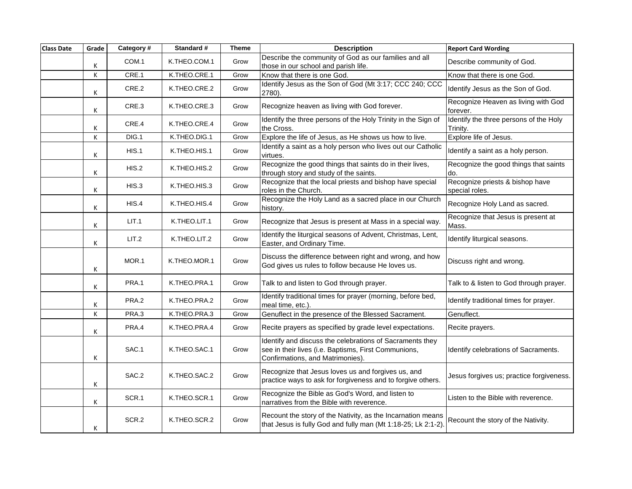| <b>Class Date</b> | Grade | Category# | Standard #   | <b>Theme</b> | <b>Description</b>                                                                                                                                  | <b>Report Card Wording</b>                         |
|-------------------|-------|-----------|--------------|--------------|-----------------------------------------------------------------------------------------------------------------------------------------------------|----------------------------------------------------|
|                   | Κ     | COM.1     | K.THEO.COM.1 | Grow         | Describe the community of God as our families and all<br>those in our school and parish life.                                                       | Describe community of God.                         |
|                   | К     | CRE.1     | K.THEO.CRE.1 | Grow         | Know that there is one God.                                                                                                                         | Know that there is one God.                        |
|                   | Κ     | CRE.2     | K.THEO.CRE.2 | Grow         | Identify Jesus as the Son of God (Mt 3:17; CCC 240; CCC<br>2780).                                                                                   | Identify Jesus as the Son of God.                  |
|                   | K     | CRE.3     | K.THEO.CRE.3 | Grow         | Recognize heaven as living with God forever.                                                                                                        | Recognize Heaven as living with God<br>forever.    |
|                   | К     | CRE.4     | K.THEO.CRE.4 | Grow         | Identify the three persons of the Holy Trinity in the Sign of<br>the Cross.                                                                         | Identify the three persons of the Holy<br>Trinity. |
|                   | К     | DIG.1     | K.THEO.DIG.1 | Grow         | Explore the life of Jesus, as He shows us how to live.                                                                                              | Explore life of Jesus.                             |
|                   | Κ     | HIS.1     | K.THEO.HIS.1 | Grow         | Identify a saint as a holy person who lives out our Catholic<br>virtues.                                                                            | Identify a saint as a holy person.                 |
|                   | Κ     | HIS.2     | K.THEO.HIS.2 | Grow         | Recognize the good things that saints do in their lives,<br>through story and study of the saints.                                                  | Recognize the good things that saints<br>do.       |
|                   | К     | HIS.3     | K.THEO.HIS.3 | Grow         | Recognize that the local priests and bishop have special<br>roles in the Church.                                                                    | Recognize priests & bishop have<br>special roles.  |
|                   | Κ     | HIS.4     | K.THEO.HIS.4 | Grow         | Recognize the Holy Land as a sacred place in our Church<br>history.                                                                                 | Recognize Holy Land as sacred.                     |
|                   | Κ     | LIT.1     | K.THEO.LIT.1 | Grow         | Recognize that Jesus is present at Mass in a special way.                                                                                           | Recognize that Jesus is present at<br>Mass.        |
|                   | Κ     | LIT.2     | K.THEO.LIT.2 | Grow         | Identify the liturgical seasons of Advent, Christmas, Lent,<br>Easter, and Ordinary Time.                                                           | Identify liturgical seasons.                       |
|                   | Κ     | MOR.1     | K.THEO.MOR.1 | Grow         | Discuss the difference between right and wrong, and how<br>God gives us rules to follow because He loves us.                                        | Discuss right and wrong.                           |
|                   | Κ     | PRA.1     | K.THEO.PRA.1 | Grow         | Talk to and listen to God through prayer.                                                                                                           | Talk to & listen to God through prayer.            |
|                   | Κ     | PRA.2     | K.THEO.PRA.2 | Grow         | Identify traditional times for prayer (morning, before bed,<br>meal time, etc.).                                                                    | Identify traditional times for prayer.             |
|                   | К     | PRA.3     | K.THEO.PRA.3 | Grow         | Genuflect in the presence of the Blessed Sacrament.                                                                                                 | Genuflect.                                         |
|                   | Κ     | PRA.4     | K.THEO.PRA.4 | Grow         | Recite prayers as specified by grade level expectations.                                                                                            | Recite prayers.                                    |
|                   | Κ     | SAC.1     | K.THEO.SAC.1 | Grow         | Identify and discuss the celebrations of Sacraments they<br>see in their lives (i.e. Baptisms, First Communions,<br>Confirmations, and Matrimonies) | Identify celebrations of Sacraments.               |
|                   | Κ     | SAC.2     | K.THEO.SAC.2 | Grow         | Recognize that Jesus loves us and forgives us, and<br>practice ways to ask for forgiveness and to forgive others.                                   | Jesus forgives us; practice forgiveness.           |
|                   | Κ     | SCR.1     | K.THEO.SCR.1 | Grow         | Recognize the Bible as God's Word, and listen to<br>narratives from the Bible with reverence.                                                       | Listen to the Bible with reverence.                |
|                   | К     | SCR.2     | K.THEO.SCR.2 | Grow         | Recount the story of the Nativity, as the Incarnation means<br>that Jesus is fully God and fully man (Mt 1:18-25; Lk 2:1-2).                        | Recount the story of the Nativity.                 |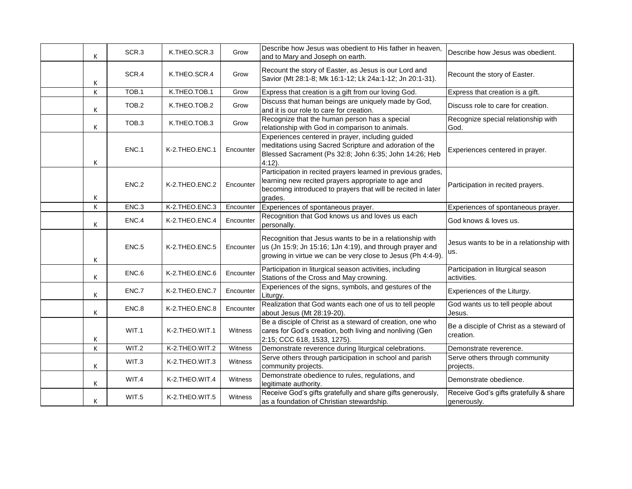| K | SCR.3 | K.THEO.SCR.3   | Grow           | Describe how Jesus was obedient to His father in heaven,<br>and to Mary and Joseph on earth.                                                                                                   | Describe how Jesus was obedient.                      |
|---|-------|----------------|----------------|------------------------------------------------------------------------------------------------------------------------------------------------------------------------------------------------|-------------------------------------------------------|
| Κ | SCR.4 | K.THEO.SCR.4   | Grow           | Recount the story of Easter, as Jesus is our Lord and<br>Savior (Mt 28:1-8; Mk 16:1-12; Lk 24a:1-12; Jn 20:1-31).                                                                              | Recount the story of Easter.                          |
| Κ | TOB.1 | K.THEO.TOB.1   | Grow           | Express that creation is a gift from our loving God.                                                                                                                                           | Express that creation is a gift.                      |
| K | TOB.2 | K.THEO.TOB.2   | Grow           | Discuss that human beings are uniquely made by God,<br>and it is our role to care for creation.                                                                                                | Discuss role to care for creation.                    |
| K | TOB.3 | K.THEO.TOB.3   | Grow           | Recognize that the human person has a special<br>relationship with God in comparison to animals.                                                                                               | Recognize special relationship with<br>God.           |
| Κ | ENC.1 | K-2.THEO.ENC.1 | Encounter      | Experiences centered in prayer, including guided<br>meditations using Sacred Scripture and adoration of the<br>Blessed Sacrament (Ps 32:8; John 6:35; John 14:26; Heb<br>$4:12$ ).             | Experiences centered in prayer.                       |
| Κ | ENC.2 | K-2.THEO.ENC.2 | Encounter      | Participation in recited prayers learned in previous grades,<br>learning new recited prayers appropriate to age and<br>becoming introduced to prayers that will be recited in later<br>grades. | Participation in recited prayers.                     |
| K | ENC.3 | K-2.THEO.ENC.3 | Encounter      | Experiences of spontaneous prayer.                                                                                                                                                             | Experiences of spontaneous prayer.                    |
| К | ENC.4 | K-2.THEO.ENC.4 | Encounter      | Recognition that God knows us and loves us each<br>personally.                                                                                                                                 | God knows & loves us.                                 |
| K | ENC.5 | K-2.THEO.ENC.5 | Encounter      | Recognition that Jesus wants to be in a relationship with<br>us (Jn 15:9; Jn 15:16; 1Jn 4:19), and through prayer and<br>growing in virtue we can be very close to Jesus (Ph 4:4-9).           | Jesus wants to be in a relationship with<br>us.       |
| Κ | ENC.6 | K-2.THEO.ENC.6 | Encounter      | Participation in liturgical season activities, including<br>Stations of the Cross and May crowning.                                                                                            | Participation in liturgical season<br>activities.     |
| К | ENC.7 | K-2.THEO.ENC.7 | Encounter      | Experiences of the signs, symbols, and gestures of the<br>Liturgy.                                                                                                                             | Experiences of the Liturgy.                           |
| K | ENC.8 | K-2.THEO.ENC.8 | Encounter      | Realization that God wants each one of us to tell people<br>about Jesus (Mt 28:19-20).                                                                                                         | God wants us to tell people about<br>Jesus.           |
| Κ | WIT.1 | K-2.THEO.WIT.1 | Witness        | Be a disciple of Christ as a steward of creation, one who<br>cares for God's creation, both living and nonliving (Gen<br>2:15; CCC 618, 1533, 1275).                                           | Be a disciple of Christ as a steward of<br>creation.  |
| K | WIT.2 | K-2.THEO.WIT.2 | Witness        | Demonstrate reverence during liturgical celebrations.                                                                                                                                          | Demonstrate reverence.                                |
| K | WIT.3 | K-2.THEO.WIT.3 | Witness        | Serve others through participation in school and parish<br>community projects.                                                                                                                 | Serve others through community<br>projects.           |
| Κ | WIT.4 | K-2.THEO.WIT.4 | <b>Witness</b> | Demonstrate obedience to rules, regulations, and<br>legitimate authority.                                                                                                                      | Demonstrate obedience.                                |
| K | WIT.5 | K-2.THEO.WIT.5 | Witness        | Receive God's gifts gratefully and share gifts generously,<br>as a foundation of Christian stewardship.                                                                                        | Receive God's gifts gratefully & share<br>generously. |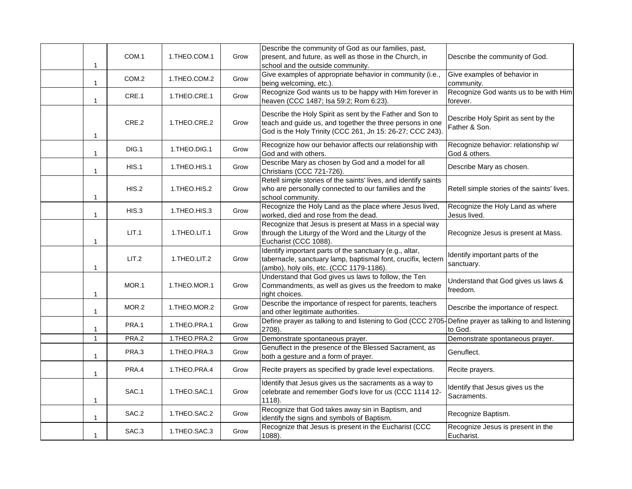| $\mathbf{1}$ | COM.1             | 1.THEO.COM.1  | Grow | Describe the community of God as our families, past,<br>present, and future, as well as those in the Church, in<br>school and the outside community.                                | Describe the community of God.                       |
|--------------|-------------------|---------------|------|-------------------------------------------------------------------------------------------------------------------------------------------------------------------------------------|------------------------------------------------------|
| $\mathbf{1}$ | COM <sub>.2</sub> | 1.THEO.COM.2  | Grow | Give examples of appropriate behavior in community (i.e.,<br>being welcoming, etc.).                                                                                                | Give examples of behavior in<br>community.           |
| 1            | CRE.1             | 1. THEO.CRE.1 | Grow | Recognize God wants us to be happy with Him forever in<br>heaven (CCC 1487; Isa 59:2; Rom 6:23).                                                                                    | Recognize God wants us to be with Him<br>forever.    |
| $\mathbf{1}$ | CRE.2             | 1.THEO.CRE.2  | Grow | Describe the Holy Spirit as sent by the Father and Son to<br>teach and guide us, and together the three persons in one<br>God is the Holy Trinity (CCC 261, Jn 15: 26-27; CCC 243). | Describe Holy Spirit as sent by the<br>Father & Son. |
| $\mathbf{1}$ | DIG.1             | 1.THEO.DIG.1  | Grow | Recognize how our behavior affects our relationship with<br>God and with others.                                                                                                    | Recognize behavior: relationship w/<br>God & others. |
| $\mathbf{1}$ | HIS.1             | 1.THEO.HIS.1  | Grow | Describe Mary as chosen by God and a model for all<br>Christians (CCC 721-726).                                                                                                     | Describe Mary as chosen.                             |
| $\mathbf{1}$ | HIS.2             | 1.THEO.HIS.2  | Grow | Retell simple stories of the saints' lives, and identify saints<br>who are personally connected to our families and the<br>school community.                                        | Retell simple stories of the saints' lives.          |
| $\mathbf{1}$ | HIS.3             | 1.THEO.HIS.3  | Grow | Recognize the Holy Land as the place where Jesus lived,<br>worked, died and rose from the dead.                                                                                     | Recognize the Holy Land as where<br>Jesus lived.     |
| $\mathbf{1}$ | LIT.1             | 1.THEO.LIT.1  | Grow | Recognize that Jesus is present at Mass in a special way<br>through the Liturgy of the Word and the Liturgy of the<br>Eucharist (CCC 1088).                                         | Recognize Jesus is present at Mass.                  |
| 1            | LIT.2             | 1.THEO.LIT.2  | Grow | Identify important parts of the sanctuary (e.g., altar,<br>tabernacle, sanctuary lamp, baptismal font, crucifix, lectern<br>(ambo), holy oils, etc. (CCC 1179-1186).                | Identify important parts of the<br>sanctuary.        |
| 1            | MOR.1             | 1.THEO.MOR.1  | Grow | Understand that God gives us laws to follow, the Ten<br>Commandments, as well as gives us the freedom to make<br>right choices.                                                     | Understand that God gives us laws &<br>freedom.      |
| $\mathbf{1}$ | MOR.2             | 1.THEO.MOR.2  | Grow | Describe the importance of respect for parents, teachers<br>and other legitimate authorities.                                                                                       | Describe the importance of respect.                  |
| 1            | PRA.1             | 1.THEO.PRA.1  | Grow | Define prayer as talking to and listening to God (CCC 2705-<br>2708).                                                                                                               | Define prayer as talking to and listening<br>to God. |
| $\mathbf{1}$ | PRA.2             | 1.THEO.PRA.2  | Grow | Demonstrate spontaneous prayer.                                                                                                                                                     | Demonstrate spontaneous prayer.                      |
| $\mathbf{1}$ | PRA.3             | 1.THEO.PRA.3  | Grow | Genuflect in the presence of the Blessed Sacrament, as<br>both a gesture and a form of prayer.                                                                                      | Genuflect.                                           |
| $\mathbf{1}$ | PRA.4             | 1.THEO.PRA.4  | Grow | Recite prayers as specified by grade level expectations.                                                                                                                            | Recite prayers.                                      |
| 1            | SAC.1             | 1.THEO.SAC.1  | Grow | Identify that Jesus gives us the sacraments as a way to<br>celebrate and remember God's love for us (CCC 1114 12-<br>1118).                                                         | Identify that Jesus gives us the<br>Sacraments.      |
| $\mathbf{1}$ | SAC.2             | 1.THEO.SAC.2  | Grow | Recognize that God takes away sin in Baptism, and<br>identify the signs and symbols of Baptism.                                                                                     | Recognize Baptism.                                   |
| $\mathbf{1}$ | SAC.3             | 1.THEO.SAC.3  | Grow | Recognize that Jesus is present in the Eucharist (CCC<br>1088).                                                                                                                     | Recognize Jesus is present in the<br>Eucharist.      |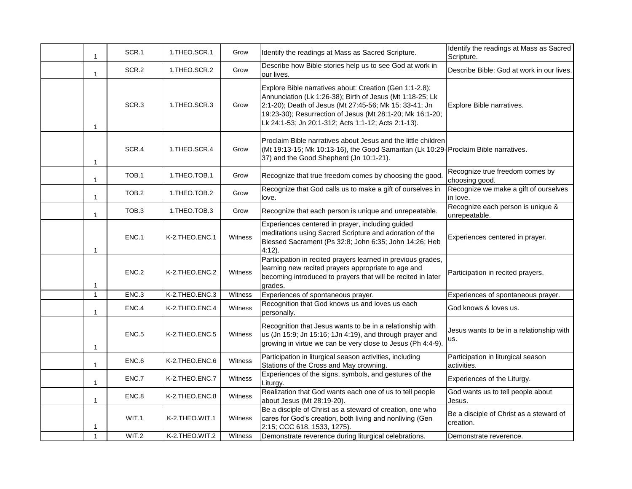| $\mathbf{1}$ | SCR.1 | 1.THEO.SCR.1   | Grow    | Identify the readings at Mass as Sacred Scripture.                                                                                                                                                                                                                                                 | Identify the readings at Mass as Sacred<br>Scripture. |
|--------------|-------|----------------|---------|----------------------------------------------------------------------------------------------------------------------------------------------------------------------------------------------------------------------------------------------------------------------------------------------------|-------------------------------------------------------|
| $\mathbf{1}$ | SCR.2 | 1.THEO.SCR.2   | Grow    | Describe how Bible stories help us to see God at work in<br>our lives.                                                                                                                                                                                                                             | Describe Bible: God at work in our lives.             |
| $\mathbf{1}$ | SCR.3 | 1.THEO.SCR.3   | Grow    | Explore Bible narratives about: Creation (Gen 1:1-2.8);<br>Annunciation (Lk 1:26-38); Birth of Jesus (Mt 1:18-25; Lk<br>2:1-20); Death of Jesus (Mt 27:45-56; Mk 15: 33-41; Jn<br>19:23-30); Resurrection of Jesus (Mt 28:1-20; Mk 16:1-20;<br>Lk 24:1-53; Jn 20:1-312; Acts 1:1-12; Acts 2:1-13). | Explore Bible narratives.                             |
| $\mathbf{1}$ | SCR.4 | 1.THEO.SCR.4   | Grow    | Proclaim Bible narratives about Jesus and the little children<br>(Mt 19:13-15; Mk 10:13-16), the Good Samaritan (Lk 10:29-Proclaim Bible narratives.<br>37) and the Good Shepherd (Jn 10:1-21).                                                                                                    |                                                       |
| $\mathbf{1}$ | TOB.1 | 1.THEO.TOB.1   | Grow    | Recognize that true freedom comes by choosing the good.                                                                                                                                                                                                                                            | Recognize true freedom comes by<br>choosing good.     |
| $\mathbf{1}$ | TOB.2 | 1.THEO.TOB.2   | Grow    | Recognize that God calls us to make a gift of ourselves in<br>love.                                                                                                                                                                                                                                | Recognize we make a gift of ourselves<br>in love.     |
| $\mathbf{1}$ | TOB.3 | 1.THEO.TOB.3   | Grow    | Recognize that each person is unique and unrepeatable.                                                                                                                                                                                                                                             | Recognize each person is unique &<br>unrepeatable.    |
| 1            | ENC.1 | K-2.THEO.ENC.1 | Witness | Experiences centered in prayer, including guided<br>meditations using Sacred Scripture and adoration of the<br>Blessed Sacrament (Ps 32:8; John 6:35; John 14:26; Heb<br>$4:12$ ).                                                                                                                 | Experiences centered in prayer.                       |
| 1            | ENC.2 | K-2.THEO.ENC.2 | Witness | Participation in recited prayers learned in previous grades,<br>learning new recited prayers appropriate to age and<br>becoming introduced to prayers that will be recited in later<br>grades.                                                                                                     | Participation in recited prayers.                     |
| $\mathbf{1}$ | ENC.3 | K-2.THEO.ENC.3 | Witness | Experiences of spontaneous prayer.                                                                                                                                                                                                                                                                 | Experiences of spontaneous prayer.                    |
| $\mathbf{1}$ | ENC.4 | K-2.THEO.ENC.4 | Witness | Recognition that God knows us and loves us each<br>personally.                                                                                                                                                                                                                                     | God knows & loves us.                                 |
| 1            | ENC.5 | K-2.THEO.ENC.5 | Witness | Recognition that Jesus wants to be in a relationship with<br>us (Jn 15:9; Jn 15:16; 1Jn 4:19), and through prayer and<br>growing in virtue we can be very close to Jesus (Ph 4:4-9).                                                                                                               | Jesus wants to be in a relationship with<br>us.       |
| $\mathbf{1}$ | ENC.6 | K-2.THEO.ENC.6 | Witness | Participation in liturgical season activities, including<br>Stations of the Cross and May crowning.                                                                                                                                                                                                | Participation in liturgical season<br>activities.     |
| 1            | ENC.7 | K-2.THEO.ENC.7 | Witness | Experiences of the signs, symbols, and gestures of the<br>Liturgy.                                                                                                                                                                                                                                 | Experiences of the Liturgy.                           |
| $\mathbf{1}$ | ENC.8 | K-2.THEO.ENC.8 | Witness | Realization that God wants each one of us to tell people<br>about Jesus (Mt 28:19-20).                                                                                                                                                                                                             | God wants us to tell people about<br>Jesus.           |
| $\mathbf{1}$ | WIT.1 | K-2.THEO.WIT.1 | Witness | Be a disciple of Christ as a steward of creation, one who<br>cares for God's creation, both living and nonliving (Gen<br>2:15; CCC 618, 1533, 1275).                                                                                                                                               | Be a disciple of Christ as a steward of<br>creation.  |
| $\mathbf{1}$ | WIT.2 | K-2.THEO.WIT.2 | Witness | Demonstrate reverence during liturgical celebrations.                                                                                                                                                                                                                                              | Demonstrate reverence.                                |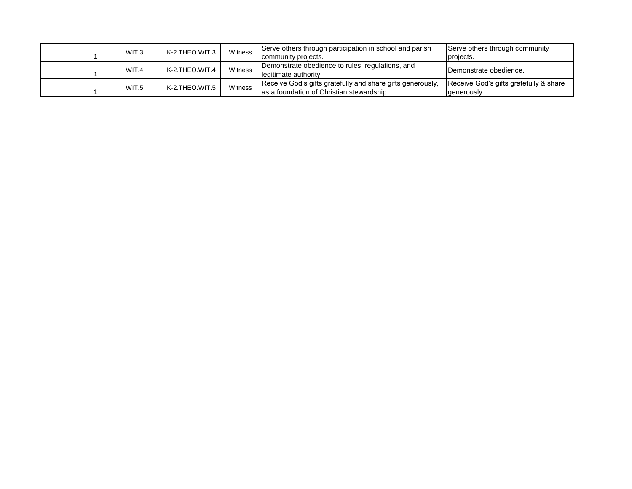|  | WIT.3 | K-2.THEO.WIT.3 | Witness | Serve others through participation in school and parish<br>community projects.                          | Serve others through community<br>projects.           |
|--|-------|----------------|---------|---------------------------------------------------------------------------------------------------------|-------------------------------------------------------|
|  | WIT.4 | K-2.THEO.WIT.4 | Witness | Demonstrate obedience to rules, regulations, and<br>legitimate authority.                               | Demonstrate obedience.                                |
|  | WIT.5 | K-2.THEO.WIT.5 | Witness | Receive God's gifts gratefully and share gifts generously,<br>as a foundation of Christian stewardship. | Receive God's gifts gratefully & share<br>generously. |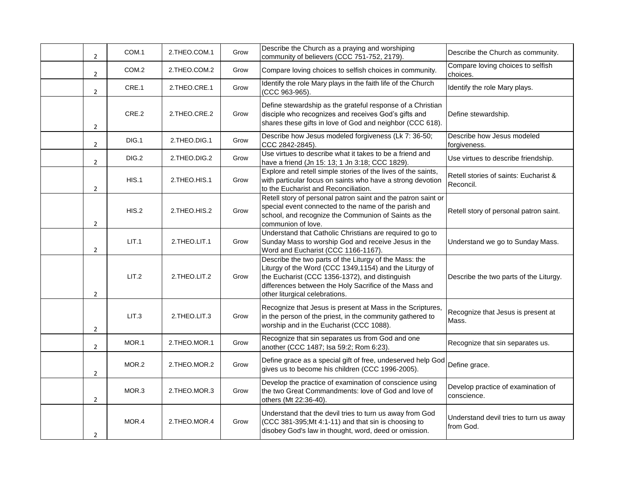| $\overline{2}$ | COM.1 | 2.THEO.COM.1 | Grow | Describe the Church as a praying and worshiping<br>community of believers (CCC 751-752, 2179).                                                                                                                                                                 | Describe the Church as community.                   |
|----------------|-------|--------------|------|----------------------------------------------------------------------------------------------------------------------------------------------------------------------------------------------------------------------------------------------------------------|-----------------------------------------------------|
| $\overline{2}$ | COM.2 | 2.THEO.COM.2 | Grow | Compare loving choices to selfish choices in community.                                                                                                                                                                                                        | Compare loving choices to selfish<br>choices.       |
| $\overline{2}$ | CRE.1 | 2.THEO.CRE.1 | Grow | Identify the role Mary plays in the faith life of the Church<br>(CCC 963-965).                                                                                                                                                                                 | Identify the role Mary plays.                       |
| 2              | CRE.2 | 2.THEO.CRE.2 | Grow | Define stewardship as the grateful response of a Christian<br>disciple who recognizes and receives God's gifts and<br>shares these gifts in love of God and neighbor (CCC 618).                                                                                | Define stewardship.                                 |
| $\overline{2}$ | DIG.1 | 2.THEO.DIG.1 | Grow | Describe how Jesus modeled forgiveness (Lk 7: 36-50;<br>CCC 2842-2845).                                                                                                                                                                                        | Describe how Jesus modeled<br>forgiveness.          |
| $\overline{2}$ | DIG.2 | 2.THEO.DIG.2 | Grow | Use virtues to describe what it takes to be a friend and<br>have a friend (Jn 15: 13; 1 Jn 3:18; CCC 1829).                                                                                                                                                    | Use virtues to describe friendship.                 |
| $\overline{2}$ | HIS.1 | 2.THEO.HIS.1 | Grow | Explore and retell simple stories of the lives of the saints,<br>with particular focus on saints who have a strong devotion<br>to the Eucharist and Reconciliation.                                                                                            | Retell stories of saints: Eucharist &<br>Reconcil.  |
| $\overline{2}$ | HIS.2 | 2.THEO.HIS.2 | Grow | Retell story of personal patron saint and the patron saint or<br>special event connected to the name of the parish and<br>school, and recognize the Communion of Saints as the<br>communion of love.                                                           | Retell story of personal patron saint.              |
| $\overline{2}$ | LIT.1 | 2.THEO.LIT.1 | Grow | Understand that Catholic Christians are required to go to<br>Sunday Mass to worship God and receive Jesus in the<br>Word and Eucharist (CCC 1166-1167).                                                                                                        | Understand we go to Sunday Mass.                    |
| $\overline{2}$ | LIT.2 | 2.THEO.LIT.2 | Grow | Describe the two parts of the Liturgy of the Mass: the<br>Liturgy of the Word (CCC 1349,1154) and the Liturgy of<br>the Eucharist (CCC 1356-1372), and distinguish<br>differences between the Holy Sacrifice of the Mass and<br>other liturgical celebrations. | Describe the two parts of the Liturgy.              |
| $\overline{2}$ | LIT.3 | 2.THEO.LIT.3 | Grow | Recognize that Jesus is present at Mass in the Scriptures,<br>in the person of the priest, in the community gathered to<br>worship and in the Eucharist (CCC 1088).                                                                                            | Recognize that Jesus is present at<br>Mass.         |
| $\overline{2}$ | MOR.1 | 2.THEO.MOR.1 | Grow | Recognize that sin separates us from God and one<br>another (CCC 1487; Isa 59:2; Rom 6:23).                                                                                                                                                                    | Recognize that sin separates us.                    |
| $\overline{2}$ | MOR.2 | 2.THEO.MOR.2 | Grow | Define grace as a special gift of free, undeserved help God<br>gives us to become his children (CCC 1996-2005).                                                                                                                                                | Define grace.                                       |
| $\overline{2}$ | MOR.3 | 2.THEO.MOR.3 | Grow | Develop the practice of examination of conscience using<br>the two Great Commandments: love of God and love of<br>others (Mt 22:36-40).                                                                                                                        | Develop practice of examination of<br>conscience.   |
| $\overline{2}$ | MOR.4 | 2.THEO.MOR.4 | Grow | Understand that the devil tries to turn us away from God<br>(CCC 381-395;Mt 4:1-11) and that sin is choosing to<br>disobey God's law in thought, word, deed or omission.                                                                                       | Understand devil tries to turn us away<br>from God. |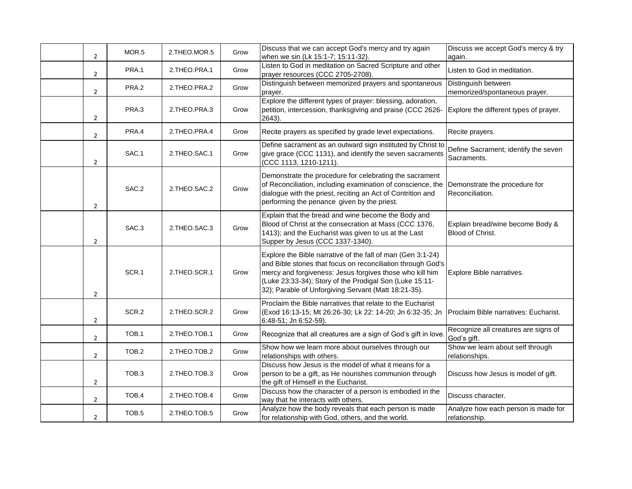| $\overline{2}$ | MOR.5             | 2.THEO.MOR.5    | Grow | Discuss that we can accept God's mercy and try again<br>when we sin (Lk 15:1-7; 15:11-32).                                                                                                                                                                                                                 | Discuss we accept God's mercy & try<br>again.        |
|----------------|-------------------|-----------------|------|------------------------------------------------------------------------------------------------------------------------------------------------------------------------------------------------------------------------------------------------------------------------------------------------------------|------------------------------------------------------|
| $\overline{2}$ | PRA.1             | 2.THEO.PRA.1    | Grow | Listen to God in meditation on Sacred Scripture and other<br>prayer resources (CCC 2705-2708).                                                                                                                                                                                                             | Listen to God in meditation.                         |
| $\overline{2}$ | PRA.2             | 2.THEO.PRA.2    | Grow | Distinguish between memorized prayers and spontaneous<br>prayer.                                                                                                                                                                                                                                           | Distinguish between<br>memorized/spontaneous prayer. |
| $\overline{2}$ | PRA.3             | 2.THEO.PRA.3    | Grow | Explore the different types of prayer: blessing, adoration,<br>petition, intercession, thanksgiving and praise (CCC 2626-<br>2643).                                                                                                                                                                        | Explore the different types of prayer.               |
| $\overline{2}$ | PRA.4             | 2.THEO.PRA.4    | Grow | Recite prayers as specified by grade level expectations.                                                                                                                                                                                                                                                   | Recite prayers.                                      |
| $\overline{2}$ | SAC.1             | 2.THEO.SAC.1    | Grow | Define sacrament as an outward sign instituted by Christ to<br>give grace (CCC 1131), and identify the seven sacraments<br>(CCC 1113, 1210-1211).                                                                                                                                                          | Define Sacrament; identify the seven<br>Sacraments.  |
| $\overline{2}$ | SAC.2             | 2.THEO.SAC.2    | Grow | Demonstrate the procedure for celebrating the sacrament<br>of Reconciliation, including examination of conscience, the Demonstrate the procedure for<br>dialogue with the priest, reciting an Act of Contrition and<br>performing the penance given by the priest.                                         | Reconciliation.                                      |
| 2              | SAC.3             | 2.THEO.SAC.3    | Grow | Explain that the bread and wine become the Body and<br>Blood of Christ at the consecration at Mass (CCC 1376,<br>1413); and the Eucharist was given to us at the Last<br>Supper by Jesus (CCC 1337-1340).                                                                                                  | Explain bread/wine become Body &<br>Blood of Christ. |
| $\overline{2}$ | SCR.1             | 2.THEO.SCR.1    | Grow | Explore the Bible narrative of the fall of man (Gen 3:1-24)<br>and Bible stories that focus on reconciliation through God's<br>mercy and forgiveness: Jesus forgives those who kill him<br>(Luke 23:33-34); Story of the Prodigal Son (Luke 15:11-<br>32); Parable of Unforgiving Servant (Matt 18:21-35). | Explore Bible narratives.                            |
| $\overline{2}$ | SCR.2             | 2.THEO.SCR.2    | Grow | Proclaim the Bible narratives that relate to the Eucharist<br>(Exod 16:13-15; Mt 26:26-30; Lk 22: 14-20; Jn 6:32-35; Jn<br>6:48-51; Jn 6:52-59).                                                                                                                                                           | Proclaim Bible narratives: Eucharist.                |
| $\overline{2}$ | TOB.1             | 2.THEO.TOB.1    | Grow | Recognize that all creatures are a sign of God's gift in love.                                                                                                                                                                                                                                             | Recognize all creatures are signs of<br>God's gift.  |
| $\overline{2}$ | TOB <sub>.2</sub> | 2.THEO.TOB.2    | Grow | Show how we learn more about ourselves through our<br>relationships with others.                                                                                                                                                                                                                           | Show we learn about self through<br>relationships.   |
| 2              | TOB.3             | 2. THEO. TOB. 3 | Grow | Discuss how Jesus is the model of what it means for a<br>person to be a gift, as He nourishes communion through<br>the gift of Himself in the Eucharist.                                                                                                                                                   | Discuss how Jesus is model of gift.                  |
| $\overline{2}$ | TOB.4             | 2.THEO.TOB.4    | Grow | Discuss how the character of a person is embodied in the<br>way that he interacts with others.                                                                                                                                                                                                             | Discuss character.                                   |
| $\overline{2}$ | TOB.5             | 2. THEO. TOB. 5 | Grow | Analyze how the body reveals that each person is made<br>for relationship with God, others, and the world.                                                                                                                                                                                                 | Analyze how each person is made for<br>relationship. |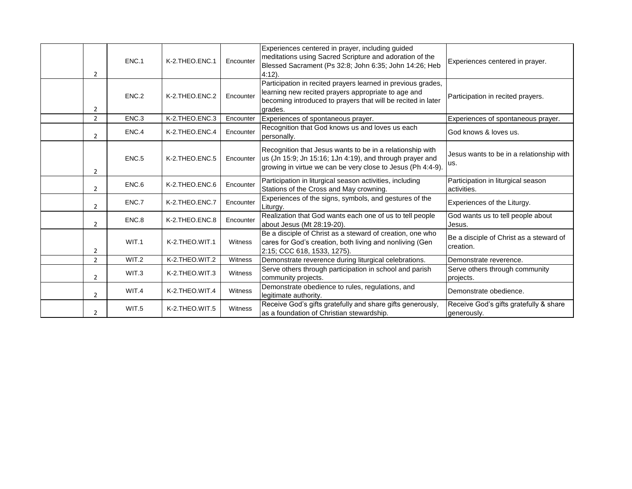| 2              | ENC.1 | K-2.THEO.ENC.1 | Encounter | Experiences centered in prayer, including guided<br>meditations using Sacred Scripture and adoration of the<br>Blessed Sacrament (Ps 32:8; John 6:35; John 14:26; Heb<br>$4:12$ ).             | Experiences centered in prayer.                       |
|----------------|-------|----------------|-----------|------------------------------------------------------------------------------------------------------------------------------------------------------------------------------------------------|-------------------------------------------------------|
| 2              | ENC.2 | K-2.THEO.ENC.2 | Encounter | Participation in recited prayers learned in previous grades,<br>learning new recited prayers appropriate to age and<br>becoming introduced to prayers that will be recited in later<br>grades. | Participation in recited prayers.                     |
| $\overline{2}$ | ENC.3 | K-2.THEO.ENC.3 | Encounter | Experiences of spontaneous prayer.                                                                                                                                                             | Experiences of spontaneous prayer.                    |
| $\overline{2}$ | ENC.4 | K-2.THEO.ENC.4 | Encounter | Recognition that God knows us and loves us each<br>personally.                                                                                                                                 | God knows & loves us.                                 |
| 2              | ENC.5 | K-2.THEO.ENC.5 | Encounter | Recognition that Jesus wants to be in a relationship with<br>us (Jn 15:9; Jn 15:16; 1Jn 4:19), and through prayer and<br>growing in virtue we can be very close to Jesus (Ph 4:4-9).           | Jesus wants to be in a relationship with<br>lus.      |
| $\overline{2}$ | ENC.6 | K-2.THEO.ENC.6 | Encounter | Participation in liturgical season activities, including<br>Stations of the Cross and May crowning.                                                                                            | Participation in liturgical season<br>activities.     |
| $\overline{2}$ | ENC.7 | K-2.THEO.ENC.7 | Encounter | Experiences of the signs, symbols, and gestures of the<br>Liturgy.                                                                                                                             | Experiences of the Liturgy.                           |
| $\overline{2}$ | ENC.8 | K-2.THEO.ENC.8 | Encounter | Realization that God wants each one of us to tell people<br>about Jesus (Mt 28:19-20).                                                                                                         | God wants us to tell people about<br>Jesus.           |
| $\overline{2}$ | WIT.1 | K-2.THEO.WIT.1 | Witness   | Be a disciple of Christ as a steward of creation, one who<br>cares for God's creation, both living and nonliving (Gen<br>2:15; CCC 618, 1533, 1275).                                           | Be a disciple of Christ as a steward of<br>creation.  |
| $\overline{2}$ | WIT.2 | K-2.THEO.WIT.2 | Witness   | Demonstrate reverence during liturgical celebrations.                                                                                                                                          | Demonstrate reverence.                                |
| 2              | WIT.3 | K-2.THEO.WIT.3 | Witness   | Serve others through participation in school and parish<br>community projects.                                                                                                                 | Serve others through community<br>projects.           |
| $\overline{2}$ | WIT.4 | K-2.THEO.WIT.4 | Witness   | Demonstrate obedience to rules, regulations, and<br>legitimate authority.                                                                                                                      | Demonstrate obedience.                                |
| $\overline{2}$ | WIT.5 | K-2.THEO.WIT.5 | Witness   | Receive God's gifts gratefully and share gifts generously,<br>as a foundation of Christian stewardship.                                                                                        | Receive God's gifts gratefully & share<br>generously. |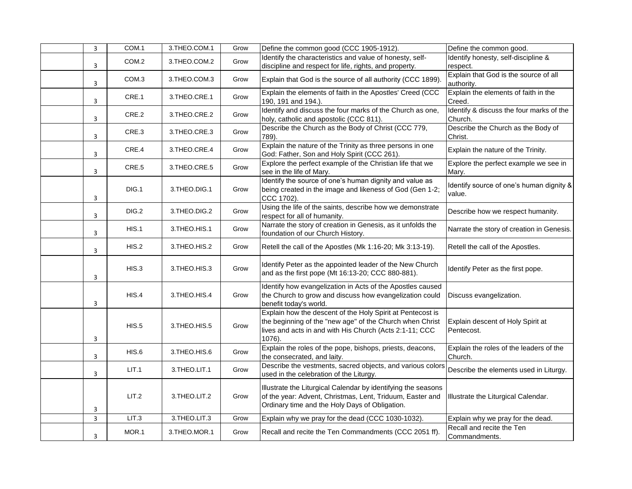| 3            | COM.1            | 3.THEO.COM.1 | Grow | Define the common good (CCC 1905-1912).                                                                                                                                                     | Define the common good.                             |
|--------------|------------------|--------------|------|---------------------------------------------------------------------------------------------------------------------------------------------------------------------------------------------|-----------------------------------------------------|
| 3            | COM.2            | 3.THEO.COM.2 | Grow | Identify the characteristics and value of honesty, self-<br>discipline and respect for life, rights, and property.                                                                          | Identify honesty, self-discipline &<br>respect.     |
| 3            | COM <sub>3</sub> | 3.THEO.COM.3 | Grow | Explain that God is the source of all authority (CCC 1899).                                                                                                                                 | Explain that God is the source of all<br>authority. |
| 3            | CRE.1            | 3.THEO.CRE.1 | Grow | Explain the elements of faith in the Apostles' Creed (CCC<br>190, 191 and 194.).                                                                                                            | Explain the elements of faith in the<br>Creed.      |
| 3            | CRE.2            | 3.THEO.CRE.2 | Grow | Identify and discuss the four marks of the Church as one,<br>holy, catholic and apostolic (CCC 811).                                                                                        | Identify & discuss the four marks of the<br>Church. |
| 3            | CRE.3            | 3.THEO.CRE.3 | Grow | Describe the Church as the Body of Christ (CCC 779,<br>789).                                                                                                                                | Describe the Church as the Body of<br>Christ.       |
| 3            | CRE.4            | 3.THEO.CRE.4 | Grow | Explain the nature of the Trinity as three persons in one<br>God: Father, Son and Holy Spirit (CCC 261).                                                                                    | Explain the nature of the Trinity.                  |
| 3            | CRE.5            | 3.THEO.CRE.5 | Grow | Explore the perfect example of the Christian life that we<br>see in the life of Mary.                                                                                                       | Explore the perfect example we see in<br>Mary.      |
| 3            | DIG.1            | 3.THEO.DIG.1 | Grow | Identify the source of one's human dignity and value as<br>being created in the image and likeness of God (Gen 1-2;<br>CCC 1702).                                                           | Identify source of one's human dignity &<br>value.  |
| 3            | DIG.2            | 3.THEO.DIG.2 | Grow | Using the life of the saints, describe how we demonstrate<br>respect for all of humanity.                                                                                                   | Describe how we respect humanity.                   |
| 3            | HIS.1            | 3.THEO.HIS.1 | Grow | Narrate the story of creation in Genesis, as it unfolds the<br>foundation of our Church History.                                                                                            | Narrate the story of creation in Genesis.           |
| 3            | HIS.2            | 3.THEO.HIS.2 | Grow | Retell the call of the Apostles (Mk 1:16-20; Mk 3:13-19).                                                                                                                                   | Retell the call of the Apostles.                    |
| 3            | HIS.3            | 3.THEO.HIS.3 | Grow | Identify Peter as the appointed leader of the New Church<br>and as the first pope (Mt 16:13-20; CCC 880-881).                                                                               | Identify Peter as the first pope.                   |
| 3            | HIS.4            | 3.THEO.HIS.4 | Grow | Identify how evangelization in Acts of the Apostles caused<br>the Church to grow and discuss how evangelization could<br>benefit today's world.                                             | Discuss evangelization.                             |
| 3            | HIS.5            | 3.THEO.HIS.5 | Grow | Explain how the descent of the Holy Spirit at Pentecost is<br>the beginning of the "new age" of the Church when Christ<br>lives and acts in and with His Church (Acts 2:1-11; CCC<br>1076). | Explain descent of Holy Spirit at<br>Pentecost.     |
| 3            | HIS.6            | 3.THEO.HIS.6 | Grow | Explain the roles of the pope, bishops, priests, deacons,<br>the consecrated, and laity.                                                                                                    | Explain the roles of the leaders of the<br>Church.  |
| 3            | LIT.1            | 3.THEO.LIT.1 | Grow | Describe the vestments, sacred objects, and various colors<br>used in the celebration of the Liturgy.                                                                                       | Describe the elements used in Liturgy.              |
| 3            | LIT.2            | 3.THEO.LIT.2 | Grow | Illustrate the Liturgical Calendar by identifying the seasons<br>of the year: Advent, Christmas, Lent, Triduum, Easter and<br>Ordinary time and the Holy Days of Obligation.                | Illustrate the Liturgical Calendar.                 |
| $\mathbf{3}$ | LIT.3            | 3.THEO.LIT.3 | Grow | Explain why we pray for the dead (CCC 1030-1032).                                                                                                                                           | Explain why we pray for the dead.                   |
| 3            | MOR.1            | 3.THEO.MOR.1 | Grow | Recall and recite the Ten Commandments (CCC 2051 ff).                                                                                                                                       | Recall and recite the Ten<br>Commandments.          |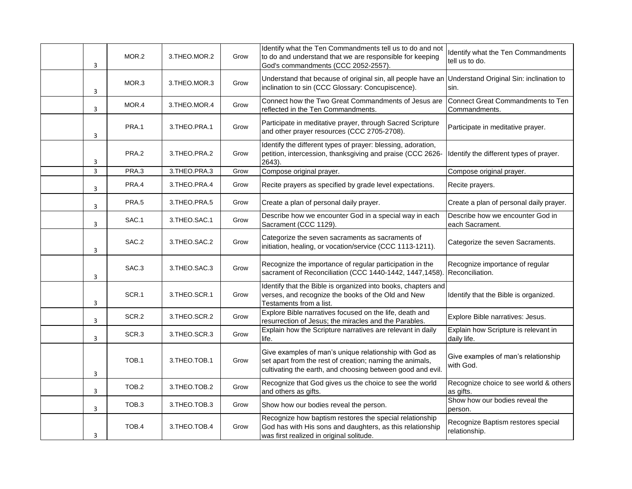| 3 | MOR.2            | 3.THEO.MOR.2    | Grow | Identify what the Ten Commandments tell us to do and not<br>to do and understand that we are responsible for keeping<br>God's commandments (CCC 2052-2557).                      | Identify what the Ten Commandments<br>tell us to do. |
|---|------------------|-----------------|------|----------------------------------------------------------------------------------------------------------------------------------------------------------------------------------|------------------------------------------------------|
| 3 | MOR.3            | 3.THEO.MOR.3    | Grow | Understand that because of original sin, all people have an<br>inclination to sin (CCC Glossary: Concupiscence).                                                                 | Understand Original Sin: inclination to<br>sin.      |
| 3 | MOR.4            | 3.THEO.MOR.4    | Grow | Connect how the Two Great Commandments of Jesus are<br>reflected in the Ten Commandments.                                                                                        | Connect Great Commandments to Ten<br>Commandments.   |
| 3 | PRA.1            | 3.THEO.PRA.1    | Grow | Participate in meditative prayer, through Sacred Scripture<br>and other prayer resources (CCC 2705-2708).                                                                        | Participate in meditative prayer.                    |
| 3 | PRA.2            | 3.THEO.PRA.2    | Grow | Identify the different types of prayer: blessing, adoration,<br>petition, intercession, thanksgiving and praise (CCC 2626-<br>2643).                                             | Identify the different types of prayer.              |
| 3 | PRA.3            | 3.THEO.PRA.3    | Grow | Compose original prayer.                                                                                                                                                         | Compose original prayer.                             |
| 3 | PRA.4            | 3.THEO.PRA.4    | Grow | Recite prayers as specified by grade level expectations.                                                                                                                         | Recite prayers.                                      |
| 3 | PRA.5            | 3.THEO.PRA.5    | Grow | Create a plan of personal daily prayer.                                                                                                                                          | Create a plan of personal daily prayer.              |
| 3 | SAC.1            | 3. THEO. SAC. 1 | Grow | Describe how we encounter God in a special way in each<br>Sacrament (CCC 1129).                                                                                                  | Describe how we encounter God in<br>each Sacrament.  |
| 3 | SAC.2            | 3.THEO.SAC.2    | Grow | Categorize the seven sacraments as sacraments of<br>initiation, healing, or vocation/service (CCC 1113-1211).                                                                    | Categorize the seven Sacraments.                     |
| 3 | SAC.3            | 3.THEO.SAC.3    | Grow | Recognize the importance of regular participation in the<br>sacrament of Reconciliation (CCC 1440-1442, 1447, 1458).                                                             | Recognize importance of regular<br>Reconciliation.   |
| 3 | SCR.1            | 3.THEO.SCR.1    | Grow | Identify that the Bible is organized into books, chapters and<br>verses, and recognize the books of the Old and New<br>Testaments from a list.                                   | Identify that the Bible is organized.                |
| 3 | SCR.2            | 3.THEO.SCR.2    | Grow | Explore Bible narratives focused on the life, death and<br>resurrection of Jesus; the miracles and the Parables.                                                                 | Explore Bible narratives: Jesus.                     |
| 3 | SCR.3            | 3.THEO.SCR.3    | Grow | Explain how the Scripture narratives are relevant in daily<br>life.                                                                                                              | Explain how Scripture is relevant in<br>daily life.  |
| 3 | TOB.1            | 3. THEO. TOB. 1 | Grow | Give examples of man's unique relationship with God as<br>set apart from the rest of creation; naming the animals,<br>cultivating the earth, and choosing between good and evil. | Give examples of man's relationship<br>with God.     |
| 3 | TOB.2            | 3.THEO.TOB.2    | Grow | Recognize that God gives us the choice to see the world<br>and others as gifts.                                                                                                  | Recognize choice to see world & others<br>as gifts.  |
| 3 | TOB <sub>3</sub> | 3.THEO.TOB.3    | Grow | Show how our bodies reveal the person.                                                                                                                                           | Show how our bodies reveal the<br>person.            |
| 3 | TOB.4            | 3.THEO.TOB.4    | Grow | Recognize how baptism restores the special relationship<br>God has with His sons and daughters, as this relationship<br>was first realized in original solitude.                 | Recognize Baptism restores special<br>relationship.  |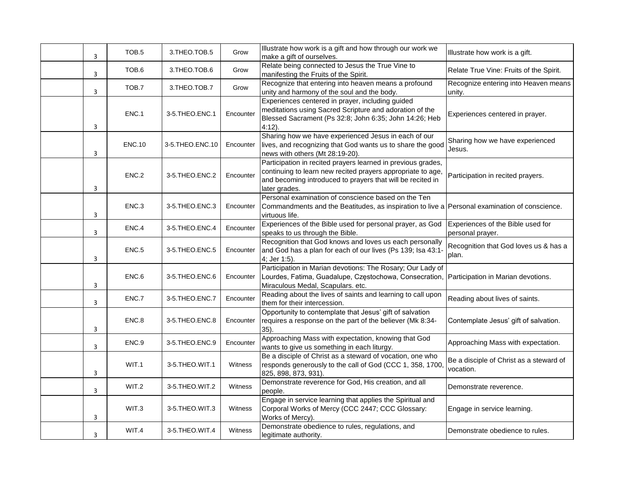| 3 | TOB.5         | 3.THEO.TOB.5    | Grow      | Illustrate how work is a gift and how through our work we<br>make a gift of ourselves.                                                                                                                     | Illustrate how work is a gift.                        |
|---|---------------|-----------------|-----------|------------------------------------------------------------------------------------------------------------------------------------------------------------------------------------------------------------|-------------------------------------------------------|
| 3 | TOB.6         | 3.THEO.TOB.6    | Grow      | Relate being connected to Jesus the True Vine to<br>manifesting the Fruits of the Spirit.                                                                                                                  | Relate True Vine: Fruits of the Spirit.               |
| 3 | TOB.7         | 3.THEO.TOB.7    | Grow      | Recognize that entering into heaven means a profound<br>unity and harmony of the soul and the body.                                                                                                        | Recognize entering into Heaven means<br>unity.        |
| 3 | ENC.1         | 3-5.THEO.ENC.1  | Encounter | Experiences centered in prayer, including guided<br>meditations using Sacred Scripture and adoration of the<br>Blessed Sacrament (Ps 32:8; John 6:35; John 14:26; Heb<br>$4:12$ ).                         | Experiences centered in prayer.                       |
| 3 | <b>ENC.10</b> | 3-5.THEO.ENC.10 | Encounter | Sharing how we have experienced Jesus in each of our<br>lives, and recognizing that God wants us to share the good<br>news with others (Mt 28:19-20).                                                      | Sharing how we have experienced<br>Jesus.             |
| 3 | ENC.2         | 3-5.THEO.ENC.2  | Encounter | Participation in recited prayers learned in previous grades,<br>continuing to learn new recited prayers appropriate to age,<br>and becoming introduced to prayers that will be recited in<br>later grades. | Participation in recited prayers.                     |
| 3 | ENC.3         | 3-5.THEO.ENC.3  | Encounter | Personal examination of conscience based on the Ten<br>Commandments and the Beatitudes, as inspiration to live a Personal examination of conscience.<br>virtuous life.                                     |                                                       |
| 3 | ENC.4         | 3-5.THEO.ENC.4  | Encounter | Experiences of the Bible used for personal prayer, as God<br>speaks to us through the Bible.                                                                                                               | Experiences of the Bible used for<br>personal prayer. |
| 3 | ENC.5         | 3-5.THEO.ENC.5  | Encounter | Recognition that God knows and loves us each personally<br>and God has a plan for each of our lives (Ps 139; Isa 43:1<br>4; Jer 1:5).                                                                      | Recognition that God loves us & has a<br>plan.        |
| 3 | ENC.6         | 3-5.THEO.ENC.6  | Encounter | Participation in Marian devotions: The Rosary; Our Lady of<br>Lourdes, Fatima, Guadalupe, Częstochowa, Consecration,<br>Miraculous Medal, Scapulars. etc.                                                  | Participation in Marian devotions.                    |
| 3 | ENC.7         | 3-5.THEO.ENC.7  | Encounter | Reading about the lives of saints and learning to call upon<br>them for their intercession.                                                                                                                | Reading about lives of saints.                        |
| 3 | ENC.8         | 3-5.THEO.ENC.8  | Encounter | Opportunity to contemplate that Jesus' gift of salvation<br>requires a response on the part of the believer (Mk 8:34-<br>35).                                                                              | Contemplate Jesus' gift of salvation.                 |
| 3 | ENC.9         | 3-5.THEO.ENC.9  | Encounter | Approaching Mass with expectation, knowing that God<br>wants to give us something in each liturgy.                                                                                                         | Approaching Mass with expectation.                    |
| 3 | WIT.1         | 3-5.THEO.WIT.1  | Witness   | Be a disciple of Christ as a steward of vocation, one who<br>responds generously to the call of God (CCC 1, 358, 1700,<br>825, 898, 873, 931).                                                             | Be a disciple of Christ as a steward of<br>vocation.  |
| 3 | WIT.2         | 3-5.THEO.WIT.2  | Witness   | Demonstrate reverence for God, His creation, and all<br>people.                                                                                                                                            | Demonstrate reverence.                                |
| 3 | WIT.3         | 3-5.THEO.WIT.3  | Witness   | Engage in service learning that applies the Spiritual and<br>Corporal Works of Mercy (CCC 2447; CCC Glossary:<br>Works of Mercy).                                                                          | Engage in service learning.                           |
| 3 | WIT.4         | 3-5.THEO.WIT.4  | Witness   | Demonstrate obedience to rules, regulations, and<br>legitimate authority.                                                                                                                                  | Demonstrate obedience to rules.                       |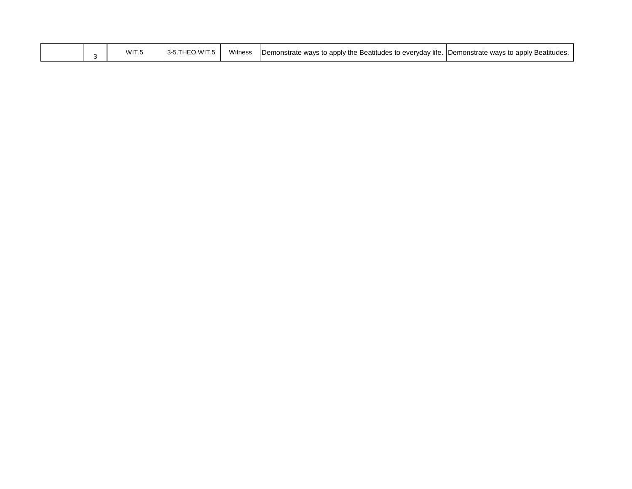|  |  | WIT.5 | - 3-5.THEO.WIT | Witness | Demonstrate ways to apply the Beatitudes to everyday life. Demonstrate ways to apply Beatitudes. |  |
|--|--|-------|----------------|---------|--------------------------------------------------------------------------------------------------|--|
|--|--|-------|----------------|---------|--------------------------------------------------------------------------------------------------|--|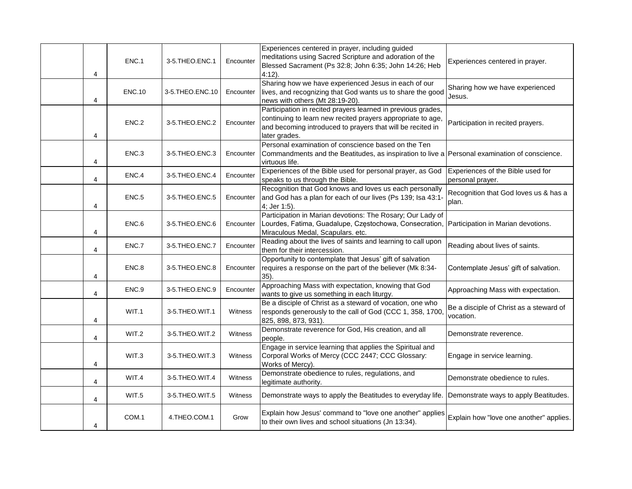| 4 | ENC.1             | 3-5.THEO.ENC.1     | Encounter | Experiences centered in prayer, including guided<br>meditations using Sacred Scripture and adoration of the<br>Blessed Sacrament (Ps 32:8; John 6:35; John 14:26; Heb<br>$4:12$ ).                         | Experiences centered in prayer.                       |
|---|-------------------|--------------------|-----------|------------------------------------------------------------------------------------------------------------------------------------------------------------------------------------------------------------|-------------------------------------------------------|
| 4 | <b>ENC.10</b>     | 3-5. THEO. ENC. 10 | Encounter | Sharing how we have experienced Jesus in each of our<br>lives, and recognizing that God wants us to share the good<br>news with others (Mt 28:19-20).                                                      | Sharing how we have experienced<br>Jesus.             |
| 4 | ENC.2             | 3-5.THEO.ENC.2     | Encounter | Participation in recited prayers learned in previous grades,<br>continuing to learn new recited prayers appropriate to age,<br>and becoming introduced to prayers that will be recited in<br>later grades. | Participation in recited prayers.                     |
| 4 | ENC.3             | 3-5.THEO.ENC.3     | Encounter | Personal examination of conscience based on the Ten<br>Commandments and the Beatitudes, as inspiration to live a Personal examination of conscience.<br>virtuous life.                                     |                                                       |
| 4 | ENC.4             | 3-5.THEO.ENC.4     | Encounter | Experiences of the Bible used for personal prayer, as God<br>speaks to us through the Bible.                                                                                                               | Experiences of the Bible used for<br>personal prayer. |
| 4 | ENC <sub>.5</sub> | 3-5.THEO.ENC.5     | Encounter | Recognition that God knows and loves us each personally<br>and God has a plan for each of our lives (Ps 139; Isa 43:1-<br>4; Jer 1:5).                                                                     | Recognition that God loves us & has a<br>plan.        |
| 4 | ENC.6             | 3-5.THEO.ENC.6     | Encounter | Participation in Marian devotions: The Rosary; Our Lady of<br>Lourdes, Fatima, Guadalupe, Częstochowa, Consecration, Participation in Marian devotions.<br>Miraculous Medal, Scapulars. etc.               |                                                       |
| 4 | ENC.7             | 3-5.THEO.ENC.7     | Encounter | Reading about the lives of saints and learning to call upon<br>them for their intercession.                                                                                                                | Reading about lives of saints.                        |
| 4 | ENC.8             | 3-5.THEO.ENC.8     | Encounter | Opportunity to contemplate that Jesus' gift of salvation<br>requires a response on the part of the believer (Mk 8:34-<br>35).                                                                              | Contemplate Jesus' gift of salvation.                 |
| 4 | ENC.9             | 3-5.THEO.ENC.9     | Encounter | Approaching Mass with expectation, knowing that God<br>wants to give us something in each liturgy.                                                                                                         | Approaching Mass with expectation.                    |
| 4 | WIT.1             | 3-5.THEO.WIT.1     | Witness   | Be a disciple of Christ as a steward of vocation, one who<br>responds generously to the call of God (CCC 1, 358, 1700,<br>825, 898, 873, 931).                                                             | Be a disciple of Christ as a steward of<br>vocation.  |
| 4 | WIT.2             | 3-5.THEO.WIT.2     | Witness   | Demonstrate reverence for God, His creation, and all<br>people.                                                                                                                                            | Demonstrate reverence.                                |
| 4 | WIT.3             | 3-5.THEO.WIT.3     | Witness   | Engage in service learning that applies the Spiritual and<br>Corporal Works of Mercy (CCC 2447; CCC Glossary:<br>Works of Mercy).                                                                          | Engage in service learning.                           |
| 4 | WIT.4             | 3-5.THEO.WIT.4     | Witness   | Demonstrate obedience to rules, regulations, and<br>legitimate authority.                                                                                                                                  | Demonstrate obedience to rules.                       |
| 4 | WIT.5             | 3-5.THEO.WIT.5     | Witness   | Demonstrate ways to apply the Beatitudes to everyday life. Demonstrate ways to apply Beatitudes.                                                                                                           |                                                       |
| 4 | COM.1             | 4.THEO.COM.1       | Grow      | Explain how Jesus' command to "love one another" applies<br>to their own lives and school situations (Jn 13:34).                                                                                           | Explain how "love one another" applies.               |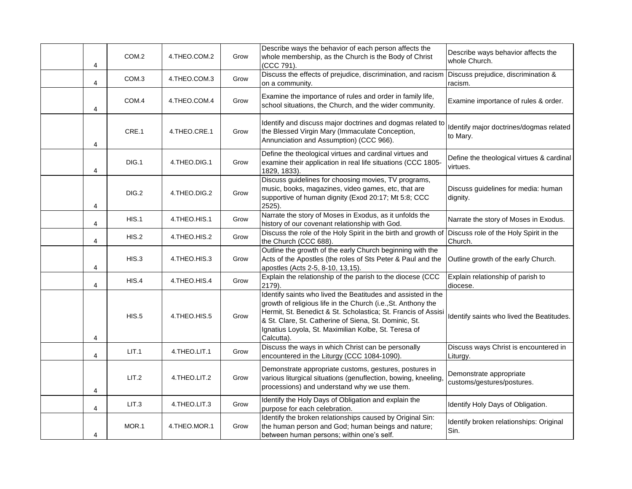| 4 | COM.2 | 4.THEO.COM.2 | Grow | Describe ways the behavior of each person affects the<br>whole membership, as the Church is the Body of Christ<br>(CCC 791).                                                                                                                                                                                                  | Describe ways behavior affects the<br>whole Church.   |
|---|-------|--------------|------|-------------------------------------------------------------------------------------------------------------------------------------------------------------------------------------------------------------------------------------------------------------------------------------------------------------------------------|-------------------------------------------------------|
| 4 | COM.3 | 4.THEO.COM.3 | Grow | Discuss the effects of prejudice, discrimination, and racism Discuss prejudice, discrimination &<br>on a community.                                                                                                                                                                                                           | racism.                                               |
| 4 | COM.4 | 4.THEO.COM.4 | Grow | Examine the importance of rules and order in family life,<br>school situations, the Church, and the wider community.                                                                                                                                                                                                          | Examine importance of rules & order.                  |
| 4 | CRE.1 | 4.THEO.CRE.1 | Grow | Identify and discuss major doctrines and dogmas related to<br>the Blessed Virgin Mary (Immaculate Conception,<br>Annunciation and Assumption) (CCC 966).                                                                                                                                                                      | Identify major doctrines/dogmas related<br>to Mary.   |
| 4 | DIG.1 | 4.THEO.DIG.1 | Grow | Define the theological virtues and cardinal virtues and<br>examine their application in real life situations (CCC 1805-<br>1829, 1833).                                                                                                                                                                                       | Define the theological virtues & cardinal<br>virtues. |
| 4 | DIG.2 | 4.THEO.DIG.2 | Grow | Discuss guidelines for choosing movies, TV programs,<br>music, books, magazines, video games, etc, that are<br>supportive of human dignity (Exod 20:17; Mt 5:8; CCC<br>2525).                                                                                                                                                 | Discuss guidelines for media: human<br>dignity.       |
| 4 | HIS.1 | 4.THEO.HIS.1 | Grow | Narrate the story of Moses in Exodus, as it unfolds the<br>history of our covenant relationship with God.                                                                                                                                                                                                                     | Narrate the story of Moses in Exodus.                 |
| 4 | HIS.2 | 4.THEO.HIS.2 | Grow | Discuss the role of the Holy Spirit in the birth and growth of<br>the Church (CCC 688).                                                                                                                                                                                                                                       | Discuss role of the Holy Spirit in the<br>Church.     |
| 4 | HIS.3 | 4.THEO.HIS.3 | Grow | Outline the growth of the early Church beginning with the<br>Acts of the Apostles (the roles of Sts Peter & Paul and the<br>apostles (Acts 2-5, 8-10, 13,15).                                                                                                                                                                 | Outline growth of the early Church.                   |
| 4 | HIS.4 | 4.THEO.HIS.4 | Grow | Explain the relationship of the parish to the diocese (CCC<br>2179).                                                                                                                                                                                                                                                          | Explain relationship of parish to<br>diocese.         |
| 4 | HIS.5 | 4.THEO.HIS.5 | Grow | Identify saints who lived the Beatitudes and assisted in the<br>growth of religious life in the Church (i.e., St. Anthony the<br>Hermit, St. Benedict & St. Scholastica; St. Francis of Assisi<br>& St. Clare, St. Catherine of Siena, St. Dominic, St.<br>Ignatius Loyola, St. Maximilian Kolbe, St. Teresa of<br>Calcutta). | Identify saints who lived the Beatitudes.             |
| 4 | LIT.1 | 4.THEO.LIT.1 | Grow | Discuss the ways in which Christ can be personally<br>encountered in the Liturgy (CCC 1084-1090).                                                                                                                                                                                                                             | Discuss ways Christ is encountered in<br>Liturgy.     |
| 4 | LIT.2 | 4.THEO.LIT.2 | Grow | Demonstrate appropriate customs, gestures, postures in<br>various liturgical situations (genuflection, bowing, kneeling,<br>processions) and understand why we use them.                                                                                                                                                      | Demonstrate appropriate<br>customs/gestures/postures. |
| 4 | LIT.3 | 4.THEO.LIT.3 | Grow | Identify the Holy Days of Obligation and explain the<br>purpose for each celebration.                                                                                                                                                                                                                                         | Identify Holy Days of Obligation.                     |
| 4 | MOR.1 | 4.THEO.MOR.1 | Grow | Identify the broken relationships caused by Original Sin:<br>the human person and God; human beings and nature;<br>between human persons; within one's self.                                                                                                                                                                  | Identify broken relationships: Original<br>Sin.       |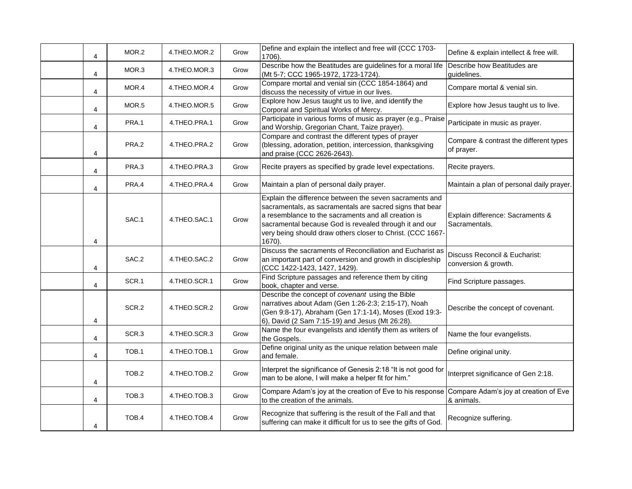| 4 | MOR.2            | 4.THEO.MOR.2 | Grow | Define and explain the intellect and free will (CCC 1703-<br>1706).                                                                                                                                                                                                                                          | Define & explain intellect & free will.               |
|---|------------------|--------------|------|--------------------------------------------------------------------------------------------------------------------------------------------------------------------------------------------------------------------------------------------------------------------------------------------------------------|-------------------------------------------------------|
| 4 | MOR.3            | 4.THEO.MOR.3 | Grow | Describe how the Beatitudes are guidelines for a moral life<br>(Mt 5-7; CCC 1965-1972, 1723-1724).                                                                                                                                                                                                           | Describe how Beatitudes are<br>guidelines.            |
| 4 | MOR.4            | 4.THEO.MOR.4 | Grow | Compare mortal and venial sin (CCC 1854-1864) and<br>discuss the necessity of virtue in our lives.                                                                                                                                                                                                           | Compare mortal & venial sin.                          |
| 4 | MOR.5            | 4.THEO.MOR.5 | Grow | Explore how Jesus taught us to live, and identify the<br>Corporal and Spiritual Works of Mercy.                                                                                                                                                                                                              | Explore how Jesus taught us to live.                  |
| 4 | PRA.1            | 4.THEO.PRA.1 | Grow | Participate in various forms of music as prayer (e.g., Praise<br>and Worship, Gregorian Chant, Taize prayer).                                                                                                                                                                                                | Participate in music as prayer.                       |
| 4 | PRA.2            | 4.THEO.PRA.2 | Grow | Compare and contrast the different types of prayer<br>(blessing, adoration, petition, intercession, thanksgiving<br>and praise (CCC 2626-2643).                                                                                                                                                              | Compare & contrast the different types<br>of prayer.  |
| 4 | PRA.3            | 4.THEO.PRA.3 | Grow | Recite prayers as specified by grade level expectations.                                                                                                                                                                                                                                                     | Recite prayers.                                       |
| 4 | PRA.4            | 4.THEO.PRA.4 | Grow | Maintain a plan of personal daily prayer.                                                                                                                                                                                                                                                                    | Maintain a plan of personal daily prayer.             |
| 4 | SAC.1            | 4.THEO.SAC.1 | Grow | Explain the difference between the seven sacraments and<br>sacramentals, as sacramentals are sacred signs that bear<br>a resemblance to the sacraments and all creation is<br>sacramental because God is revealed through it and our<br>very being should draw others closer to Christ. (CCC 1667-<br>1670). | Explain difference: Sacraments &<br>Sacramentals.     |
| 4 | SAC.2            | 4.THEO.SAC.2 | Grow | Discuss the sacraments of Reconciliation and Eucharist as<br>an important part of conversion and growth in discipleship<br>(CCC 1422-1423, 1427, 1429).                                                                                                                                                      | Discuss Reconcil & Eucharist:<br>conversion & growth. |
| 4 | SCR.1            | 4.THEO.SCR.1 | Grow | Find Scripture passages and reference them by citing<br>book, chapter and verse.                                                                                                                                                                                                                             | Find Scripture passages.                              |
| 4 | SCR.2            | 4.THEO.SCR.2 | Grow | Describe the concept of covenant using the Bible<br>narratives about Adam (Gen 1:26-2:3; 2:15-17), Noah<br>(Gen 9:8-17), Abraham (Gen 17:1-14), Moses (Exod 19:3-<br>6), David (2 Sam 7:15-19) and Jesus (Mt 26:28).                                                                                         | Describe the concept of covenant.                     |
| 4 | SCR.3            | 4.THEO.SCR.3 | Grow | Name the four evangelists and identify them as writers of<br>the Gospels.                                                                                                                                                                                                                                    | Name the four evangelists.                            |
| 4 | TOB.1            | 4.THEO.TOB.1 | Grow | Define original unity as the unique relation between male<br>and female.                                                                                                                                                                                                                                     | Define original unity.                                |
| 4 | TOB.2            | 4.THEO.TOB.2 | Grow | Interpret the significance of Genesis 2:18 "It is not good for<br>man to be alone, I will make a helper fit for him."                                                                                                                                                                                        | Interpret significance of Gen 2:18.                   |
| 4 | TOB <sub>3</sub> | 4.THEO.TOB.3 | Grow | Compare Adam's joy at the creation of Eve to his response Compare Adam's joy at creation of Eve<br>to the creation of the animals.                                                                                                                                                                           | & animals.                                            |
| 4 | TOB.4            | 4.THEO.TOB.4 | Grow | Recognize that suffering is the result of the Fall and that<br>suffering can make it difficult for us to see the gifts of God.                                                                                                                                                                               | Recognize suffering.                                  |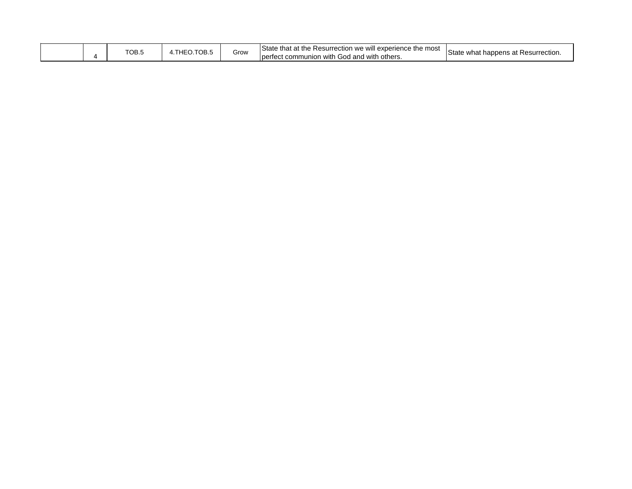|  |  | TOPF<br>ס.סט | $LIPO$ TOD $F$<br>IUB.<br>−− | Grow | State<br>Resurrection we will experience the most<br>that at the !<br>with God<br>: others<br>communion<br>perfect<br>$\mathsf{\mu}$ and with $\mathsf{\tau}$ | State<br>* Resurrection.<br>vhat happens at K י |
|--|--|--------------|------------------------------|------|---------------------------------------------------------------------------------------------------------------------------------------------------------------|-------------------------------------------------|
|--|--|--------------|------------------------------|------|---------------------------------------------------------------------------------------------------------------------------------------------------------------|-------------------------------------------------|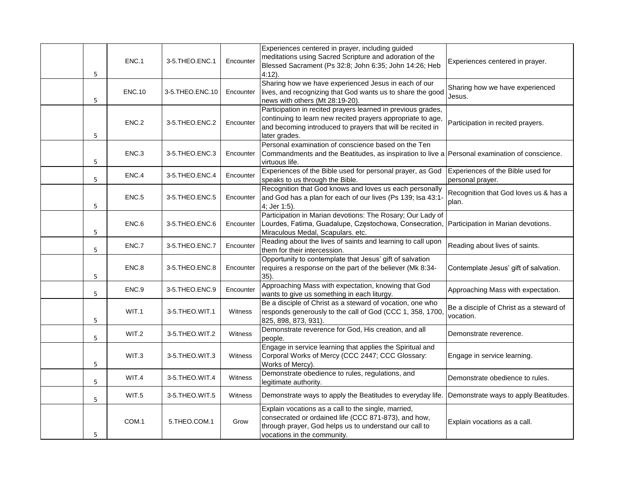| 5 | ENC.1             | 3-5.THEO.ENC.1  | Encounter | Experiences centered in prayer, including guided<br>meditations using Sacred Scripture and adoration of the<br>Blessed Sacrament (Ps 32:8; John 6:35; John 14:26; Heb<br>$4:12$ ).                         | Experiences centered in prayer.                       |
|---|-------------------|-----------------|-----------|------------------------------------------------------------------------------------------------------------------------------------------------------------------------------------------------------------|-------------------------------------------------------|
| 5 | <b>ENC.10</b>     | 3-5.THEO.ENC.10 | Encounter | Sharing how we have experienced Jesus in each of our<br>lives, and recognizing that God wants us to share the good<br>news with others (Mt 28:19-20).                                                      | Sharing how we have experienced<br>Jesus.             |
| 5 | ENC.2             | 3-5.THEO.ENC.2  | Encounter | Participation in recited prayers learned in previous grades,<br>continuing to learn new recited prayers appropriate to age,<br>and becoming introduced to prayers that will be recited in<br>later grades. | Participation in recited prayers.                     |
| 5 | ENC.3             | 3-5.THEO.ENC.3  | Encounter | Personal examination of conscience based on the Ten<br>Commandments and the Beatitudes, as inspiration to live a Personal examination of conscience.<br>virtuous life.                                     |                                                       |
| 5 | ENC.4             | 3-5.THEO.ENC.4  | Encounter | Experiences of the Bible used for personal prayer, as God<br>speaks to us through the Bible.                                                                                                               | Experiences of the Bible used for<br>personal prayer. |
| 5 | ENC <sub>.5</sub> | 3-5.THEO.ENC.5  | Encounter | Recognition that God knows and loves us each personally<br>and God has a plan for each of our lives (Ps 139; Isa 43:1-<br>4; Jer 1:5).                                                                     | Recognition that God loves us & has a<br>plan.        |
| 5 | ENC.6             | 3-5.THEO.ENC.6  | Encounter | Participation in Marian devotions: The Rosary; Our Lady of<br>Lourdes, Fatima, Guadalupe, Częstochowa, Consecration, Participation in Marian devotions.<br>Miraculous Medal, Scapulars. etc.               |                                                       |
| 5 | ENC.7             | 3-5.THEO.ENC.7  | Encounter | Reading about the lives of saints and learning to call upon<br>them for their intercession.                                                                                                                | Reading about lives of saints.                        |
| 5 | ENC.8             | 3-5.THEO.ENC.8  | Encounter | Opportunity to contemplate that Jesus' gift of salvation<br>requires a response on the part of the believer (Mk 8:34-<br>$35$ ).                                                                           | Contemplate Jesus' gift of salvation.                 |
| 5 | ENC.9             | 3-5.THEO.ENC.9  | Encounter | Approaching Mass with expectation, knowing that God<br>wants to give us something in each liturgy.                                                                                                         | Approaching Mass with expectation.                    |
| 5 | WIT.1             | 3-5.THEO.WIT.1  | Witness   | Be a disciple of Christ as a steward of vocation, one who<br>responds generously to the call of God (CCC 1, 358, 1700,<br>825, 898, 873, 931).                                                             | Be a disciple of Christ as a steward of<br>vocation.  |
| 5 | WIT.2             | 3-5.THEO.WIT.2  | Witness   | Demonstrate reverence for God, His creation, and all<br>people.                                                                                                                                            | Demonstrate reverence.                                |
| 5 | WIT.3             | 3-5.THEO.WIT.3  | Witness   | Engage in service learning that applies the Spiritual and<br>Corporal Works of Mercy (CCC 2447; CCC Glossary:<br>Works of Mercy).                                                                          | Engage in service learning.                           |
| 5 | WIT.4             | 3-5.THEO.WIT.4  | Witness   | Demonstrate obedience to rules, regulations, and<br>legitimate authority.                                                                                                                                  | Demonstrate obedience to rules.                       |
| 5 | WIT.5             | 3-5.THEO.WIT.5  | Witness   | Demonstrate ways to apply the Beatitudes to everyday life. Demonstrate ways to apply Beatitudes.                                                                                                           |                                                       |
| 5 | COM.1             | 5.THEO.COM.1    | Grow      | Explain vocations as a call to the single, married,<br>consecrated or ordained life (CCC 871-873), and how,<br>through prayer, God helps us to understand our call to<br>vocations in the community.       | Explain vocations as a call.                          |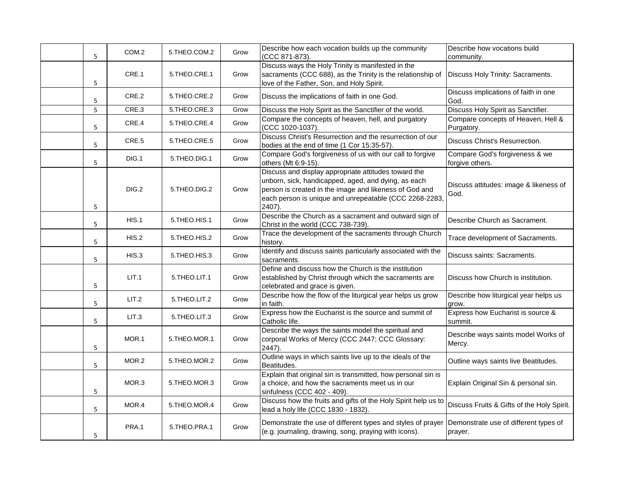| 5 | COM.2 | 5.THEO.COM.2 | Grow | Describe how each vocation builds up the community<br>(CCC 871-873).                                                                                                                                                                      | Describe how vocations build<br>community.        |
|---|-------|--------------|------|-------------------------------------------------------------------------------------------------------------------------------------------------------------------------------------------------------------------------------------------|---------------------------------------------------|
| 5 | CRE.1 | 5.THEO.CRE.1 | Grow | Discuss ways the Holy Trinity is manifested in the<br>sacraments (CCC 688), as the Trinity is the relationship of<br>love of the Father, Son, and Holy Spirit.                                                                            | Discuss Holy Trinity: Sacraments.                 |
| 5 | CRE.2 | 5.THEO.CRE.2 | Grow | Discuss the implications of faith in one God.                                                                                                                                                                                             | Discuss implications of faith in one<br>God.      |
| 5 | CRE.3 | 5.THEO.CRE.3 | Grow | Discuss the Holy Spirit as the Sanctifier of the world.                                                                                                                                                                                   | Discuss Holy Spirit as Sanctifier.                |
| 5 | CRE.4 | 5.THEO.CRE.4 | Grow | Compare the concepts of heaven, hell, and purgatory<br>(CCC 1020-1037).                                                                                                                                                                   | Compare concepts of Heaven, Hell &<br>Purgatory.  |
| 5 | CRE.5 | 5.THEO.CRE.5 | Grow | Discuss Christ's Resurrection and the resurrection of our<br>bodies at the end of time (1 Cor 15:35-57).                                                                                                                                  | Discuss Christ's Resurrection.                    |
| 5 | DIG.1 | 5.THEO.DIG.1 | Grow | Compare God's forgiveness of us with our call to forgive<br>others (Mt 6:9-15).                                                                                                                                                           | Compare God's forgiveness & we<br>forgive others. |
| 5 | DIG.2 | 5.THEO.DIG.2 | Grow | Discuss and display appropriate attitudes toward the<br>unborn, sick, handicapped, aged, and dying, as each<br>person is created in the image and likeness of God and<br>each person is unique and unrepeatable (CCC 2268-2283,<br>2407). | Discuss attitudes: image & likeness of<br>God.    |
| 5 | HIS.1 | 5.THEO.HIS.1 | Grow | Describe the Church as a sacrament and outward sign of<br>Christ in the world (CCC 738-739).                                                                                                                                              | Describe Church as Sacrament.                     |
| 5 | HIS.2 | 5.THEO.HIS.2 | Grow | Trace the development of the sacraments through Church<br>history.                                                                                                                                                                        | Trace development of Sacraments.                  |
| 5 | HIS.3 | 5.THEO.HIS.3 | Grow | Identify and discuss saints particularly associated with the<br>sacraments.                                                                                                                                                               | Discuss saints: Sacraments.                       |
| 5 | LIT.1 | 5.THEO.LIT.1 | Grow | Define and discuss how the Church is the institution<br>established by Christ through which the sacraments are<br>celebrated and grace is given.                                                                                          | Discuss how Church is institution.                |
| 5 | LIT.2 | 5.THEO.LIT.2 | Grow | Describe how the flow of the liturgical year helps us grow<br>in faith.                                                                                                                                                                   | Describe how liturgical year helps us<br>grow.    |
| 5 | LIT.3 | 5.THEO.LIT.3 | Grow | Express how the Eucharist is the source and summit of<br>Catholic life.                                                                                                                                                                   | Express how Eucharist is source &<br>summit.      |
| 5 | MOR.1 | 5.THEO.MOR.1 | Grow | Describe the ways the saints model the spiritual and<br>corporal Works of Mercy (CCC 2447; CCC Glossary:<br>2447).                                                                                                                        | Describe ways saints model Works of<br>Mercy.     |
| 5 | MOR.2 | 5.THEO.MOR.2 | Grow | Outline ways in which saints live up to the ideals of the<br>Beatitudes.                                                                                                                                                                  | Outline ways saints live Beatitudes.              |
| 5 | MOR.3 | 5.THEO.MOR.3 | Grow | Explain that original sin is transmitted, how personal sin is<br>a choice, and how the sacraments meet us in our<br>sinfulness (CCC 402 - 409).                                                                                           | Explain Original Sin & personal sin.              |
| 5 | MOR.4 | 5.THEO.MOR.4 | Grow | Discuss how the fruits and gifts of the Holy Spirit help us to<br>lead a holy life (CCC 1830 - 1832).                                                                                                                                     | Discuss Fruits & Gifts of the Holy Spirit.        |
| 5 | PRA.1 | 5.THEO.PRA.1 | Grow | Demonstrate the use of different types and styles of prayer<br>(e.g. journaling, drawing, song, praying with icons).                                                                                                                      | Demonstrate use of different types of<br>prayer.  |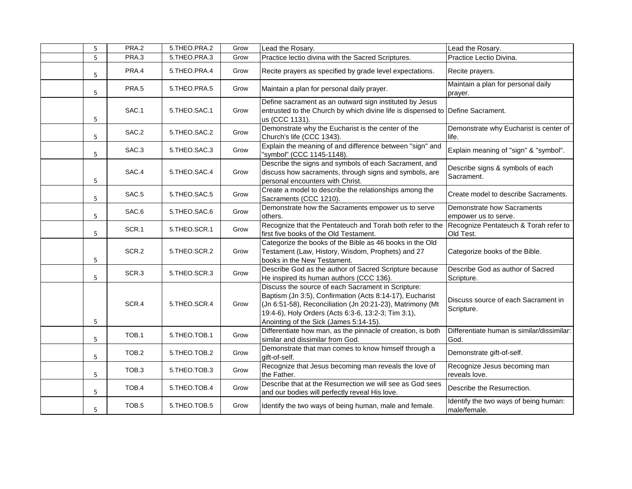| 5 | PRA.2 | 5.THEO.PRA.2 | Grow | Lead the Rosary.                                                                                                                                                                                                                                                             | Lead the Rosary.                                      |
|---|-------|--------------|------|------------------------------------------------------------------------------------------------------------------------------------------------------------------------------------------------------------------------------------------------------------------------------|-------------------------------------------------------|
| 5 | PRA.3 | 5.THEO.PRA.3 | Grow | Practice lectio divina with the Sacred Scriptures.                                                                                                                                                                                                                           | Practice Lectio Divina.                               |
| 5 | PRA.4 | 5.THEO.PRA.4 | Grow | Recite prayers as specified by grade level expectations.                                                                                                                                                                                                                     | Recite prayers.                                       |
| 5 | PRA.5 | 5.THEO.PRA.5 | Grow | Maintain a plan for personal daily prayer.                                                                                                                                                                                                                                   | Maintain a plan for personal daily<br>prayer.         |
| 5 | SAC.1 | 5.THEO.SAC.1 | Grow | Define sacrament as an outward sign instituted by Jesus<br>entrusted to the Church by which divine life is dispensed to Define Sacrament.<br>us (CCC 1131).                                                                                                                  |                                                       |
| 5 | SAC.2 | 5.THEO.SAC.2 | Grow | Demonstrate why the Eucharist is the center of the<br>Church's life (CCC 1343).                                                                                                                                                                                              | Demonstrate why Eucharist is center of<br>life.       |
| 5 | SAC.3 | 5.THEO.SAC.3 | Grow | Explain the meaning of and difference between "sign" and<br>"symbol" (CCC 1145-1148).                                                                                                                                                                                        | Explain meaning of "sign" & "symbol".                 |
| 5 | SAC.4 | 5.THEO.SAC.4 | Grow | Describe the signs and symbols of each Sacrament, and<br>discuss how sacraments, through signs and symbols, are<br>personal encounters with Christ.                                                                                                                          | Describe signs & symbols of each<br>Sacrament.        |
| 5 | SAC.5 | 5.THEO.SAC.5 | Grow | Create a model to describe the relationships among the<br>Sacraments (CCC 1210).                                                                                                                                                                                             | Create model to describe Sacraments.                  |
| 5 | SAC.6 | 5.THEO.SAC.6 | Grow | Demonstrate how the Sacraments empower us to serve<br>others.                                                                                                                                                                                                                | Demonstrate how Sacraments<br>empower us to serve.    |
| 5 | SCR.1 | 5.THEO.SCR.1 | Grow | Recognize that the Pentateuch and Torah both refer to the Recognize Pentateuch & Torah refer to<br>first five books of the Old Testament.                                                                                                                                    | Old Test.                                             |
| 5 | SCR.2 | 5.THEO.SCR.2 | Grow | Categorize the books of the Bible as 46 books in the Old<br>Testament (Law, History, Wisdom, Prophets) and 27<br>books in the New Testament.                                                                                                                                 | Categorize books of the Bible.                        |
| 5 | SCR.3 | 5.THEO.SCR.3 | Grow | Describe God as the author of Sacred Scripture because<br>He inspired its human authors (CCC 136).                                                                                                                                                                           | Describe God as author of Sacred<br>Scripture.        |
| 5 | SCR.4 | 5.THEO.SCR.4 | Grow | Discuss the source of each Sacrament in Scripture:<br>Baptism (Jn 3:5), Confirmation (Acts 8:14-17), Eucharist<br>(Jn 6:51-58), Reconciliation (Jn 20:21-23), Matrimony (Mt<br>19:4-6), Holy Orders (Acts 6:3-6, 13:2-3; Tim 3:1),<br>Anointing of the Sick (James 5:14-15). | Discuss source of each Sacrament in<br>Scripture.     |
| 5 | TOB.1 | 5.THEO.TOB.1 | Grow | Differentiate how man, as the pinnacle of creation, is both<br>similar and dissimilar from God.                                                                                                                                                                              | Differentiate human is similar/dissimilar:<br>God.    |
| 5 | TOB.2 | 5.THEO.TOB.2 | Grow | Demonstrate that man comes to know himself through a<br>gift-of-self.                                                                                                                                                                                                        | Demonstrate gift-of-self.                             |
| 5 | TOB.3 | 5.THEO.TOB.3 | Grow | Recognize that Jesus becoming man reveals the love of<br>the Father.                                                                                                                                                                                                         | Recognize Jesus becoming man<br>reveals love.         |
| 5 | TOB.4 | 5.THEO.TOB.4 | Grow | Describe that at the Resurrection we will see as God sees<br>and our bodies will perfectly reveal His love.                                                                                                                                                                  | Describe the Resurrection.                            |
| 5 | TOB.5 | 5.THEO.TOB.5 | Grow | Identify the two ways of being human, male and female.                                                                                                                                                                                                                       | Identify the two ways of being human:<br>male/female. |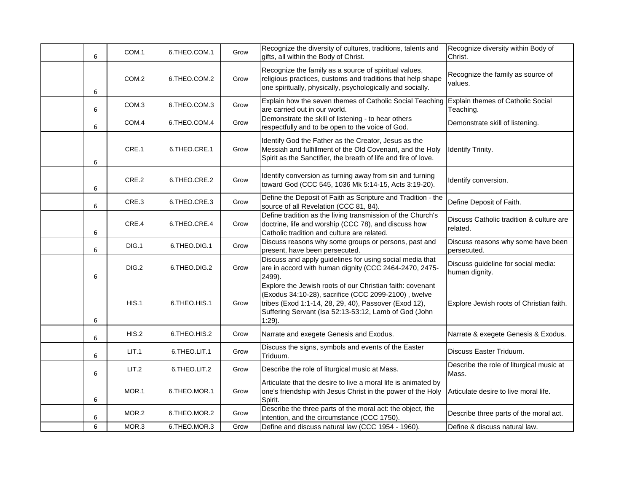| 6 | COM.1            | 6.THEO.COM.1 | Grow | Recognize the diversity of cultures, traditions, talents and<br>gifts, all within the Body of Christ.                                                                                                                                            | Recognize diversity within Body of<br>Christ.         |
|---|------------------|--------------|------|--------------------------------------------------------------------------------------------------------------------------------------------------------------------------------------------------------------------------------------------------|-------------------------------------------------------|
| 6 | COM.2            | 6.THEO.COM.2 | Grow | Recognize the family as a source of spiritual values,<br>religious practices, customs and traditions that help shape<br>one spiritually, physically, psychologically and socially.                                                               | Recognize the family as source of<br>values.          |
| 6 | COM <sub>3</sub> | 6.THEO.COM.3 | Grow | Explain how the seven themes of Catholic Social Teaching Explain themes of Catholic Social<br>are carried out in our world.                                                                                                                      | Teaching.                                             |
| 6 | COM.4            | 6.THEO.COM.4 | Grow | Demonstrate the skill of listening - to hear others<br>respectfully and to be open to the voice of God.                                                                                                                                          | Demonstrate skill of listening.                       |
| 6 | CRE.1            | 6.THEO.CRE.1 | Grow | Identify God the Father as the Creator, Jesus as the<br>Messiah and fulfillment of the Old Covenant, and the Holy<br>Spirit as the Sanctifier, the breath of life and fire of love.                                                              | <b>Identify Trinity.</b>                              |
| 6 | CRE.2            | 6.THEO.CRE.2 | Grow | Identify conversion as turning away from sin and turning<br>toward God (CCC 545, 1036 Mk 5:14-15, Acts 3:19-20).                                                                                                                                 | Identify conversion.                                  |
| 6 | CRE.3            | 6.THEO.CRE.3 | Grow | Define the Deposit of Faith as Scripture and Tradition - the<br>source of all Revelation (CCC 81, 84).                                                                                                                                           | Define Deposit of Faith.                              |
| 6 | CRE.4            | 6.THEO.CRE.4 | Grow | Define tradition as the living transmission of the Church's<br>doctrine, life and worship (CCC 78), and discuss how<br>Catholic tradition and culture are related.                                                                               | Discuss Catholic tradition & culture are<br>related.  |
| 6 | DIG.1            | 6.THEO.DIG.1 | Grow | Discuss reasons why some groups or persons, past and<br>present, have been persecuted.                                                                                                                                                           | Discuss reasons why some have been<br>persecuted.     |
| 6 | DIG.2            | 6.THEO.DIG.2 | Grow | Discuss and apply guidelines for using social media that<br>are in accord with human dignity (CCC 2464-2470, 2475-<br>2499).                                                                                                                     | Discuss guideline for social media:<br>human dignity. |
| 6 | HIS.1            | 6.THEO.HIS.1 | Grow | Explore the Jewish roots of our Christian faith: covenant<br>(Exodus 34:10-28), sacrifice (CCC 2099-2100), twelve<br>tribes (Exod 1:1-14, 28, 29, 40), Passover (Exod 12),<br>Suffering Servant (Isa 52:13-53:12, Lamb of God (John<br>$1:29$ ). | Explore Jewish roots of Christian faith.              |
| 6 | HIS.2            | 6.THEO.HIS.2 | Grow | Narrate and exegete Genesis and Exodus.                                                                                                                                                                                                          | Narrate & exegete Genesis & Exodus.                   |
| 6 | LIT.1            | 6.THEO.LIT.1 | Grow | Discuss the signs, symbols and events of the Easter<br>Triduum.                                                                                                                                                                                  | Discuss Easter Triduum.                               |
| 6 | LIT.2            | 6.THEO.LIT.2 | Grow | Describe the role of liturgical music at Mass.                                                                                                                                                                                                   | Describe the role of liturgical music at<br>Mass.     |
| 6 | MOR.1            | 6.THEO.MOR.1 | Grow | Articulate that the desire to live a moral life is animated by<br>one's friendship with Jesus Christ in the power of the Holy<br>Spirit.                                                                                                         | Articulate desire to live moral life.                 |
| 6 | MOR.2            | 6.THEO.MOR.2 | Grow | Describe the three parts of the moral act: the object, the<br>intention, and the circumstance (CCC 1750).                                                                                                                                        | Describe three parts of the moral act.                |
| 6 | MOR.3            | 6.THEO.MOR.3 | Grow | Define and discuss natural law (CCC 1954 - 1960).                                                                                                                                                                                                | Define & discuss natural law.                         |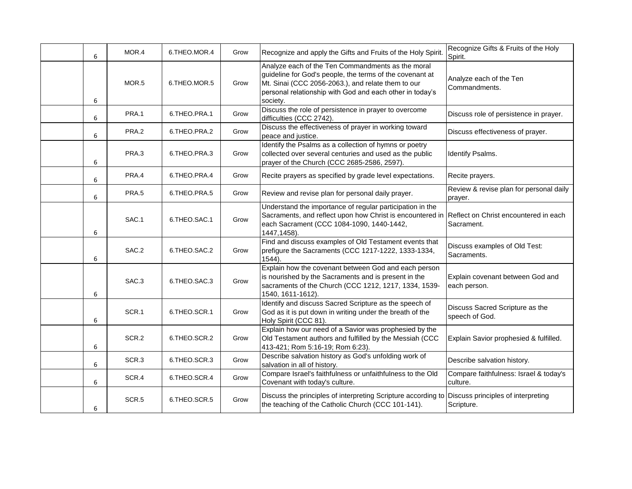| 6 | MOR.4             | 6.THEO.MOR.4 | Grow | Recognize and apply the Gifts and Fruits of the Holy Spirit.                                                                                                                                                                                | Recognize Gifts & Fruits of the Holy<br>Spirit.    |
|---|-------------------|--------------|------|---------------------------------------------------------------------------------------------------------------------------------------------------------------------------------------------------------------------------------------------|----------------------------------------------------|
| 6 | MOR.5             | 6.THEO.MOR.5 | Grow | Analyze each of the Ten Commandments as the moral<br>guideline for God's people, the terms of the covenant at<br>Mt. Sinai (CCC 2056-2063.), and relate them to our<br>personal relationship with God and each other in today's<br>society. | Analyze each of the Ten<br>Commandments.           |
| 6 | PRA.1             | 6.THEO.PRA.1 | Grow | Discuss the role of persistence in prayer to overcome<br>difficulties (CCC 2742).                                                                                                                                                           | Discuss role of persistence in prayer.             |
| 6 | PRA.2             | 6.THEO.PRA.2 | Grow | Discuss the effectiveness of prayer in working toward<br>peace and justice.                                                                                                                                                                 | Discuss effectiveness of prayer.                   |
| 6 | PRA.3             | 6.THEO.PRA.3 | Grow | Identify the Psalms as a collection of hymns or poetry<br>collected over several centuries and used as the public<br>prayer of the Church (CCC 2685-2586, 2597).                                                                            | Identify Psalms.                                   |
| 6 | PRA.4             | 6.THEO.PRA.4 | Grow | Recite prayers as specified by grade level expectations.                                                                                                                                                                                    | Recite prayers.                                    |
| 6 | PRA.5             | 6.THEO.PRA.5 | Grow | Review and revise plan for personal daily prayer.                                                                                                                                                                                           | Review & revise plan for personal daily<br>prayer. |
| 6 | SAC.1             | 6.THEO.SAC.1 | Grow | Understand the importance of regular participation in the<br>Sacraments, and reflect upon how Christ is encountered in Reflect on Christ encountered in each<br>each Sacrament (CCC 1084-1090, 1440-1442,<br>1447, 1458).                   | Sacrament.                                         |
| 6 | SAC.2             | 6.THEO.SAC.2 | Grow | Find and discuss examples of Old Testament events that<br>prefigure the Sacraments (CCC 1217-1222, 1333-1334,<br>$1544$ ).                                                                                                                  | Discuss examples of Old Test:<br>Sacraments.       |
| 6 | SAC.3             | 6.THEO.SAC.3 | Grow | Explain how the covenant between God and each person<br>is nourished by the Sacraments and is present in the<br>sacraments of the Church (CCC 1212, 1217, 1334, 1539-<br>1540, 1611-1612).                                                  | Explain covenant between God and<br>each person.   |
| 6 | SCR.1             | 6.THEO.SCR.1 | Grow | Identify and discuss Sacred Scripture as the speech of<br>God as it is put down in writing under the breath of the<br>Holy Spirit (CCC 81).                                                                                                 | Discuss Sacred Scripture as the<br>speech of God.  |
| 6 | SCR.2             | 6.THEO.SCR.2 | Grow | Explain how our need of a Savior was prophesied by the<br>Old Testament authors and fulfilled by the Messiah (CCC<br>413-421; Rom 5:16-19; Rom 6:23).                                                                                       | Explain Savior prophesied & fulfilled.             |
| 6 | SCR.3             | 6.THEO.SCR.3 | Grow | Describe salvation history as God's unfolding work of<br>salvation in all of history.                                                                                                                                                       | Describe salvation history.                        |
| 6 | SCR.4             | 6.THEO.SCR.4 | Grow | Compare Israel's faithfulness or unfaithfulness to the Old<br>Covenant with today's culture.                                                                                                                                                | Compare faithfulness: Israel & today's<br>culture. |
| 6 | SCR <sub>.5</sub> | 6.THEO.SCR.5 | Grow | Discuss the principles of interpreting Scripture according to Discuss principles of interpreting<br>the teaching of the Catholic Church (CCC 101-141).                                                                                      | Scripture.                                         |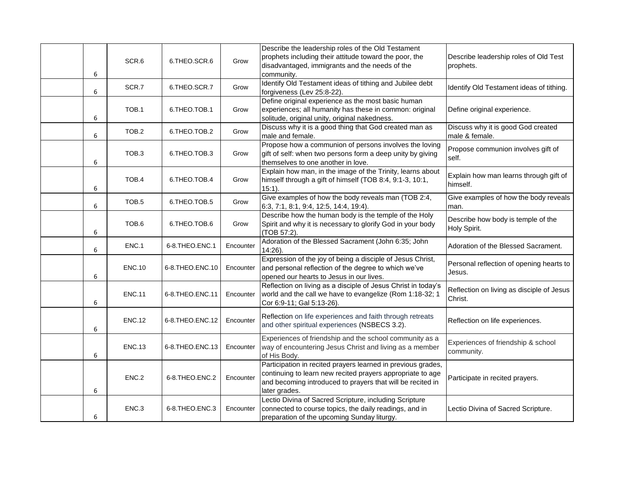| 6 | SCR.6             | 6.THEO.SCR.6       | Grow      | Describe the leadership roles of the Old Testament<br>prophets including their attitude toward the poor, the<br>disadvantaged, immigrants and the needs of the<br>community.                              | Describe leadership roles of Old Test<br>prophets.   |
|---|-------------------|--------------------|-----------|-----------------------------------------------------------------------------------------------------------------------------------------------------------------------------------------------------------|------------------------------------------------------|
| 6 | SCR.7             | 6.THEO.SCR.7       | Grow      | Identify Old Testament ideas of tithing and Jubilee debt<br>forgiveness (Lev 25:8-22).                                                                                                                    | Identify Old Testament ideas of tithing.             |
| 6 | TOB.1             | 6.THEO.TOB.1       | Grow      | Define original experience as the most basic human<br>experiences; all humanity has these in common: original<br>solitude, original unity, original nakedness.                                            | Define original experience.                          |
| 6 | TOB.2             | 6.THEO.TOB.2       | Grow      | Discuss why it is a good thing that God created man as<br>male and female.                                                                                                                                | Discuss why it is good God created<br>male & female. |
| 6 | TOB <sub>3</sub>  | 6.THEO.TOB.3       | Grow      | Propose how a communion of persons involves the loving<br>gift of self: when two persons form a deep unity by giving<br>themselves to one another in love.                                                | Propose communion involves gift of<br>self.          |
| 6 | TOB.4             | 6.THEO.TOB.4       | Grow      | Explain how man, in the image of the Trinity, learns about<br>himself through a gift of himself (TOB 8:4, 9:1-3, 10:1,<br>$15:1$ ).                                                                       | Explain how man learns through gift of<br>himself.   |
| 6 | TOB <sub>.5</sub> | 6.THEO.TOB.5       | Grow      | Give examples of how the body reveals man (TOB 2:4,<br>6:3, 7:1, 8:1, 9:4, 12:5, 14:4, 19:4).                                                                                                             | Give examples of how the body reveals<br>man.        |
| 6 | TOB.6             | 6.THEO.TOB.6       | Grow      | Describe how the human body is the temple of the Holy<br>Spirit and why it is necessary to glorify God in your body<br>(TOB 57:2).                                                                        | Describe how body is temple of the<br>Holy Spirit.   |
| 6 | ENC.1             | 6-8.THEO.ENC.1     | Encounter | Adoration of the Blessed Sacrament (John 6:35; John<br>$14:26$ ).                                                                                                                                         | Adoration of the Blessed Sacrament.                  |
| 6 | <b>ENC.10</b>     | 6-8.THEO.ENC.10    | Encounter | Expression of the joy of being a disciple of Jesus Christ,<br>and personal reflection of the degree to which we've<br>opened our hearts to Jesus in our lives.                                            | Personal reflection of opening hearts to<br>Jesus.   |
| 6 | <b>ENC.11</b>     | 6-8. THEO. ENC. 11 | Encounter | Reflection on living as a disciple of Jesus Christ in today's<br>world and the call we have to evangelize (Rom 1:18-32; 1<br>Cor 6:9-11; Gal 5:13-26).                                                    | Reflection on living as disciple of Jesus<br>Christ. |
| 6 | <b>ENC.12</b>     | 6-8.THEO.ENC.12    | Encounter | Reflection on life experiences and faith through retreats<br>and other spiritual experiences (NSBECS 3.2).                                                                                                | Reflection on life experiences.                      |
| 6 | <b>ENC.13</b>     | 6-8.THEO.ENC.13    | Encounter | Experiences of friendship and the school community as a<br>way of encountering Jesus Christ and living as a member<br>of His Body.                                                                        | Experiences of friendship & school<br>community.     |
| 6 | ENC.2             | 6-8.THEO.ENC.2     | Encounter | Participation in recited prayers learned in previous grades,<br>continuing to learn new recited prayers appropriate to age<br>and becoming introduced to prayers that will be recited in<br>later grades. | Participate in recited prayers.                      |
| 6 | ENC.3             | 6-8.THEO.ENC.3     | Encounter | Lectio Divina of Sacred Scripture, including Scripture<br>connected to course topics, the daily readings, and in<br>preparation of the upcoming Sunday liturgy.                                           | Lectio Divina of Sacred Scripture.                   |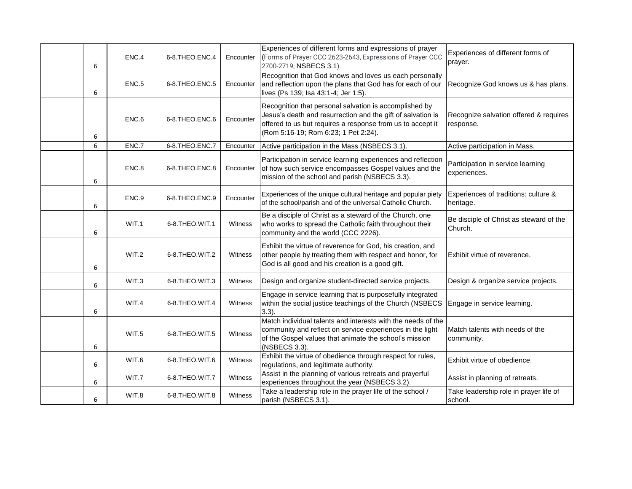| 6 | ENC.4 | 6-8.THEO.ENC.4 | Encounter | Experiences of different forms and expressions of prayer<br>(Forms of Prayer CCC 2623-2643, Expressions of Prayer CCC<br>2700-2719; NSBECS 3.1).                                                                            | Experiences of different forms of<br>prayer.        |
|---|-------|----------------|-----------|-----------------------------------------------------------------------------------------------------------------------------------------------------------------------------------------------------------------------------|-----------------------------------------------------|
| 6 | ENC.5 | 6-8.THEO.ENC.5 | Encounter | Recognition that God knows and loves us each personally<br>and reflection upon the plans that God has for each of our<br>lives (Ps 139; Isa 43:1-4; Jer 1:5).                                                               | Recognize God knows us & has plans.                 |
| 6 | ENC.6 | 6-8.THEO.ENC.6 | Encounter | Recognition that personal salvation is accomplished by<br>Jesus's death and resurrection and the gift of salvation is<br>offered to us but requires a response from us to accept it<br>(Rom 5:16-19; Rom 6:23; 1 Pet 2:24). | Recognize salvation offered & requires<br>response. |
| 6 | ENC.7 | 6-8.THEO.ENC.7 | Encounter | Active participation in the Mass (NSBECS 3.1).                                                                                                                                                                              | Active participation in Mass.                       |
| 6 | ENC.8 | 6-8.THEO.ENC.8 | Encounter | Participation in service learning experiences and reflection<br>of how such service encompasses Gospel values and the<br>mission of the school and parish (NSBECS 3.3).                                                     | Participation in service learning<br>experiences.   |
| 6 | ENC.9 | 6-8.THEO.ENC.9 | Encounter | Experiences of the unique cultural heritage and popular piety<br>of the school/parish and of the universal Catholic Church.                                                                                                 | Experiences of traditions: culture &<br>heritage.   |
| 6 | WIT.1 | 6-8.THEO.WIT.1 | Witness   | Be a disciple of Christ as a steward of the Church, one<br>who works to spread the Catholic faith throughout their<br>community and the world (CCC 2226).                                                                   | Be disciple of Christ as steward of the<br>Church.  |
| 6 | WIT.2 | 6-8.THEO.WIT.2 | Witness   | Exhibit the virtue of reverence for God, his creation, and<br>other people by treating them with respect and honor, for<br>God is all good and his creation is a good gift.                                                 | Exhibit virtue of reverence.                        |
| 6 | WIT.3 | 6-8.THEO.WIT.3 | Witness   | Design and organize student-directed service projects.                                                                                                                                                                      | Design & organize service projects.                 |
| 6 | WIT.4 | 6-8.THEO.WIT.4 | Witness   | Engage in service learning that is purposefully integrated<br>within the social justice teachings of the Church (NSBECS<br>$3.3$ ).                                                                                         | Engage in service learning.                         |
| 6 | WIT.5 | 6-8.THEO.WIT.5 | Witness   | Match individual talents and interests with the needs of the<br>community and reflect on service experiences in the light<br>of the Gospel values that animate the school's mission<br>(NSBECS 3.3).                        | Match talents with needs of the<br>community.       |
| 6 | WIT.6 | 6-8.THEO.WIT.6 | Witness   | Exhibit the virtue of obedience through respect for rules,<br>regulations, and legitimate authority.                                                                                                                        | Exhibit virtue of obedience.                        |
| 6 | WIT.7 | 6-8.THEO.WIT.7 | Witness   | Assist in the planning of various retreats and prayerful<br>experiences throughout the year (NSBECS 3.2).                                                                                                                   | Assist in planning of retreats.                     |
| 6 | WIT.8 | 6-8.THEO.WIT.8 | Witness   | Take a leadership role in the prayer life of the school /<br>parish (NSBECS 3.1).                                                                                                                                           | Take leadership role in prayer life of<br>school.   |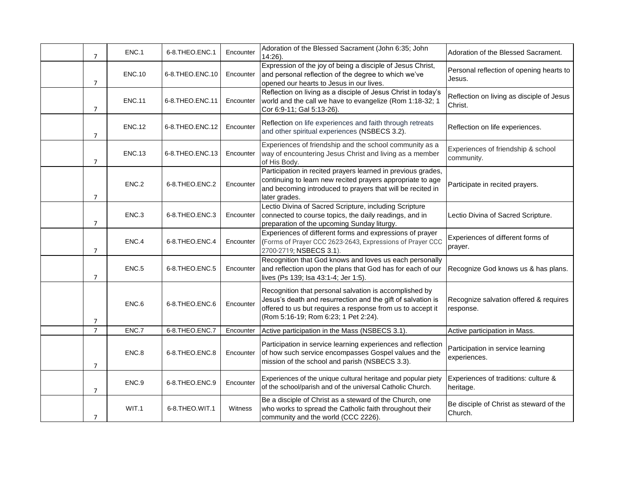| $\overline{7}$ | ENC.1         | 6-8.THEO.ENC.1     | Encounter | Adoration of the Blessed Sacrament (John 6:35; John<br>$14:26$ ).                                                                                                                                                           | Adoration of the Blessed Sacrament.                  |
|----------------|---------------|--------------------|-----------|-----------------------------------------------------------------------------------------------------------------------------------------------------------------------------------------------------------------------------|------------------------------------------------------|
| $\overline{7}$ | <b>ENC.10</b> | 6-8.THEO.ENC.10    | Encounter | Expression of the joy of being a disciple of Jesus Christ,<br>and personal reflection of the degree to which we've<br>opened our hearts to Jesus in our lives.                                                              | Personal reflection of opening hearts to<br>Jesus.   |
| $\overline{7}$ | <b>ENC.11</b> | 6-8. THEO. ENC. 11 | Encounter | Reflection on living as a disciple of Jesus Christ in today's<br>world and the call we have to evangelize (Rom 1:18-32; 1<br>Cor 6:9-11; Gal 5:13-26).                                                                      | Reflection on living as disciple of Jesus<br>Christ. |
| $\overline{7}$ | <b>ENC.12</b> | 6-8.THEO.ENC.12    | Encounter | Reflection on life experiences and faith through retreats<br>and other spiritual experiences (NSBECS 3.2).                                                                                                                  | Reflection on life experiences.                      |
| $\overline{7}$ | <b>ENC.13</b> | 6-8.THEO.ENC.13    | Encounter | Experiences of friendship and the school community as a<br>way of encountering Jesus Christ and living as a member<br>of His Body.                                                                                          | Experiences of friendship & school<br>community.     |
| $\overline{7}$ | ENC.2         | 6-8.THEO.ENC.2     | Encounter | Participation in recited prayers learned in previous grades,<br>continuing to learn new recited prayers appropriate to age<br>and becoming introduced to prayers that will be recited in<br>later grades.                   | Participate in recited prayers.                      |
| $\overline{7}$ | ENC.3         | 6-8.THEO.ENC.3     | Encounter | Lectio Divina of Sacred Scripture, including Scripture<br>connected to course topics, the daily readings, and in<br>preparation of the upcoming Sunday liturgy.                                                             | Lectio Divina of Sacred Scripture.                   |
| $\overline{7}$ | ENC.4         | 6-8.THEO.ENC.4     | Encounter | Experiences of different forms and expressions of prayer<br>(Forms of Prayer CCC 2623-2643, Expressions of Prayer CCC<br>2700-2719; NSBECS 3.1).                                                                            | Experiences of different forms of<br>prayer.         |
| $\overline{7}$ | ENC.5         | 6-8.THEO.ENC.5     | Encounter | Recognition that God knows and loves us each personally<br>and reflection upon the plans that God has for each of our<br>lives (Ps 139; Isa 43:1-4; Jer 1:5).                                                               | Recognize God knows us & has plans.                  |
| 7              | ENC.6         | 6-8.THEO.ENC.6     | Encounter | Recognition that personal salvation is accomplished by<br>Jesus's death and resurrection and the gift of salvation is<br>offered to us but requires a response from us to accept it<br>(Rom 5:16-19; Rom 6:23; 1 Pet 2:24). | Recognize salvation offered & requires<br>response.  |
| $\overline{7}$ | ENC.7         | 6-8.THEO.ENC.7     | Encounter | Active participation in the Mass (NSBECS 3.1)                                                                                                                                                                               | Active participation in Mass.                        |
| $\overline{7}$ | ENC.8         | 6-8.THEO.ENC.8     | Encounter | Participation in service learning experiences and reflection<br>of how such service encompasses Gospel values and the<br>mission of the school and parish (NSBECS 3.3).                                                     | Participation in service learning<br>experiences.    |
| $\overline{7}$ | ENC.9         | 6-8.THEO.ENC.9     | Encounter | Experiences of the unique cultural heritage and popular piety<br>of the school/parish and of the universal Catholic Church.                                                                                                 | Experiences of traditions: culture &<br>heritage.    |
| $\overline{7}$ | WIT.1         | 6-8.THEO.WIT.1     | Witness   | Be a disciple of Christ as a steward of the Church, one<br>who works to spread the Catholic faith throughout their<br>community and the world (CCC 2226).                                                                   | Be disciple of Christ as steward of the<br>Church.   |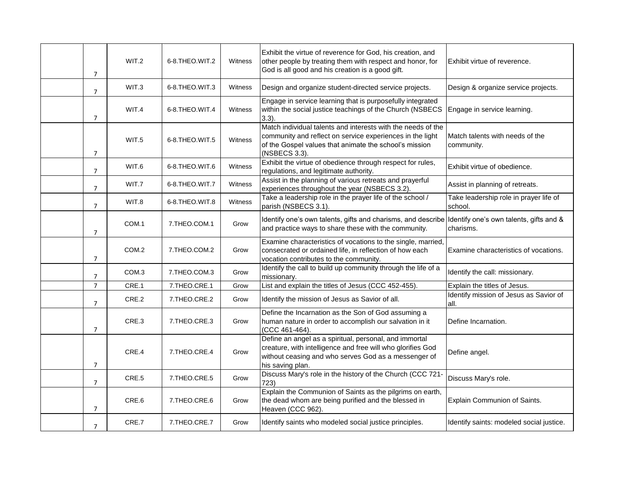| $\overline{7}$ | WIT.2             | 6-8.THEO.WIT.2 | Witness | Exhibit the virtue of reverence for God, his creation, and<br>other people by treating them with respect and honor, for<br>God is all good and his creation is a good gift.                          | Exhibit virtue of reverence.                      |
|----------------|-------------------|----------------|---------|------------------------------------------------------------------------------------------------------------------------------------------------------------------------------------------------------|---------------------------------------------------|
| $\overline{7}$ | WIT.3             | 6-8.THEO.WIT.3 | Witness | Design and organize student-directed service projects.                                                                                                                                               | Design & organize service projects.               |
| $\overline{7}$ | WIT.4             | 6-8.THEO.WIT.4 | Witness | Engage in service learning that is purposefully integrated<br>within the social justice teachings of the Church (NSBECS<br>$3.3$ ).                                                                  | Engage in service learning.                       |
| $\overline{7}$ | WIT.5             | 6-8.THEO.WIT.5 | Witness | Match individual talents and interests with the needs of the<br>community and reflect on service experiences in the light<br>of the Gospel values that animate the school's mission<br>(NSBECS 3.3). | Match talents with needs of the<br>community.     |
| $\overline{7}$ | WIT.6             | 6-8.THEO.WIT.6 | Witness | Exhibit the virtue of obedience through respect for rules,<br>regulations, and legitimate authority.                                                                                                 | Exhibit virtue of obedience.                      |
| $\overline{7}$ | WIT.7             | 6-8.THEO.WIT.7 | Witness | Assist in the planning of various retreats and prayerful<br>experiences throughout the year (NSBECS 3.2).                                                                                            | Assist in planning of retreats.                   |
| $\overline{7}$ | WIT.8             | 6-8.THEO.WIT.8 | Witness | Take a leadership role in the prayer life of the school /<br>parish (NSBECS 3.1).                                                                                                                    | Take leadership role in prayer life of<br>school. |
| $\overline{7}$ | COM.1             | 7.THEO.COM.1   | Grow    | Identify one's own talents, gifts and charisms, and describe Identify one's own talents, gifts and &<br>and practice ways to share these with the community.                                         | charisms.                                         |
| $\overline{7}$ | COM <sub>.2</sub> | 7.THEO.COM.2   | Grow    | Examine characteristics of vocations to the single, married,<br>consecrated or ordained life, in reflection of how each<br>vocation contributes to the community.                                    | Examine characteristics of vocations.             |
| $\overline{7}$ | COM <sub>3</sub>  | 7.THEO.COM.3   | Grow    | Identify the call to build up community through the life of a<br>missionary.                                                                                                                         | Identify the call: missionary.                    |
| $\overline{7}$ | CRE.1             | 7.THEO.CRE.1   | Grow    | List and explain the titles of Jesus (CCC 452-455).                                                                                                                                                  | Explain the titles of Jesus.                      |
| $\overline{7}$ | CRE.2             | 7.THEO.CRE.2   | Grow    | Identify the mission of Jesus as Savior of all.                                                                                                                                                      | Identify mission of Jesus as Savior of<br>all.    |
| $\overline{7}$ | CRE.3             | 7.THEO.CRE.3   | Grow    | Define the Incarnation as the Son of God assuming a<br>human nature in order to accomplish our salvation in it<br>(CCC 461-464).                                                                     | Define Incarnation.                               |
| $\overline{7}$ | CRE.4             | 7.THEO.CRE.4   | Grow    | Define an angel as a spiritual, personal, and immortal<br>creature, with intelligence and free will who glorifies God<br>without ceasing and who serves God as a messenger of<br>his saving plan.    | Define angel.                                     |
| $\overline{7}$ | CRE.5             | 7.THEO.CRE.5   | Grow    | Discuss Mary's role in the history of the Church (CCC 721-<br>723)                                                                                                                                   | Discuss Mary's role.                              |
| $\overline{7}$ | CRE.6             | 7.THEO.CRE.6   | Grow    | Explain the Communion of Saints as the pilgrims on earth,<br>the dead whom are being purified and the blessed in<br>Heaven (CCC 962).                                                                | Explain Communion of Saints.                      |
| $\overline{7}$ | CRE.7             | 7.THEO.CRE.7   | Grow    | Identify saints who modeled social justice principles.                                                                                                                                               | Identify saints: modeled social justice.          |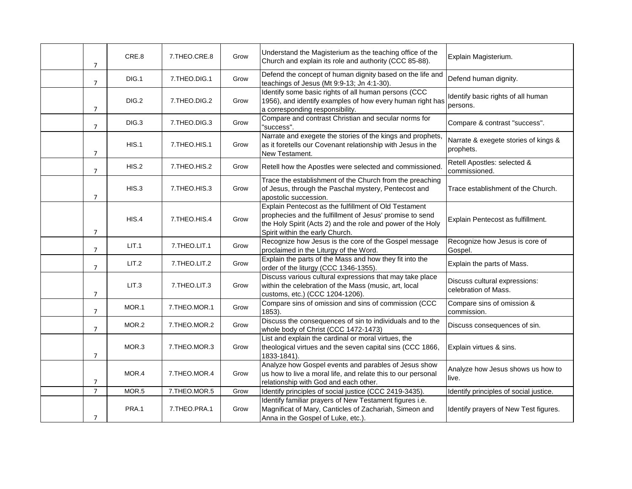| 7              | CRE.8 | 7.THEO.CRE.8 | Grow | Understand the Magisterium as the teaching office of the<br>Church and explain its role and authority (CCC 85-88).                                                                                                  | Explain Magisterium.                                  |
|----------------|-------|--------------|------|---------------------------------------------------------------------------------------------------------------------------------------------------------------------------------------------------------------------|-------------------------------------------------------|
| $\overline{7}$ | DIG.1 | 7.THEO.DIG.1 | Grow | Defend the concept of human dignity based on the life and<br>teachings of Jesus (Mt 9:9-13; Jn 4:1-30).                                                                                                             | Defend human dignity.                                 |
| $\overline{7}$ | DIG.2 | 7.THEO.DIG.2 | Grow | Identify some basic rights of all human persons (CCC<br>1956), and identify examples of how every human right has<br>a corresponding responsibility.                                                                | Identify basic rights of all human<br>persons.        |
| $\overline{7}$ | DIG.3 | 7.THEO.DIG.3 | Grow | Compare and contrast Christian and secular norms for<br>"success".                                                                                                                                                  | Compare & contrast "success".                         |
| $\overline{7}$ | HIS.1 | 7.THEO.HIS.1 | Grow | Narrate and exegete the stories of the kings and prophets,<br>as it foretells our Covenant relationship with Jesus in the<br>New Testament.                                                                         | Narrate & exegete stories of kings &<br>prophets.     |
| 7              | HIS.2 | 7.THEO.HIS.2 | Grow | Retell how the Apostles were selected and commissioned                                                                                                                                                              | Retell Apostles: selected &<br>commissioned.          |
| $\overline{7}$ | HIS.3 | 7.THEO.HIS.3 | Grow | Trace the establishment of the Church from the preaching<br>of Jesus, through the Paschal mystery, Pentecost and<br>apostolic succession.                                                                           | Trace establishment of the Church.                    |
| 7              | HIS.4 | 7.THEO.HIS.4 | Grow | Explain Pentecost as the fulfillment of Old Testament<br>prophecies and the fulfillment of Jesus' promise to send<br>the Holy Spirit (Acts 2) and the role and power of the Holy<br>Spirit within the early Church. | Explain Pentecost as fulfillment.                     |
| $\overline{7}$ | LIT.1 | 7.THEO.LIT.1 | Grow | Recognize how Jesus is the core of the Gospel message<br>proclaimed in the Liturgy of the Word.                                                                                                                     | Recognize how Jesus is core of<br>Gospel.             |
| $\overline{7}$ | LIT.2 | 7.THEO.LIT.2 | Grow | Explain the parts of the Mass and how they fit into the<br>order of the liturgy (CCC 1346-1355).                                                                                                                    | Explain the parts of Mass.                            |
| $\overline{7}$ | LIT.3 | 7.THEO.LIT.3 | Grow | Discuss various cultural expressions that may take place<br>within the celebration of the Mass (music, art, local<br>customs, etc.) (CCC 1204-1206)                                                                 | Discuss cultural expressions:<br>celebration of Mass. |
| $\overline{7}$ | MOR.1 | 7.THEO.MOR.1 | Grow | Compare sins of omission and sins of commission (CCC<br>1853).                                                                                                                                                      | Compare sins of omission &<br>commission.             |
| $\overline{7}$ | MOR.2 | 7.THEO.MOR.2 | Grow | Discuss the consequences of sin to individuals and to the<br>whole body of Christ (CCC 1472-1473)                                                                                                                   | Discuss consequences of sin.                          |
| $\overline{7}$ | MOR.3 | 7.THEO.MOR.3 | Grow | List and explain the cardinal or moral virtues, the<br>theological virtues and the seven capital sins (CCC 1866,<br>1833-1841).                                                                                     | Explain virtues & sins.                               |
| 7              | MOR.4 | 7.THEO.MOR.4 | Grow | Analyze how Gospel events and parables of Jesus show<br>us how to live a moral life, and relate this to our personal<br>relationship with God and each other.                                                       | Analyze how Jesus shows us how to<br>live.            |
| $\overline{7}$ | MOR.5 | 7.THEO.MOR.5 | Grow | Identify principles of social justice (CCC 2419-3435).                                                                                                                                                              | Identify principles of social justice.                |
| $\overline{7}$ | PRA.1 | 7.THEO.PRA.1 | Grow | Identify familiar prayers of New Testament figures i.e.<br>Magnificat of Mary, Canticles of Zachariah, Simeon and<br>Anna in the Gospel of Luke, etc.).                                                             | Identify prayers of New Test figures.                 |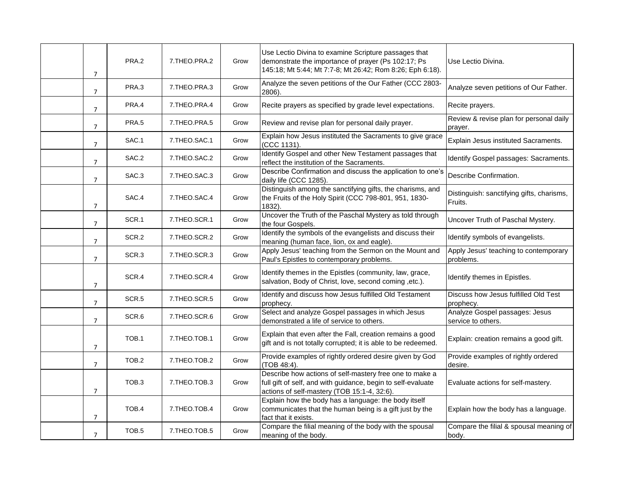| 7              | PRA.2             | 7.THEO.PRA.2 | Grow | Use Lectio Divina to examine Scripture passages that<br>demonstrate the importance of prayer (Ps 102:17; Ps<br>145:18; Mt 5:44; Mt 7:7-8; Mt 26:42; Rom 8:26; Eph 6:18). | Use Lectio Divina.                                   |
|----------------|-------------------|--------------|------|--------------------------------------------------------------------------------------------------------------------------------------------------------------------------|------------------------------------------------------|
| $\overline{7}$ | PRA.3             | 7.THEO.PRA.3 | Grow | Analyze the seven petitions of the Our Father (CCC 2803-<br>2806).                                                                                                       | Analyze seven petitions of Our Father.               |
| $\overline{7}$ | PRA.4             | 7.THEO.PRA.4 | Grow | Recite prayers as specified by grade level expectations.                                                                                                                 | Recite prayers.                                      |
| $\overline{7}$ | PRA.5             | 7.THEO.PRA.5 | Grow | Review and revise plan for personal daily prayer.                                                                                                                        | Review & revise plan for personal daily<br>prayer.   |
| $\overline{7}$ | SAC.1             | 7.THEO.SAC.1 | Grow | Explain how Jesus instituted the Sacraments to give grace<br>(CCC 1131).                                                                                                 | Explain Jesus instituted Sacraments.                 |
| $\overline{7}$ | SAC.2             | 7.THEO.SAC.2 | Grow | Identify Gospel and other New Testament passages that<br>reflect the institution of the Sacraments.                                                                      | Identify Gospel passages: Sacraments.                |
| $\overline{7}$ | SAC.3             | 7.THEO.SAC.3 | Grow | Describe Confirmation and discuss the application to one's<br>daily life (CCC 1285).                                                                                     | Describe Confirmation.                               |
| $\overline{7}$ | SAC.4             | 7.THEO.SAC.4 | Grow | Distinguish among the sanctifying gifts, the charisms, and<br>the Fruits of the Holy Spirit (CCC 798-801, 951, 1830-<br>1832).                                           | Distinguish: sanctifying gifts, charisms,<br>Fruits. |
| $\overline{7}$ | SCR.1             | 7.THEO.SCR.1 | Grow | Uncover the Truth of the Paschal Mystery as told through<br>the four Gospels.                                                                                            | Uncover Truth of Paschal Mystery.                    |
| $\overline{7}$ | SCR.2             | 7.THEO.SCR.2 | Grow | Identify the symbols of the evangelists and discuss their<br>meaning (human face, lion, ox and eagle).                                                                   | Identify symbols of evangelists.                     |
| $\overline{7}$ | SCR <sub>3</sub>  | 7.THEO.SCR.3 | Grow | Apply Jesus' teaching from the Sermon on the Mount and<br>Paul's Epistles to contemporary problems.                                                                      | Apply Jesus' teaching to contemporary<br>problems.   |
| $\overline{7}$ | SCR.4             | 7.THEO.SCR.4 | Grow | Identify themes in the Epistles (community, law, grace,<br>salvation, Body of Christ, love, second coming ,etc.).                                                        | Identify themes in Epistles.                         |
| $\overline{7}$ | SCR.5             | 7.THEO.SCR.5 | Grow | Identify and discuss how Jesus fulfilled Old Testament<br>prophecy.                                                                                                      | Discuss how Jesus fulfilled Old Test<br>prophecy.    |
| $\overline{7}$ | SCR.6             | 7.THEO.SCR.6 | Grow | Select and analyze Gospel passages in which Jesus<br>demonstrated a life of service to others.                                                                           | Analyze Gospel passages: Jesus<br>service to others. |
| 7              | TOB.1             | 7.THEO.TOB.1 | Grow | Explain that even after the Fall, creation remains a good<br>gift and is not totally corrupted; it is able to be redeemed.                                               | Explain: creation remains a good gift.               |
| $\overline{7}$ | TOB.2             | 7.THEO.TOB.2 | Grow | Provide examples of rightly ordered desire given by God<br>(TOB 48:4).                                                                                                   | Provide examples of rightly ordered<br>desire.       |
| 7              | TOB <sub>3</sub>  | 7.THEO.TOB.3 | Grow | Describe how actions of self-mastery free one to make a<br>full gift of self, and with guidance, begin to self-evaluate<br>actions of self-mastery (TOB 15:1-4, 32:6).   | Evaluate actions for self-mastery.                   |
| 7              | TOB.4             | 7.THEO.TOB.4 | Grow | Explain how the body has a language: the body itself<br>communicates that the human being is a gift just by the<br>fact that it exists.                                  | Explain how the body has a language.                 |
| 7              | TOB <sub>.5</sub> | 7.THEO.TOB.5 | Grow | Compare the filial meaning of the body with the spousal<br>meaning of the body.                                                                                          | Compare the filial & spousal meaning of<br>body.     |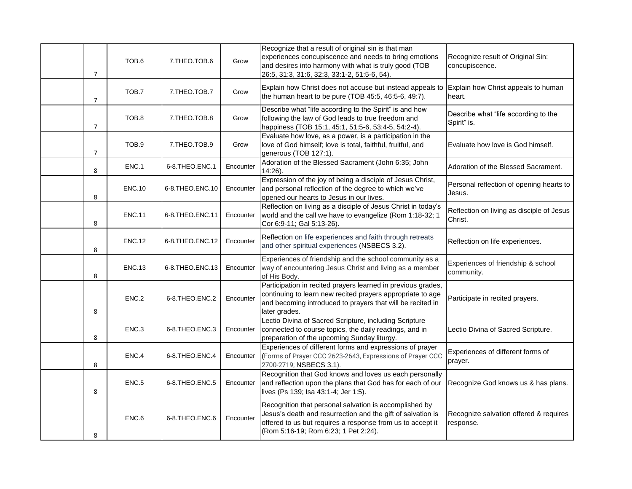| $\overline{7}$ | TOB.6         | 7.THEO.TOB.6       | Grow      | Recognize that a result of original sin is that man<br>experiences concupiscence and needs to bring emotions<br>and desires into harmony with what is truly good (TOB<br>26:5, 31:3, 31:6, 32:3, 33:1-2, 51:5-6, 54).       | Recognize result of Original Sin:<br>concupiscence.  |
|----------------|---------------|--------------------|-----------|-----------------------------------------------------------------------------------------------------------------------------------------------------------------------------------------------------------------------------|------------------------------------------------------|
| 7              | TOB.7         | 7.THEO.TOB.7       | Grow      | Explain how Christ does not accuse but instead appeals to Explain how Christ appeals to human<br>the human heart to be pure (TOB 45:5, 46:5-6, 49:7).                                                                       | heart.                                               |
| $\overline{7}$ | TOB.8         | 7.THEO.TOB.8       | Grow      | Describe what "life according to the Spirit" is and how<br>following the law of God leads to true freedom and<br>happiness (TOB 15:1, 45:1, 51:5-6, 53:4-5, 54:2-4).                                                        | Describe what "life according to the<br>Spirit" is.  |
| $\overline{7}$ | TOB.9         | 7.THEO.TOB.9       | Grow      | Evaluate how love, as a power, is a participation in the<br>love of God himself; love is total, faithful, fruitful, and<br>generous (TOB 127:1).                                                                            | Evaluate how love is God himself.                    |
| 8              | ENC.1         | 6-8.THEO.ENC.1     | Encounter | Adoration of the Blessed Sacrament (John 6:35; John<br>14:26).                                                                                                                                                              | Adoration of the Blessed Sacrament.                  |
| 8              | <b>ENC.10</b> | 6-8. THEO. ENC. 10 | Encounter | Expression of the joy of being a disciple of Jesus Christ,<br>and personal reflection of the degree to which we've<br>opened our hearts to Jesus in our lives.                                                              | Personal reflection of opening hearts to<br>Jesus.   |
| 8              | <b>ENC.11</b> | 6-8. THEO. ENC. 11 | Encounter | Reflection on living as a disciple of Jesus Christ in today's<br>world and the call we have to evangelize (Rom 1:18-32; 1<br>Cor 6:9-11; Gal 5:13-26).                                                                      | Reflection on living as disciple of Jesus<br>Christ. |
| 8              | <b>ENC.12</b> | 6-8. THEO. ENC. 12 | Encounter | Reflection on life experiences and faith through retreats<br>and other spiritual experiences (NSBECS 3.2).                                                                                                                  | Reflection on life experiences.                      |
| 8              | <b>ENC.13</b> | 6-8.THEO.ENC.13    | Encounter | Experiences of friendship and the school community as a<br>way of encountering Jesus Christ and living as a member<br>of His Body.                                                                                          | Experiences of friendship & school<br>community.     |
| 8              | ENC.2         | 6-8.THEO.ENC.2     | Encounter | Participation in recited prayers learned in previous grades,<br>continuing to learn new recited prayers appropriate to age<br>and becoming introduced to prayers that will be recited in<br>later grades.                   | Participate in recited prayers.                      |
| 8              | ENC.3         | 6-8.THEO.ENC.3     | Encounter | Lectio Divina of Sacred Scripture, including Scripture<br>connected to course topics, the daily readings, and in<br>preparation of the upcoming Sunday liturgy.                                                             | Lectio Divina of Sacred Scripture.                   |
| 8              | ENC.4         | 6-8.THEO.ENC.4     | Encounter | Experiences of different forms and expressions of prayer<br>(Forms of Prayer CCC 2623-2643, Expressions of Prayer CCC<br>2700-2719; NSBECS 3.1).                                                                            | Experiences of different forms of<br>prayer.         |
| 8              | ENC.5         | 6-8.THEO.ENC.5     | Encounter | Recognition that God knows and loves us each personally<br>and reflection upon the plans that God has for each of our<br>lives (Ps 139; Isa 43:1-4; Jer 1:5).                                                               | Recognize God knows us & has plans.                  |
| 8              | ENC.6         | 6-8.THEO.ENC.6     | Encounter | Recognition that personal salvation is accomplished by<br>Jesus's death and resurrection and the gift of salvation is<br>offered to us but requires a response from us to accept it<br>(Rom 5:16-19; Rom 6:23; 1 Pet 2:24). | Recognize salvation offered & requires<br>response.  |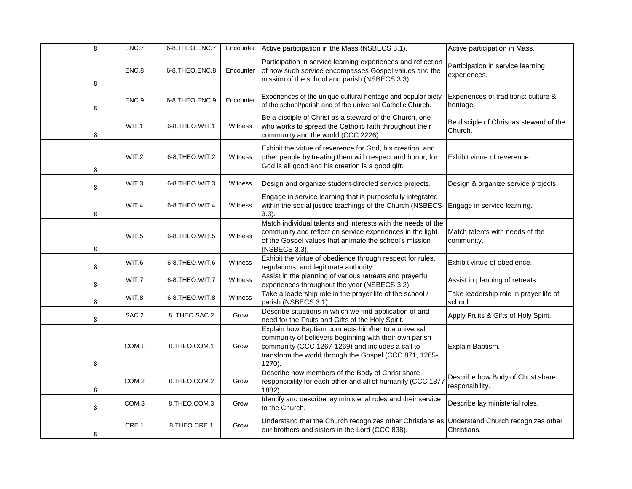| 8 | ENC.7 | 6-8.THEO.ENC.7 | Encounter | Active participation in the Mass (NSBECS 3.1).                                                                                                                                                                                        | Active participation in Mass.                        |
|---|-------|----------------|-----------|---------------------------------------------------------------------------------------------------------------------------------------------------------------------------------------------------------------------------------------|------------------------------------------------------|
| 8 | ENC.8 | 6-8.THEO.ENC.8 | Encounter | Participation in service learning experiences and reflection<br>of how such service encompasses Gospel values and the<br>mission of the school and parish (NSBECS 3.3).                                                               | Participation in service learning<br>experiences.    |
| 8 | ENC.9 | 6-8.THEO.ENC.9 | Encounter | Experiences of the unique cultural heritage and popular piety<br>of the school/parish and of the universal Catholic Church.                                                                                                           | Experiences of traditions: culture &<br>heritage.    |
| 8 | WIT.1 | 6-8.THEO.WIT.1 | Witness   | Be a disciple of Christ as a steward of the Church, one<br>who works to spread the Catholic faith throughout their<br>community and the world (CCC 2226).                                                                             | Be disciple of Christ as steward of the<br>Church.   |
| 8 | WIT.2 | 6-8.THEO.WIT.2 | Witness   | Exhibit the virtue of reverence for God, his creation, and<br>other people by treating them with respect and honor, for<br>God is all good and his creation is a good gift.                                                           | Exhibit virtue of reverence.                         |
| 8 | WIT.3 | 6-8.THEO.WIT.3 | Witness   | Design and organize student-directed service projects.                                                                                                                                                                                | Design & organize service projects.                  |
| 8 | WIT.4 | 6-8.THEO.WIT.4 | Witness   | Engage in service learning that is purposefully integrated<br>within the social justice teachings of the Church (NSBECS<br>$3.3$ ).                                                                                                   | Engage in service learning.                          |
| 8 | WIT.5 | 6-8.THEO.WIT.5 | Witness   | Match individual talents and interests with the needs of the<br>community and reflect on service experiences in the light<br>of the Gospel values that animate the school's mission<br>(NSBECS 3.3).                                  | Match talents with needs of the<br>community.        |
| 8 | WIT.6 | 6-8.THEO.WIT.6 | Witness   | Exhibit the virtue of obedience through respect for rules,<br>regulations, and legitimate authority.                                                                                                                                  | Exhibit virtue of obedience.                         |
| 8 | WIT.7 | 6-8.THEO.WIT.7 | Witness   | Assist in the planning of various retreats and prayerful<br>experiences throughout the year (NSBECS 3.2).                                                                                                                             | Assist in planning of retreats.                      |
| 8 | WIT.8 | 6-8.THEO.WIT.8 | Witness   | Take a leadership role in the prayer life of the school /<br>parish (NSBECS 3.1).                                                                                                                                                     | Take leadership role in prayer life of<br>school.    |
| 8 | SAC.2 | 8. THEO.SAC.2  | Grow      | Describe situations in which we find application of and<br>need for the Fruits and Gifts of the Holy Spirit.                                                                                                                          | Apply Fruits & Gifts of Holy Spirit.                 |
| 8 | COM.1 | 8.THEO.COM.1   | Grow      | Explain how Baptism connects him/her to a universal<br>community of believers beginning with their own parish<br>community (CCC 1267-1269) and includes a call to<br>transform the world through the Gospel (CCC 871, 1265-<br>1270). | Explain Baptism.                                     |
| 8 | COM.2 | 8.THEO.COM.2   | Grow      | Describe how members of the Body of Christ share<br>responsibility for each other and all of humanity (CCC 1877<br>1882).                                                                                                             | Describe how Body of Christ share<br>responsibility. |
| 8 | COM.3 | 8.THEO.COM.3   | Grow      | Identify and describe lay ministerial roles and their service<br>to the Church.                                                                                                                                                       | Describe lay ministerial roles.                      |
| 8 | CRE.1 | 8.THEO.CRE.1   | Grow      | Understand that the Church recognizes other Christians as Understand Church recognizes other<br>our brothers and sisters in the Lord (CCC 838).                                                                                       | Christians.                                          |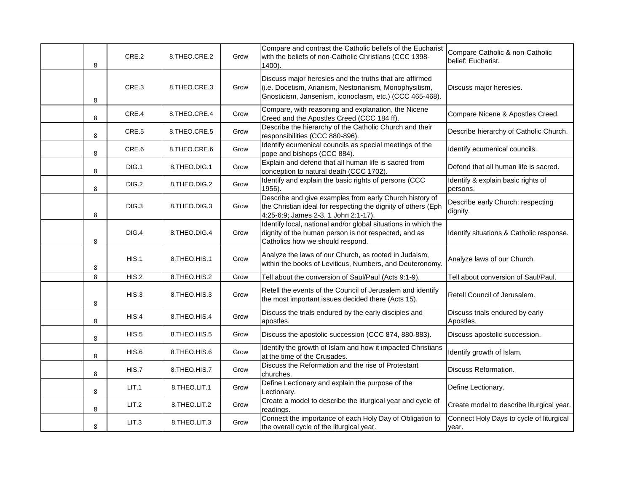| 8 | CRE.2 | 8.THEO.CRE.2    | Grow | Compare and contrast the Catholic beliefs of the Eucharist<br>with the beliefs of non-Catholic Christians (CCC 1398-<br>1400).                                               | Compare Catholic & non-Catholic<br>belief: Eucharist. |
|---|-------|-----------------|------|------------------------------------------------------------------------------------------------------------------------------------------------------------------------------|-------------------------------------------------------|
| 8 | CRE.3 | 8.THEO.CRE.3    | Grow | Discuss major heresies and the truths that are affirmed<br>(i.e. Docetism, Arianism, Nestorianism, Monophysitism,<br>Gnosticism, Jansenism, iconoclasm, etc.) (CCC 465-468). | Discuss major heresies.                               |
| 8 | CRE.4 | 8.THEO.CRE.4    | Grow | Compare, with reasoning and explanation, the Nicene<br>Creed and the Apostles Creed (CCC 184 ff).                                                                            | Compare Nicene & Apostles Creed.                      |
| 8 | CRE.5 | 8.THEO.CRE.5    | Grow | Describe the hierarchy of the Catholic Church and their<br>responsibilities (CCC 880-896).                                                                                   | Describe hierarchy of Catholic Church.                |
| 8 | CRE.6 | 8.THEO.CRE.6    | Grow | Identify ecumenical councils as special meetings of the<br>pope and bishops (CCC 884).                                                                                       | Identify ecumenical councils.                         |
| 8 | DIG.1 | 8.THEO.DIG.1    | Grow | Explain and defend that all human life is sacred from<br>conception to natural death (CCC 1702).                                                                             | Defend that all human life is sacred.                 |
| 8 | DIG.2 | 8.THEO.DIG.2    | Grow | Identify and explain the basic rights of persons (CCC<br>1956).                                                                                                              | Identify & explain basic rights of<br>persons.        |
| 8 | DIG.3 | 8.THEO.DIG.3    | Grow | Describe and give examples from early Church history of<br>the Christian ideal for respecting the dignity of others (Eph<br>4:25-6:9; James 2-3, 1 John 2:1-17).             | Describe early Church: respecting<br>dignity.         |
| 8 | DIG.4 | 8.THEO.DIG.4    | Grow | Identify local, national and/or global situations in which the<br>dignity of the human person is not respected, and as<br>Catholics how we should respond.                   | Identify situations & Catholic response.              |
| 8 | HIS.1 | 8. THEO. HIS. 1 | Grow | Analyze the laws of our Church, as rooted in Judaism,<br>within the books of Leviticus, Numbers, and Deuteronomy.                                                            | Analyze laws of our Church.                           |
| 8 | HIS.2 | 8.THEO.HIS.2    | Grow | Tell about the conversion of Saul/Paul (Acts 9:1-9).                                                                                                                         | Tell about conversion of Saul/Paul.                   |
| 8 | HIS.3 | 8.THEO.HIS.3    | Grow | Retell the events of the Council of Jerusalem and identify<br>the most important issues decided there (Acts 15).                                                             | Retell Council of Jerusalem.                          |
| 8 | HIS.4 | 8.THEO.HIS.4    | Grow | Discuss the trials endured by the early disciples and<br>apostles.                                                                                                           | Discuss trials endured by early<br>Apostles.          |
| 8 | HIS.5 | 8.THEO.HIS.5    | Grow | Discuss the apostolic succession (CCC 874, 880-883).                                                                                                                         | Discuss apostolic succession.                         |
| 8 | HIS.6 | 8.THEO.HIS.6    | Grow | Identify the growth of Islam and how it impacted Christians<br>at the time of the Crusades.                                                                                  | Identify growth of Islam.                             |
| 8 | HIS.7 | 8.THEO.HIS.7    | Grow | Discuss the Reformation and the rise of Protestant<br>churches.                                                                                                              | Discuss Reformation.                                  |
| 8 | LIT.1 | 8.THEO.LIT.1    | Grow | Define Lectionary and explain the purpose of the<br>Lectionary.                                                                                                              | Define Lectionary.                                    |
| 8 | LIT.2 | 8.THEO.LIT.2    | Grow | Create a model to describe the liturgical year and cycle of<br>readings.                                                                                                     | Create model to describe liturgical year.             |
| 8 | LIT.3 | 8.THEO.LIT.3    | Grow | Connect the importance of each Holy Day of Obligation to<br>the overall cycle of the liturgical year.                                                                        | Connect Holy Days to cycle of liturgical<br>year.     |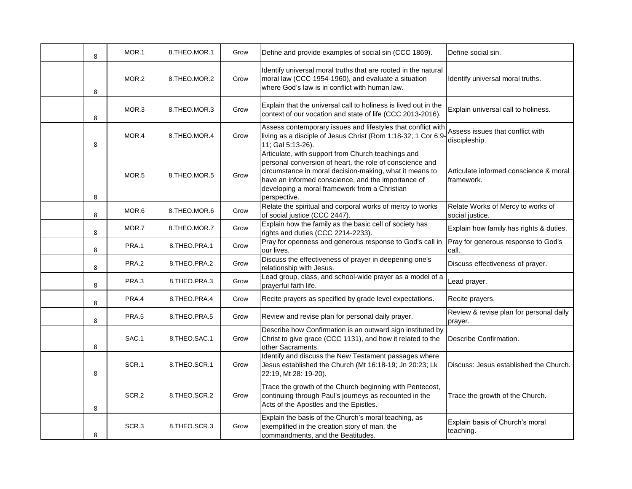| 8 | MOR.1 | 8.THEO.MOR.1 | Grow | Define and provide examples of social sin (CCC 1869).                                                                                                                                                                                                                                            | Define social sin.                                   |
|---|-------|--------------|------|--------------------------------------------------------------------------------------------------------------------------------------------------------------------------------------------------------------------------------------------------------------------------------------------------|------------------------------------------------------|
| 8 | MOR.2 | 8.THEO.MOR.2 | Grow | Identify universal moral truths that are rooted in the natural<br>moral law (CCC 1954-1960), and evaluate a situation<br>where God's law is in conflict with human law.                                                                                                                          | Identify universal moral truths.                     |
| 8 | MOR.3 | 8.THEO.MOR.3 | Grow | Explain that the universal call to holiness is lived out in the<br>context of our vocation and state of life (CCC 2013-2016).                                                                                                                                                                    | Explain universal call to holiness.                  |
| 8 | MOR.4 | 8.THEO.MOR.4 | Grow | Assess contemporary issues and lifestyles that conflict with<br>living as a disciple of Jesus Christ (Rom 1:18-32; 1 Cor 6:9-<br>11; Gal 5:13-26).                                                                                                                                               | Assess issues that conflict with<br>discipleship.    |
| 8 | MOR.5 | 8.THEO.MOR.5 | Grow | Articulate, with support from Church teachings and<br>personal conversion of heart, the role of conscience and<br>circumstance in moral decision-making, what it means to<br>have an informed conscience, and the importance of<br>developing a moral framework from a Christian<br>perspective. | Articulate informed conscience & moral<br>framework. |
| 8 | MOR.6 | 8.THEO.MOR.6 | Grow | Relate the spiritual and corporal works of mercy to works<br>of social justice (CCC 2447).                                                                                                                                                                                                       | Relate Works of Mercy to works of<br>social justice. |
| 8 | MOR.7 | 8.THEO.MOR.7 | Grow | Explain how the family as the basic cell of society has<br>rights and duties (CCC 2214-2233).                                                                                                                                                                                                    | Explain how family has rights & duties.              |
| 8 | PRA.1 | 8.THEO.PRA.1 | Grow | Pray for openness and generous response to God's call in<br>our lives.                                                                                                                                                                                                                           | Pray for generous response to God's<br>call.         |
| 8 | PRA.2 | 8.THEO.PRA.2 | Grow | Discuss the effectiveness of prayer in deepening one's<br>relationship with Jesus.                                                                                                                                                                                                               | Discuss effectiveness of prayer.                     |
| 8 | PRA.3 | 8.THEO.PRA.3 | Grow | Lead group, class, and school-wide prayer as a model of a<br>prayerful faith life.                                                                                                                                                                                                               | Lead prayer.                                         |
| 8 | PRA.4 | 8.THEO.PRA.4 | Grow | Recite prayers as specified by grade level expectations.                                                                                                                                                                                                                                         | Recite prayers.                                      |
| 8 | PRA.5 | 8.THEO.PRA.5 | Grow | Review and revise plan for personal daily prayer.                                                                                                                                                                                                                                                | Review & revise plan for personal daily<br>prayer.   |
| 8 | SAC.1 | 8.THEO.SAC.1 | Grow | Describe how Confirmation is an outward sign instituted by<br>Christ to give grace (CCC 1131), and how it related to the<br>other Sacraments.                                                                                                                                                    | Describe Confirmation.                               |
| 8 | SCR.1 | 8.THEO.SCR.1 | Grow | Identify and discuss the New Testament passages where<br>Jesus established the Church (Mt 16:18-19; Jn 20:23; Lk<br>22:19, Mt 28: 19-20).                                                                                                                                                        | Discuss: Jesus established the Church.               |
| 8 | SCR.2 | 8.THEO.SCR.2 | Grow | Trace the growth of the Church beginning with Pentecost,<br>continuing through Paul's journeys as recounted in the<br>Acts of the Apostles and the Epistles.                                                                                                                                     | Trace the growth of the Church.                      |
| 8 | SCR.3 | 8.THEO.SCR.3 | Grow | Explain the basis of the Church's moral teaching, as<br>exemplified in the creation story of man, the<br>commandments, and the Beatitudes.                                                                                                                                                       | Explain basis of Church's moral<br>teaching.         |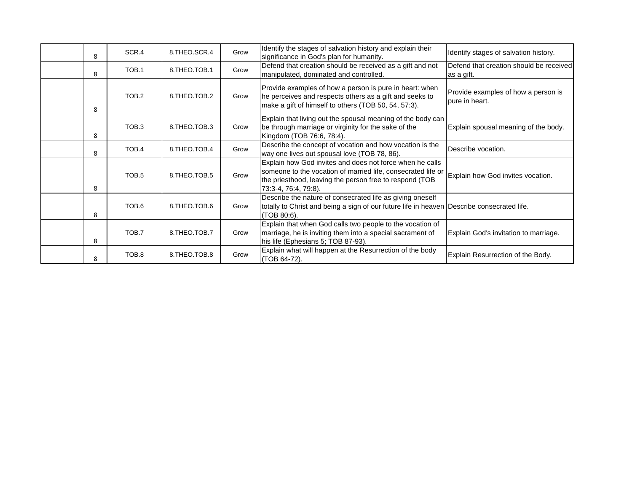| 8 | SCR.4             | 8.THEO.SCR.4    | Grow | Identify the stages of salvation history and explain their<br>significance in God's plan for humanity.                                                                                                      | Identify stages of salvation history.                  |
|---|-------------------|-----------------|------|-------------------------------------------------------------------------------------------------------------------------------------------------------------------------------------------------------------|--------------------------------------------------------|
| 8 | TOB.1             | 8. THEO. TOB. 1 | Grow | Defend that creation should be received as a gift and not<br>manipulated, dominated and controlled.                                                                                                         | Defend that creation should be received<br>as a gift.  |
| 8 | TOB.2             | 8.THEO.TOB.2    | Grow | Provide examples of how a person is pure in heart: when<br>he perceives and respects others as a gift and seeks to<br>make a gift of himself to others (TOB 50, 54, 57:3).                                  | Provide examples of how a person is<br>lpure in heart. |
| 8 | TOB <sub>3</sub>  | 8.THEO.TOB.3    | Grow | Explain that living out the spousal meaning of the body can<br>be through marriage or virginity for the sake of the<br>Kingdom (TOB 76:6, 78:4).                                                            | Explain spousal meaning of the body.                   |
| 8 | TOB.4             | 8. THEO. TOB. 4 | Grow | Describe the concept of vocation and how vocation is the<br>way one lives out spousal love (TOB 78, 86).                                                                                                    | Describe vocation.                                     |
| 8 | TOB <sub>.5</sub> | 8.THEO.TOB.5    | Grow | Explain how God invites and does not force when he calls<br>someone to the vocation of married life, consecrated life or<br>the priesthood, leaving the person free to respond (TOB<br>73:3-4, 76:4, 79:8). | Explain how God invites vocation.                      |
| 8 | TOB.6             | 8.THEO.TOB.6    | Grow | Describe the nature of consecrated life as giving oneself<br>totally to Christ and being a sign of our future life in heaven Describe consecrated life.<br>(TOB 80:6).                                      |                                                        |
| 8 | TOB.7             | 8.THEO.TOB.7    | Grow | Explain that when God calls two people to the vocation of<br>marriage, he is inviting them into a special sacrament of<br>his life (Ephesians 5; TOB 87-93).                                                | Explain God's invitation to marriage.                  |
| 8 | TOB.8             | 8.THEO.TOB.8    | Grow | Explain what will happen at the Resurrection of the body<br>(TOB 64-72).                                                                                                                                    | Explain Resurrection of the Body.                      |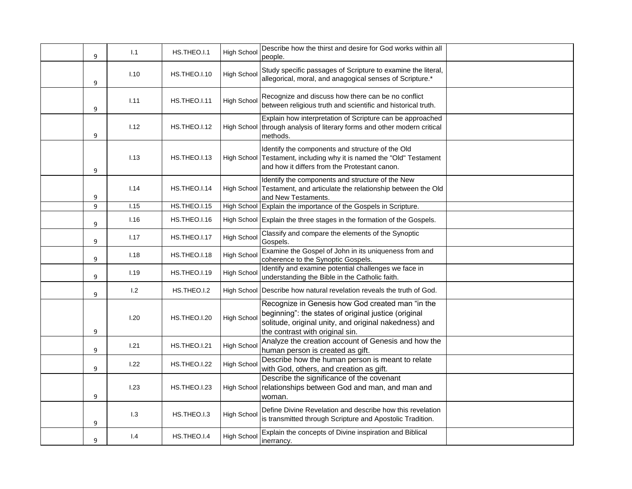| 9 | 1.1  | HS.THEO.I.1  | <b>High School</b> | Describe how the thirst and desire for God works within all<br>people.                                                                                                                               |  |
|---|------|--------------|--------------------|------------------------------------------------------------------------------------------------------------------------------------------------------------------------------------------------------|--|
| 9 | 1.10 | HS.THEO.I.10 | <b>High School</b> | Study specific passages of Scripture to examine the literal,<br>allegorical, moral, and anagogical senses of Scripture.*                                                                             |  |
| 9 | 1.11 | HS.THEO.I.11 | <b>High School</b> | Recognize and discuss how there can be no conflict<br>between religious truth and scientific and historical truth.                                                                                   |  |
| 9 | 1.12 | HS.THEO.I.12 |                    | Explain how interpretation of Scripture can be approached<br>High School through analysis of literary forms and other modern critical<br>methods.                                                    |  |
| 9 | 1.13 | HS.THEO.I.13 |                    | Identify the components and structure of the Old<br>High School Testament, including why it is named the "Old" Testament<br>and how it differs from the Protestant canon.                            |  |
| 9 | 1.14 | HS.THEO.I.14 |                    | Identify the components and structure of the New<br>High School Testament, and articulate the relationship between the Old<br>and New Testaments.                                                    |  |
| 9 | 1.15 | HS.THEO.I.15 | <b>High School</b> | Explain the importance of the Gospels in Scripture.                                                                                                                                                  |  |
| 9 | 1.16 | HS.THEO.I.16 |                    | High School Explain the three stages in the formation of the Gospels.                                                                                                                                |  |
| 9 | 1.17 | HS.THEO.I.17 | <b>High School</b> | Classify and compare the elements of the Synoptic<br>Gospels.                                                                                                                                        |  |
| 9 | 1.18 | HS.THEO.I.18 | High Schoo         | Examine the Gospel of John in its uniqueness from and<br>coherence to the Synoptic Gospels.                                                                                                          |  |
| 9 | 1.19 | HS.THEO.I.19 | High Schoo         | Identify and examine potential challenges we face in<br>understanding the Bible in the Catholic faith.                                                                                               |  |
| 9 | 1.2  | HS.THEO.I.2  |                    | High School Describe how natural revelation reveals the truth of God.                                                                                                                                |  |
| 9 | 1.20 | HS.THEO.I.20 | <b>High School</b> | Recognize in Genesis how God created man "in the<br>beginning": the states of original justice (original<br>solitude, original unity, and original nakedness) and<br>the contrast with original sin. |  |
| 9 | 1.21 | HS.THEO.I.21 | <b>High School</b> | Analyze the creation account of Genesis and how the<br>human person is created as gift.                                                                                                              |  |
| 9 | 1.22 | HS.THEO.I.22 | High Schoo         | Describe how the human person is meant to relate<br>with God, others, and creation as gift.                                                                                                          |  |
| 9 | 1.23 | HS.THEO.I.23 |                    | Describe the significance of the covenant<br>High School relationships between God and man, and man and<br>woman.                                                                                    |  |
| 9 | 1.3  | HS.THEO.I.3  | <b>High School</b> | Define Divine Revelation and describe how this revelation<br>is transmitted through Scripture and Apostolic Tradition.                                                                               |  |
| 9 | 1.4  | HS.THEO.I.4  | <b>High School</b> | Explain the concepts of Divine inspiration and Biblical<br>inerrancy.                                                                                                                                |  |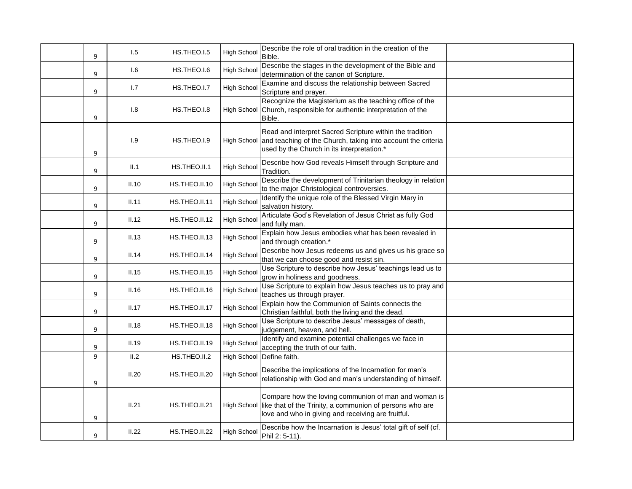| 9 | 1.5   | HS.THEO.I.5   | <b>High School</b> | Describe the role of oral tradition in the creation of the<br>Bible.                                                                                                               |  |
|---|-------|---------------|--------------------|------------------------------------------------------------------------------------------------------------------------------------------------------------------------------------|--|
| 9 | 1.6   | HS.THEO.I.6   | High School        | Describe the stages in the development of the Bible and<br>determination of the canon of Scripture.                                                                                |  |
| 9 | 1.7   | HS.THEO.I.7   | <b>High School</b> | Examine and discuss the relationship between Sacred<br>Scripture and prayer.                                                                                                       |  |
| 9 | 1.8   | HS.THEO.I.8   |                    | Recognize the Magisterium as the teaching office of the<br>High School Church, responsible for authentic interpretation of the<br>Bible.                                           |  |
| 9 | 1.9   | HS.THEO.I.9   |                    | Read and interpret Sacred Scripture within the tradition<br>High School and teaching of the Church, taking into account the criteria<br>used by the Church in its interpretation.* |  |
| 9 | II.1  | HS.THEO.II.1  | High School        | Describe how God reveals Himself through Scripture and<br>Tradition.                                                                                                               |  |
| 9 | II.10 | HS.THEO.II.10 | High Schoo         | Describe the development of Trinitarian theology in relation<br>to the major Christological controversies.                                                                         |  |
| 9 | II.11 | HS.THEO.II.11 | High Schoo         | Identify the unique role of the Blessed Virgin Mary in<br>salvation history.                                                                                                       |  |
| 9 | II.12 | HS.THEO.II.12 | High School        | Articulate God's Revelation of Jesus Christ as fully God<br>and fully man.                                                                                                         |  |
| 9 | II.13 | HS.THEO.II.13 | High Schoo         | Explain how Jesus embodies what has been revealed in<br>and through creation.*                                                                                                     |  |
| 9 | II.14 | HS.THEO.II.14 | High Schoo         | Describe how Jesus redeems us and gives us his grace so<br>that we can choose good and resist sin.                                                                                 |  |
| 9 | II.15 | HS.THEO.II.15 | <b>High School</b> | Use Scripture to describe how Jesus' teachings lead us to<br>grow in holiness and goodness.                                                                                        |  |
| 9 | II.16 | HS.THEO.II.16 | High School        | Use Scripture to explain how Jesus teaches us to pray and<br>teaches us through prayer.                                                                                            |  |
| 9 | II.17 | HS.THEO.II.17 | High Schoo         | Explain how the Communion of Saints connects the<br>Christian faithful, both the living and the dead.                                                                              |  |
| 9 | II.18 | HS.THEO.II.18 | High School        | Use Scripture to describe Jesus' messages of death,<br>judgement, heaven, and hell.                                                                                                |  |
| 9 | II.19 | HS.THEO.II.19 | High School        | Identify and examine potential challenges we face in<br>accepting the truth of our faith.                                                                                          |  |
| 9 | II.2  | HS.THEO.II.2  | <b>High School</b> | Define faith.                                                                                                                                                                      |  |
| 9 | II.20 | HS.THEO.II.20 | <b>High School</b> | Describe the implications of the Incarnation for man's<br>relationship with God and man's understanding of himself.                                                                |  |
| 9 | II.21 | HS.THEO.II.21 |                    | Compare how the loving communion of man and woman is<br>High School like that of the Trinity, a communion of persons who are<br>love and who in giving and receiving are fruitful. |  |
| 9 | II.22 | HS.THEO.II.22 | High School        | Describe how the Incarnation is Jesus' total gift of self (cf.<br>Phil 2: 5-11).                                                                                                   |  |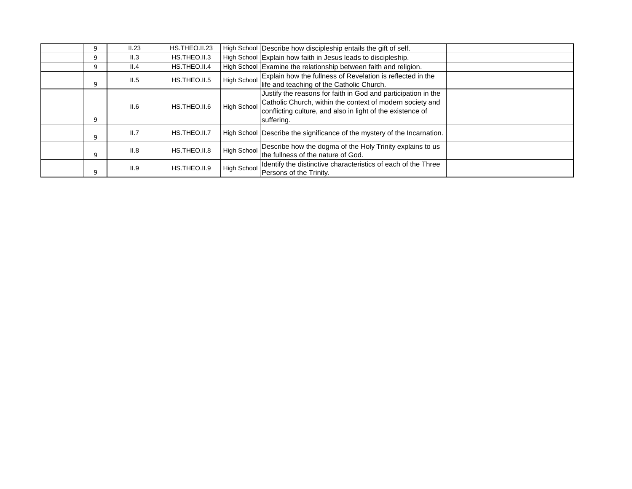| 9 | II.23 | HS.THEO.II.23 |                    | High School Describe how discipleship entails the gift of self.                                                                                                                                        |  |
|---|-------|---------------|--------------------|--------------------------------------------------------------------------------------------------------------------------------------------------------------------------------------------------------|--|
| 9 | II.3  | HS.THEO.II.3  |                    | High School Explain how faith in Jesus leads to discipleship.                                                                                                                                          |  |
| 9 | II.4  | HS.THEO.II.4  |                    | High School Examine the relationship between faith and religion.                                                                                                                                       |  |
| 9 | II.5  | HS.THEO.II.5  | High School        | Explain how the fullness of Revelation is reflected in the<br>life and teaching of the Catholic Church.                                                                                                |  |
| 9 | II.6  | HS.THEO.II.6  | <b>High School</b> | Justify the reasons for faith in God and participation in the<br>Catholic Church, within the context of modern society and<br>conflicting culture, and also in light of the existence of<br>suffering. |  |
| 9 | II.7  | HS.THEO.II.7  |                    | High School Describe the significance of the mystery of the Incarnation.                                                                                                                               |  |
| 9 | II.8  | HS.THEO.II.8  | High School        | Describe how the dogma of the Holy Trinity explains to us<br>the fullness of the nature of God.                                                                                                        |  |
| 9 | II.9  | HS.THEO.II.9  | High School        | Identify the distinctive characteristics of each of the Three<br>Persons of the Trinity.                                                                                                               |  |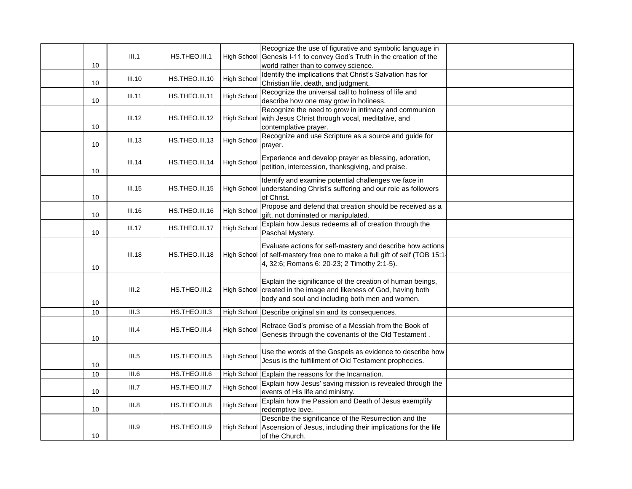| 10 | III.1         | HS.THEO.III.1  |                    | Recognize the use of figurative and symbolic language in<br>High School Genesis I-11 to convey God's Truth in the creation of the<br>world rather than to convey science.                |  |
|----|---------------|----------------|--------------------|------------------------------------------------------------------------------------------------------------------------------------------------------------------------------------------|--|
| 10 | <b>III.10</b> | HS.THEO.III.10 | <b>High School</b> | Identify the implications that Christ's Salvation has for<br>Christian life, death, and judgment.                                                                                        |  |
| 10 | III.11        | HS.THEO.III.11 | <b>High School</b> | Recognize the universal call to holiness of life and<br>describe how one may grow in holiness.                                                                                           |  |
| 10 | III.12        | HS.THEO.III.12 |                    | Recognize the need to grow in intimacy and communion<br>High School with Jesus Christ through vocal, meditative, and<br>contemplative prayer.                                            |  |
| 10 | III.13        | HS.THEO.III.13 | <b>High School</b> | Recognize and use Scripture as a source and guide for<br>prayer.                                                                                                                         |  |
| 10 | III.14        | HS.THEO.III.14 | <b>High School</b> | Experience and develop prayer as blessing, adoration,<br>petition, intercession, thanksgiving, and praise.                                                                               |  |
| 10 | III.15        | HS.THEO.III.15 |                    | Identify and examine potential challenges we face in<br>High School understanding Christ's suffering and our role as followers<br>of Christ.                                             |  |
| 10 | III.16        | HS.THEO.III.16 | <b>High School</b> | Propose and defend that creation should be received as a<br>gift, not dominated or manipulated.                                                                                          |  |
| 10 | III.17        | HS.THEO.III.17 | <b>High School</b> | Explain how Jesus redeems all of creation through the<br>Paschal Mystery.                                                                                                                |  |
| 10 | III.18        | HS.THEO.III.18 |                    | Evaluate actions for self-mastery and describe how actions<br>High School of self-mastery free one to make a full gift of self (TOB 15:1-<br>4, 32:6; Romans 6: 20-23; 2 Timothy 2:1-5). |  |
| 10 | III.2         | HS.THEO.III.2  |                    | Explain the significance of the creation of human beings,<br>High School created in the image and likeness of God, having both<br>body and soul and including both men and women.        |  |
| 10 | III.3         | HS.THEO.III.3  |                    | High School Describe original sin and its consequences.                                                                                                                                  |  |
| 10 | III.4         | HS.THEO.III.4  | <b>High School</b> | Retrace God's promise of a Messiah from the Book of<br>Genesis through the covenants of the Old Testament.                                                                               |  |
| 10 | III.5         | HS.THEO.III.5  | <b>High School</b> | Use the words of the Gospels as evidence to describe how<br>Jesus is the fulfillment of Old Testament prophecies.                                                                        |  |
| 10 | III.6         | HS.THEO.III.6  |                    | High School Explain the reasons for the Incarnation.                                                                                                                                     |  |
| 10 | III.7         | HS.THEO.III.7  | <b>High School</b> | Explain how Jesus' saving mission is revealed through the<br>events of His life and ministry.                                                                                            |  |
| 10 | III.8         | HS.THEO.III.8  | <b>High School</b> | Explain how the Passion and Death of Jesus exemplify<br>redemptive love.                                                                                                                 |  |
| 10 | III.9         | HS.THEO.III.9  |                    | Describe the significance of the Resurrection and the<br>High School Ascension of Jesus, including their implications for the life<br>of the Church.                                     |  |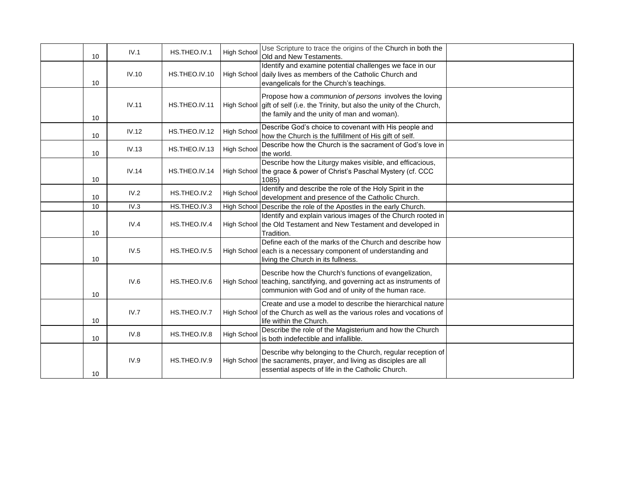| 10 | IV.1  | HS.THEO.IV.1  | <b>High School</b> | Use Scripture to trace the origins of the Church in both the<br>Old and New Testaments.                                                                                                |  |
|----|-------|---------------|--------------------|----------------------------------------------------------------------------------------------------------------------------------------------------------------------------------------|--|
| 10 | IV.10 | HS.THEO.IV.10 |                    | Identify and examine potential challenges we face in our<br>High School daily lives as members of the Catholic Church and<br>evangelicals for the Church's teachings.                  |  |
| 10 | IV.11 | HS.THEO.IV.11 |                    | Propose how a communion of persons involves the loving<br>High School gift of self (i.e. the Trinity, but also the unity of the Church,<br>the family and the unity of man and woman). |  |
| 10 | IV.12 | HS.THEO.IV.12 | <b>High School</b> | Describe God's choice to covenant with His people and<br>how the Church is the fulfillment of His gift of self.                                                                        |  |
| 10 | IV.13 | HS.THEO.IV.13 | <b>High School</b> | Describe how the Church is the sacrament of God's love in<br>the world.                                                                                                                |  |
| 10 | IV.14 | HS.THEO.IV.14 |                    | Describe how the Liturgy makes visible, and efficacious,<br>High School the grace & power of Christ's Paschal Mystery (cf. CCC<br>1085)                                                |  |
| 10 | IV.2  | HS.THEO.IV.2  | High School        | Identify and describe the role of the Holy Spirit in the<br>development and presence of the Catholic Church.                                                                           |  |
| 10 | IV.3  | HS.THEO.IV.3  | <b>High School</b> | Describe the role of the Apostles in the early Church.                                                                                                                                 |  |
| 10 | IV.4  | HS.THEO.IV.4  |                    | Identify and explain various images of the Church rooted in<br>High School the Old Testament and New Testament and developed in<br>Tradition.                                          |  |
| 10 | IV.5  | HS.THEO.IV.5  |                    | Define each of the marks of the Church and describe how<br>High School each is a necessary component of understanding and<br>living the Church in its fullness.                        |  |
| 10 | IV.6  | HS.THEO.IV.6  |                    | Describe how the Church's functions of evangelization,<br>High School teaching, sanctifying, and governing act as instruments of<br>communion with God and of unity of the human race. |  |
| 10 | IV.7  | HS.THEO.IV.7  |                    | Create and use a model to describe the hierarchical nature<br>High School of the Church as well as the various roles and vocations of<br>life within the Church.                       |  |
| 10 | IV.8  | HS.THEO.IV.8  | <b>High School</b> | Describe the role of the Magisterium and how the Church<br>is both indefectible and infallible.                                                                                        |  |
| 10 | IV.9  | HS.THEO.IV.9  |                    | Describe why belonging to the Church, regular reception of<br>High School the sacraments, prayer, and living as disciples are all<br>essential aspects of life in the Catholic Church. |  |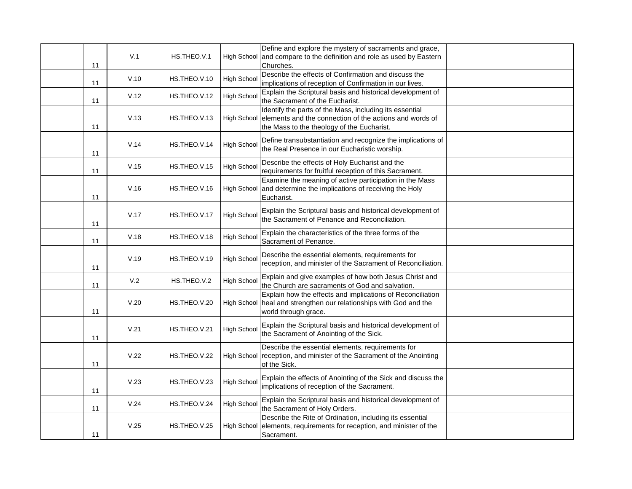| 11 | V.1  | HS.THEO.V.1  |                    | Define and explore the mystery of sacraments and grace,<br>High School and compare to the definition and role as used by Eastern<br>Churches.                                |  |
|----|------|--------------|--------------------|------------------------------------------------------------------------------------------------------------------------------------------------------------------------------|--|
| 11 | V.10 | HS.THEO.V.10 | High School        | Describe the effects of Confirmation and discuss the<br>implications of reception of Confirmation in our lives.                                                              |  |
| 11 | V.12 | HS.THEO.V.12 | <b>High School</b> | Explain the Scriptural basis and historical development of<br>the Sacrament of the Eucharist.                                                                                |  |
| 11 | V.13 | HS.THEO.V.13 |                    | Identify the parts of the Mass, including its essential<br>High School elements and the connection of the actions and words of<br>the Mass to the theology of the Eucharist. |  |
| 11 | V.14 | HS.THEO.V.14 | <b>High School</b> | Define transubstantiation and recognize the implications of<br>the Real Presence in our Eucharistic worship.                                                                 |  |
| 11 | V.15 | HS.THEO.V.15 | <b>High School</b> | Describe the effects of Holy Eucharist and the<br>requirements for fruitful reception of this Sacrament.                                                                     |  |
| 11 | V.16 | HS.THEO.V.16 |                    | Examine the meaning of active participation in the Mass<br>High School and determine the implications of receiving the Holy<br>Eucharist.                                    |  |
| 11 | V.17 | HS.THEO.V.17 | <b>High School</b> | Explain the Scriptural basis and historical development of<br>the Sacrament of Penance and Reconciliation.                                                                   |  |
| 11 | V.18 | HS.THEO.V.18 | <b>High School</b> | Explain the characteristics of the three forms of the<br>Sacrament of Penance.                                                                                               |  |
| 11 | V.19 | HS.THEO.V.19 | <b>High School</b> | Describe the essential elements, requirements for<br>reception, and minister of the Sacrament of Reconciliation.                                                             |  |
| 11 | V.2  | HS.THEO.V.2  | <b>High School</b> | Explain and give examples of how both Jesus Christ and<br>the Church are sacraments of God and salvation.                                                                    |  |
| 11 | V.20 | HS.THEO.V.20 |                    | Explain how the effects and implications of Reconciliation<br>High School   heal and strengthen our relationships with God and the<br>world through grace.                   |  |
| 11 | V.21 | HS.THEO.V.21 | <b>High School</b> | Explain the Scriptural basis and historical development of<br>the Sacrament of Anointing of the Sick.                                                                        |  |
| 11 | V.22 | HS.THEO.V.22 |                    | Describe the essential elements, requirements for<br>High School reception, and minister of the Sacrament of the Anointing<br>of the Sick.                                   |  |
| 11 | V.23 | HS.THEO.V.23 | <b>High School</b> | Explain the effects of Anointing of the Sick and discuss the<br>implications of reception of the Sacrament.                                                                  |  |
| 11 | V.24 | HS.THEO.V.24 | <b>High School</b> | Explain the Scriptural basis and historical development of<br>the Sacrament of Holy Orders.                                                                                  |  |
| 11 | V.25 | HS.THEO.V.25 |                    | Describe the Rite of Ordination, including its essential<br>High School elements, requirements for reception, and minister of the<br>Sacrament.                              |  |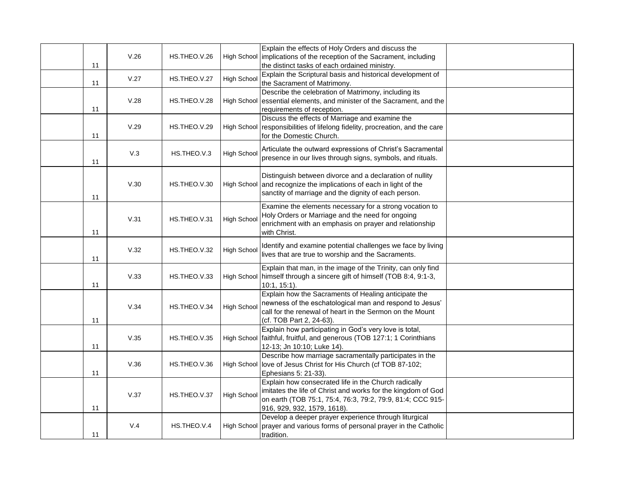| 11 | V.26 | HS.THEO.V.26 |                    | Explain the effects of Holy Orders and discuss the<br>High School implications of the reception of the Sacrament, including<br>the distinct tasks of each ordained ministry.                                      |  |
|----|------|--------------|--------------------|-------------------------------------------------------------------------------------------------------------------------------------------------------------------------------------------------------------------|--|
| 11 | V.27 | HS.THEO.V.27 | High School        | Explain the Scriptural basis and historical development of<br>the Sacrament of Matrimony.                                                                                                                         |  |
| 11 | V.28 | HS.THEO.V.28 |                    | Describe the celebration of Matrimony, including its<br>High School essential elements, and minister of the Sacrament, and the<br>requirements of reception.                                                      |  |
| 11 | V.29 | HS.THEO.V.29 |                    | Discuss the effects of Marriage and examine the<br>High School responsibilities of lifelong fidelity, procreation, and the care<br>for the Domestic Church.                                                       |  |
| 11 | V.3  | HS.THEO.V.3  | <b>High School</b> | Articulate the outward expressions of Christ's Sacramental<br>presence in our lives through signs, symbols, and rituals.                                                                                          |  |
| 11 | V.30 | HS.THEO.V.30 |                    | Distinguish between divorce and a declaration of nullity<br>High School and recognize the implications of each in light of the<br>sanctity of marriage and the dignity of each person.                            |  |
| 11 | V.31 | HS.THEO.V.31 | High School        | Examine the elements necessary for a strong vocation to<br>Holy Orders or Marriage and the need for ongoing<br>enrichment with an emphasis on prayer and relationship<br>with Christ.                             |  |
| 11 | V.32 | HS.THEO.V.32 | <b>High School</b> | Identify and examine potential challenges we face by living<br>lives that are true to worship and the Sacraments.                                                                                                 |  |
| 11 | V.33 | HS.THEO.V.33 |                    | Explain that man, in the image of the Trinity, can only find<br>High School   himself through a sincere gift of himself (TOB 8:4, 9:1-3,<br>$10:1, 15:1$ ).                                                       |  |
| 11 | V.34 | HS.THEO.V.34 | <b>High Schoo</b>  | Explain how the Sacraments of Healing anticipate the<br>newness of the eschatological man and respond to Jesus'<br>call for the renewal of heart in the Sermon on the Mount<br>(cf. TOB Part 2, 24-63).           |  |
| 11 | V.35 | HS.THEO.V.35 |                    | Explain how participating in God's very love is total,<br>High School faithful, fruitful, and generous (TOB 127:1; 1 Corinthians<br>12-13; Jn 10:10; Luke 14).                                                    |  |
| 11 | V.36 | HS.THEO.V.36 |                    | Describe how marriage sacramentally participates in the<br>High School  love of Jesus Christ for His Church (cf TOB 87-102;<br>Ephesians 5: 21-33).                                                               |  |
| 11 | V.37 | HS.THEO.V.37 | High School        | Explain how consecrated life in the Church radically<br>imitates the life of Christ and works for the kingdom of God<br>on earth (TOB 75:1, 75:4, 76:3, 79:2, 79:9, 81:4; CCC 915-<br>916, 929, 932, 1579, 1618). |  |
| 11 | V.4  | HS.THEO.V.4  |                    | Develop a deeper prayer experience through liturgical<br>High School prayer and various forms of personal prayer in the Catholic<br>tradition.                                                                    |  |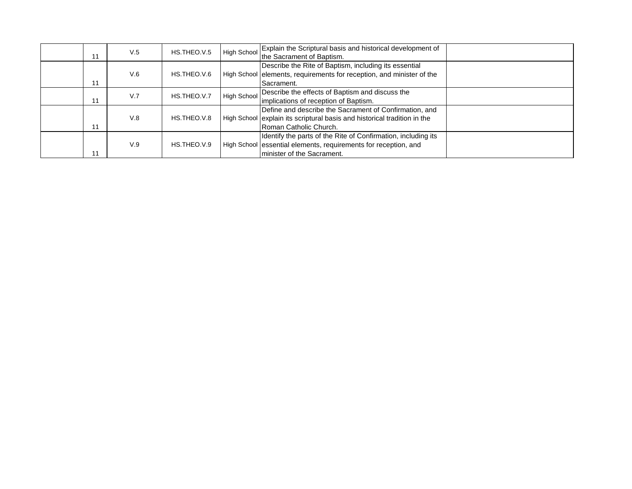| 11 | V.5 | HS.THEO.V.5 | <b>High School</b> | Explain the Scriptural basis and historical development of<br>the Sacrament of Baptism.                                                                         |  |
|----|-----|-------------|--------------------|-----------------------------------------------------------------------------------------------------------------------------------------------------------------|--|
| 11 | V.6 | HS.THEO.V.6 |                    | Describe the Rite of Baptism, including its essential<br>High School elements, requirements for reception, and minister of the<br>Sacrament.                    |  |
| 11 | V.7 | HS.THEO.V.7 | <b>High School</b> | Describe the effects of Baptism and discuss the<br>implications of reception of Baptism.                                                                        |  |
| 11 | V.8 | HS.THEO.V.8 |                    | Define and describe the Sacrament of Confirmation, and<br>High School explain its scriptural basis and historical tradition in the<br>Roman Catholic Church.    |  |
| 11 | V.9 | HS.THEO.V.9 |                    | Identify the parts of the Rite of Confirmation, including its<br>High School essential elements, requirements for reception, and<br>Iminister of the Sacrament. |  |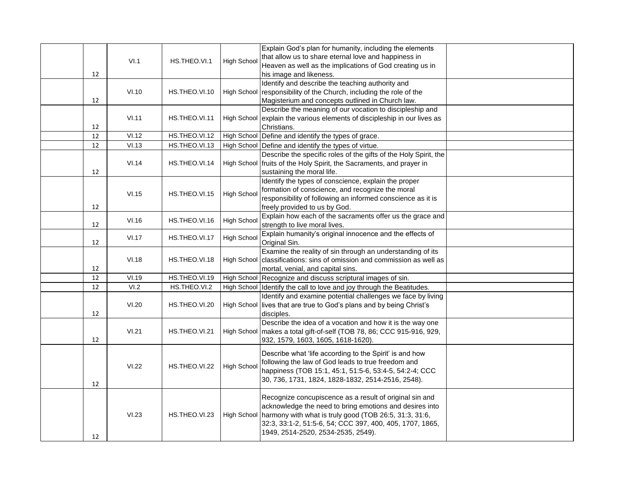|    | VI.1  | HS.THEO.VI.1  | High School        | Explain God's plan for humanity, including the elements<br>that allow us to share eternal love and happiness in<br>Heaven as well as the implications of God creating us in                                                                                                                  |  |
|----|-------|---------------|--------------------|----------------------------------------------------------------------------------------------------------------------------------------------------------------------------------------------------------------------------------------------------------------------------------------------|--|
| 12 |       |               |                    | his image and likeness.                                                                                                                                                                                                                                                                      |  |
| 12 | VI.10 | HS.THEO.VI.10 |                    | Identify and describe the teaching authority and<br>High School responsibility of the Church, including the role of the<br>Magisterium and concepts outlined in Church law.                                                                                                                  |  |
| 12 | VI.11 | HS.THEO.VI.11 |                    | Describe the meaning of our vocation to discipleship and<br>High School explain the various elements of discipleship in our lives as<br>Christians.                                                                                                                                          |  |
| 12 | VI.12 | HS.THEO.VI.12 |                    | High School Define and identify the types of grace.                                                                                                                                                                                                                                          |  |
| 12 | VI.13 | HS.THEO.VI.13 |                    | High School Define and identify the types of virtue.                                                                                                                                                                                                                                         |  |
| 12 | VI.14 | HS.THEO.VI.14 |                    | Describe the specific roles of the gifts of the Holy Spirit, the<br>High School fruits of the Holy Spirit, the Sacraments, and prayer in<br>sustaining the moral life.                                                                                                                       |  |
| 12 | VI.15 | HS.THEO.VI.15 | <b>High School</b> | Identify the types of conscience, explain the proper<br>formation of conscience, and recognize the moral<br>responsibility of following an informed conscience as it is<br>freely provided to us by God.                                                                                     |  |
| 12 | VI.16 | HS.THEO.VI.16 | <b>High School</b> | Explain how each of the sacraments offer us the grace and<br>strength to live moral lives.                                                                                                                                                                                                   |  |
| 12 | VI.17 | HS.THEO.VI.17 | High School        | Explain humanity's original innocence and the effects of<br>Original Sin.                                                                                                                                                                                                                    |  |
| 12 | VI.18 | HS.THEO.VI.18 |                    | Examine the reality of sin through an understanding of its<br>High School   classifications: sins of omission and commission as well as<br>mortal, venial, and capital sins.                                                                                                                 |  |
| 12 | VI.19 | HS.THEO.VI.19 |                    | High School Recognize and discuss scriptural images of sin.                                                                                                                                                                                                                                  |  |
| 12 | VI.2  | HS.THEO.VI.2  |                    | High School Identify the call to love and joy through the Beatitudes.                                                                                                                                                                                                                        |  |
| 12 | VI.20 | HS.THEO.VI.20 |                    | Identify and examine potential challenges we face by living<br>High School lives that are true to God's plans and by being Christ's<br>disciples.                                                                                                                                            |  |
| 12 | VI.21 | HS.THEO.VI.21 |                    | Describe the idea of a vocation and how it is the way one<br>High School   makes a total gift-of-self (TOB 78, 86; CCC 915-916, 929,<br>932, 1579, 1603, 1605, 1618-1620).                                                                                                                   |  |
| 12 | VI.22 | HS.THEO.VI.22 | High School        | Describe what 'life according to the Spirit' is and how<br>following the law of God leads to true freedom and<br>happiness (TOB 15:1, 45:1, 51:5-6, 53:4-5, 54:2-4; CCC<br>30, 736, 1731, 1824, 1828-1832, 2514-2516, 2548).                                                                 |  |
| 12 | VI.23 | HS.THEO.VI.23 |                    | Recognize concupiscence as a result of original sin and<br>acknowledge the need to bring emotions and desires into<br>High School   harmony with what is truly good (TOB 26:5, 31:3, 31:6,<br>32:3, 33:1-2, 51:5-6, 54; CCC 397, 400, 405, 1707, 1865,<br>1949, 2514-2520, 2534-2535, 2549). |  |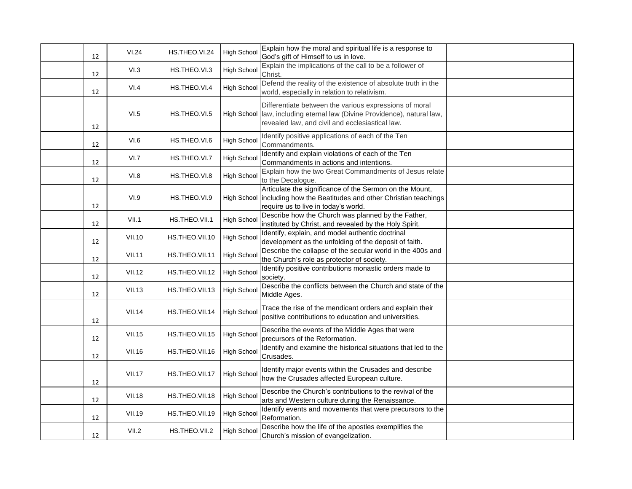| 12 | VI.24         | HS.THEO.VI.24  | High School        | Explain how the moral and spiritual life is a response to<br>God's gift of Himself to us in love.                                                                                      |  |
|----|---------------|----------------|--------------------|----------------------------------------------------------------------------------------------------------------------------------------------------------------------------------------|--|
| 12 | VI.3          | HS.THEO.VI.3   | High School        | Explain the implications of the call to be a follower of<br>Christ.                                                                                                                    |  |
| 12 | VI.4          | HS.THEO.VI.4   | <b>High Schoo</b>  | Defend the reality of the existence of absolute truth in the<br>world, especially in relation to relativism.                                                                           |  |
| 12 | VI.5          | HS.THEO.VI.5   |                    | Differentiate between the various expressions of moral<br>High School  law, including eternal law (Divine Providence), natural law,<br>revealed law, and civil and ecclesiastical law. |  |
| 12 | VI.6          | HS.THEO.VI.6   | <b>High School</b> | Identify positive applications of each of the Ten<br>Commandments.                                                                                                                     |  |
| 12 | VI.7          | HS.THEO.VI.7   | High School        | Identify and explain violations of each of the Ten<br>Commandments in actions and intentions.                                                                                          |  |
| 12 | VI.8          | HS.THEO.VI.8   | High School        | Explain how the two Great Commandments of Jesus relate<br>to the Decalogue.                                                                                                            |  |
| 12 | VI.9          | HS.THEO.VI.9   |                    | Articulate the significance of the Sermon on the Mount,<br>High School including how the Beatitudes and other Christian teachings<br>require us to live in today's world.              |  |
| 12 | VII.1         | HS.THEO.VII.1  | High School        | Describe how the Church was planned by the Father,<br>instituted by Christ, and revealed by the Holy Spirit.                                                                           |  |
| 12 | <b>VII.10</b> | HS.THEO.VII.10 | High Schoo         | Identify, explain, and model authentic doctrinal<br>development as the unfolding of the deposit of faith.                                                                              |  |
| 12 | VII.11        | HS.THEO.VII.11 | High School        | Describe the collapse of the secular world in the 400s and<br>the Church's role as protector of society.                                                                               |  |
| 12 | <b>VII.12</b> | HS.THEO.VII.12 | High School        | Identify positive contributions monastic orders made to<br>society.                                                                                                                    |  |
| 12 | <b>VII.13</b> | HS.THEO.VII.13 | <b>High Schoo</b>  | Describe the conflicts between the Church and state of the<br>Middle Ages.                                                                                                             |  |
| 12 | VII.14        | HS.THEO.VII.14 | <b>High School</b> | Trace the rise of the mendicant orders and explain their<br>positive contributions to education and universities.                                                                      |  |
| 12 | <b>VII.15</b> | HS.THEO.VII.15 | <b>High School</b> | Describe the events of the Middle Ages that were<br>precursors of the Reformation.                                                                                                     |  |
| 12 | <b>VII.16</b> | HS.THEO.VII.16 | High School        | Identify and examine the historical situations that led to the<br>Crusades.                                                                                                            |  |
| 12 | <b>VII.17</b> | HS.THEO.VII.17 | <b>High School</b> | Identify major events within the Crusades and describe<br>how the Crusades affected European culture.                                                                                  |  |
| 12 | <b>VII.18</b> | HS.THEO.VII.18 | High School        | Describe the Church's contributions to the revival of the<br>arts and Western culture during the Renaissance.                                                                          |  |
| 12 | <b>VII.19</b> | HS.THEO.VII.19 | High School        | Identify events and movements that were precursors to the<br>Reformation.                                                                                                              |  |
| 12 | VII.2         | HS.THEO.VII.2  | <b>High School</b> | Describe how the life of the apostles exemplifies the<br>Church's mission of evangelization.                                                                                           |  |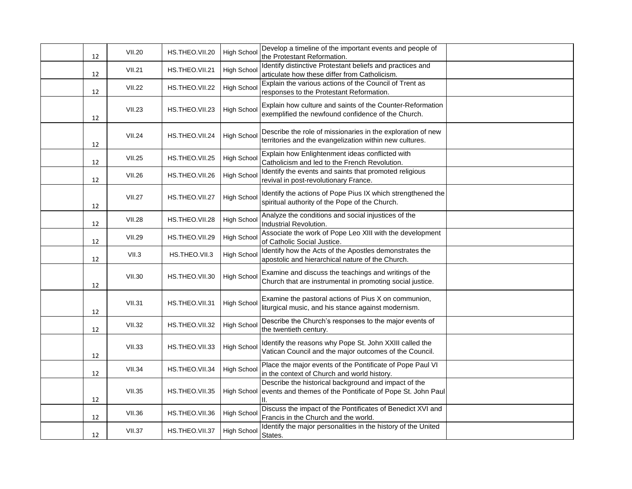| 12 | <b>VII.20</b> | HS.THEO.VII.20 | High School        | Develop a timeline of the important events and people of<br>the Protestant Reformation.                                  |  |
|----|---------------|----------------|--------------------|--------------------------------------------------------------------------------------------------------------------------|--|
| 12 | <b>VII.21</b> | HS.THEO.VII.21 | <b>High School</b> | Identify distinctive Protestant beliefs and practices and<br>articulate how these differ from Catholicism.               |  |
| 12 | <b>VII.22</b> | HS.THEO.VII.22 | High School        | Explain the various actions of the Council of Trent as<br>responses to the Protestant Reformation.                       |  |
| 12 | <b>VII.23</b> | HS.THEO.VII.23 | High School        | Explain how culture and saints of the Counter-Reformation<br>exemplified the newfound confidence of the Church.          |  |
| 12 | <b>VII.24</b> | HS.THEO.VII.24 | High School        | Describe the role of missionaries in the exploration of new<br>territories and the evangelization within new cultures.   |  |
| 12 | <b>VII.25</b> | HS.THEO.VII.25 | High School        | Explain how Enlightenment ideas conflicted with<br>Catholicism and led to the French Revolution.                         |  |
| 12 | <b>VII.26</b> | HS.THEO.VII.26 | High School        | Identify the events and saints that promoted religious<br>revival in post-revolutionary France.                          |  |
| 12 | <b>VII.27</b> | HS.THEO.VII.27 | <b>High School</b> | Identify the actions of Pope Pius IX which strengthened the<br>spiritual authority of the Pope of the Church.            |  |
| 12 | <b>VII.28</b> | HS.THEO.VII.28 | High School        | Analyze the conditions and social injustices of the<br>Industrial Revolution.                                            |  |
| 12 | <b>VII.29</b> | HS.THEO.VII.29 | High School        | Associate the work of Pope Leo XIII with the development<br>of Catholic Social Justice.                                  |  |
| 12 | VII.3         | HS.THEO.VII.3  | High School        | Identify how the Acts of the Apostles demonstrates the<br>apostolic and hierarchical nature of the Church.               |  |
| 12 | <b>VII.30</b> | HS.THEO.VII.30 | <b>High School</b> | Examine and discuss the teachings and writings of the<br>Church that are instrumental in promoting social justice.       |  |
| 12 | VII.31        | HS.THEO.VII.31 | <b>High School</b> | Examine the pastoral actions of Pius X on communion,<br>liturgical music, and his stance against modernism.              |  |
| 12 | <b>VII.32</b> | HS.THEO.VII.32 | <b>High School</b> | Describe the Church's responses to the major events of<br>the twentieth century                                          |  |
| 12 | <b>VII.33</b> | HS.THEO.VII.33 | High School        | Identify the reasons why Pope St. John XXIII called the<br>Vatican Council and the major outcomes of the Council.        |  |
| 12 | <b>VII.34</b> | HS.THEO.VII.34 | <b>High School</b> | Place the major events of the Pontificate of Pope Paul VI<br>in the context of Church and world history.                 |  |
| 12 | <b>VII.35</b> | HS.THEO.VII.35 | <b>High School</b> | Describe the historical background and impact of the<br>events and themes of the Pontificate of Pope St. John Paul<br>Ш. |  |
| 12 | <b>VII.36</b> | HS.THEO.VII.36 | High School        | Discuss the impact of the Pontificates of Benedict XVI and<br>Francis in the Church and the world.                       |  |
| 12 | <b>VII.37</b> | HS.THEO.VII.37 | High School        | Identify the major personalities in the history of the United<br>States.                                                 |  |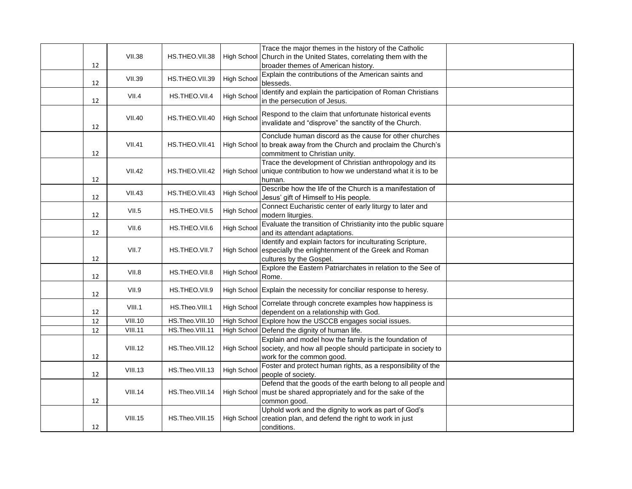|    | <b>VII.38</b>                    | HS.THEO.VII.38                     |                    | Trace the major themes in the history of the Catholic<br>High School Church in the United States, correlating them with the      |  |
|----|----------------------------------|------------------------------------|--------------------|----------------------------------------------------------------------------------------------------------------------------------|--|
| 12 |                                  |                                    |                    | broader themes of American history.                                                                                              |  |
|    | <b>VII.39</b>                    |                                    | High School        | Explain the contributions of the American saints and                                                                             |  |
| 12 |                                  | HS.THEO.VII.39                     |                    | blesseds.                                                                                                                        |  |
|    | VII.4                            | HS.THEO.VII.4                      | High School        | Identify and explain the participation of Roman Christians                                                                       |  |
| 12 |                                  |                                    |                    | in the persecution of Jesus.                                                                                                     |  |
|    | <b>VII.40</b>                    | HS.THEO.VII.40                     | High School        | Respond to the claim that unfortunate historical events                                                                          |  |
| 12 |                                  |                                    |                    | invalidate and "disprove" the sanctity of the Church.                                                                            |  |
|    |                                  |                                    |                    | Conclude human discord as the cause for other churches                                                                           |  |
|    | <b>VII.41</b>                    | HS.THEO.VII.41                     |                    | High School to break away from the Church and proclaim the Church's                                                              |  |
| 12 |                                  |                                    |                    | commitment to Christian unity.                                                                                                   |  |
|    | <b>VII.42</b>                    | HS.THEO.VII.42                     |                    | Trace the development of Christian anthropology and its<br>High School unique contribution to how we understand what it is to be |  |
| 12 |                                  |                                    |                    | human.                                                                                                                           |  |
|    | <b>VII.43</b>                    |                                    | High School        | Describe how the life of the Church is a manifestation of                                                                        |  |
| 12 |                                  | HS.THEO.VII.43                     |                    | Jesus' gift of Himself to His people.                                                                                            |  |
|    | VII.5                            | HS.THEO.VII.5                      | <b>High School</b> | Connect Eucharistic center of early liturgy to later and                                                                         |  |
| 12 |                                  |                                    |                    | modern liturgies.<br>Evaluate the transition of Christianity into the public square                                              |  |
| 12 | VII.6                            | HS.THEO.VII.6                      | High Schoo         | and its attendant adaptations.                                                                                                   |  |
|    |                                  |                                    |                    | Identify and explain factors for inculturating Scripture,                                                                        |  |
|    | VII.7                            | HS.THEO.VII.7                      |                    | High School especially the enlightenment of the Greek and Roman                                                                  |  |
| 12 |                                  |                                    |                    | cultures by the Gospel.<br>Explore the Eastern Patriarchates in relation to the See of                                           |  |
| 12 | VII.8                            | HS.THEO.VII.8                      | <b>High School</b> | Rome.                                                                                                                            |  |
|    |                                  |                                    |                    |                                                                                                                                  |  |
| 12 | VII.9                            | HS.THEO.VII.9                      |                    | High School Explain the necessity for conciliar response to heresy.                                                              |  |
|    | VIII.1                           | HS.Theo.VIII.1                     | <b>High School</b> | Correlate through concrete examples how happiness is                                                                             |  |
| 12 |                                  |                                    |                    | dependent on a relationship with God.                                                                                            |  |
| 12 | <b>VIII.10</b><br><b>VIII.11</b> | HS.Theo.VIII.10<br>HS.Theo.VIII.11 |                    | High School Explore how the USCCB engages social issues.                                                                         |  |
| 12 |                                  |                                    |                    | High School Defend the dignity of human life.<br>Explain and model how the family is the foundation of                           |  |
|    | VIII.12                          | HS.Theo.VIII.12                    |                    | High School Society, and how all people should participate in society to                                                         |  |
| 12 |                                  |                                    |                    | work for the common good.                                                                                                        |  |
|    | <b>VIII.13</b>                   | HS.Theo.VIII.13                    | <b>High School</b> | Foster and protect human rights, as a responsibility of the                                                                      |  |
| 12 |                                  |                                    |                    | people of society.                                                                                                               |  |
|    |                                  |                                    |                    | Defend that the goods of the earth belong to all people and                                                                      |  |
| 12 | <b>VIII.14</b>                   | HS.Theo.VIII.14                    |                    | High School   must be shared appropriately and for the sake of the<br>common good.                                               |  |
|    |                                  |                                    |                    | Uphold work and the dignity to work as part of God's                                                                             |  |
|    | <b>VIII.15</b>                   | HS.Theo.VIII.15                    |                    | High School creation plan, and defend the right to work in just                                                                  |  |
| 12 |                                  |                                    |                    | conditions.                                                                                                                      |  |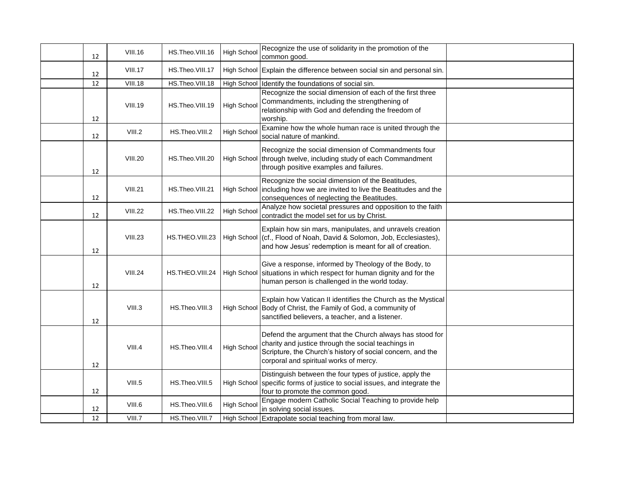| 12 | <b>VIII.16</b> | HS.Theo.VIII.16 | <b>High School</b> | Recognize the use of solidarity in the promotion of the<br>common good.                                                                                                                                                 |  |
|----|----------------|-----------------|--------------------|-------------------------------------------------------------------------------------------------------------------------------------------------------------------------------------------------------------------------|--|
| 12 | <b>VIII.17</b> | HS.Theo.VIII.17 |                    | High School Explain the difference between social sin and personal sin.                                                                                                                                                 |  |
| 12 | <b>VIII.18</b> | HS.Theo.VIII.18 |                    | High School Identify the foundations of social sin.                                                                                                                                                                     |  |
| 12 | <b>VIII.19</b> | HS.Theo.VIII.19 | High School        | Recognize the social dimension of each of the first three<br>Commandments, including the strengthening of<br>relationship with God and defending the freedom of<br>worship.                                             |  |
| 12 | VIII.2         | HS.Theo.VIII.2  | High School        | Examine how the whole human race is united through the<br>social nature of mankind.                                                                                                                                     |  |
| 12 | <b>VIII.20</b> | HS.Theo.VIII.20 |                    | Recognize the social dimension of Commandments four<br>High School through twelve, including study of each Commandment<br>through positive examples and failures.                                                       |  |
| 12 | <b>VIII.21</b> | HS.Theo.VIII.21 |                    | Recognize the social dimension of the Beatitudes,<br>High School including how we are invited to live the Beatitudes and the<br>consequences of neglecting the Beatitudes.                                              |  |
| 12 | <b>VIII.22</b> | HS.Theo.VIII.22 | <b>High School</b> | Analyze how societal pressures and opposition to the faith<br>contradict the model set for us by Christ.                                                                                                                |  |
| 12 | <b>VIII.23</b> | HS.THEO.VIII.23 |                    | Explain how sin mars, manipulates, and unravels creation<br>High School (cf., Flood of Noah, David & Solomon, Job, Ecclesiastes),<br>and how Jesus' redemption is meant for all of creation.                            |  |
| 12 | <b>VIII.24</b> | HS.THEO.VIII.24 |                    | Give a response, informed by Theology of the Body, to<br>High School situations in which respect for human dignity and for the<br>human person is challenged in the world today.                                        |  |
| 12 | VIII.3         | HS.Theo.VIII.3  |                    | Explain how Vatican II identifies the Church as the Mystical<br>High School Body of Christ, the Family of God, a community of<br>sanctified believers, a teacher, and a listener.                                       |  |
| 12 | VIII.4         | HS.Theo.VIII.4  | High Schoo         | Defend the argument that the Church always has stood for<br>charity and justice through the social teachings in<br>Scripture, the Church's history of social concern, and the<br>corporal and spiritual works of mercy. |  |
| 12 | VIII.5         | HS.Theo.VIII.5  |                    | Distinguish between the four types of justice, apply the<br>High School Specific forms of justice to social issues, and integrate the<br>four to promote the common good.                                               |  |
| 12 | VIII.6         | HS.Theo.VIII.6  | <b>High School</b> | Engage modern Catholic Social Teaching to provide help<br>in solving social issues.                                                                                                                                     |  |
| 12 | VIII.7         | HS.Theo.VIII.7  |                    | High School Extrapolate social teaching from moral law.                                                                                                                                                                 |  |